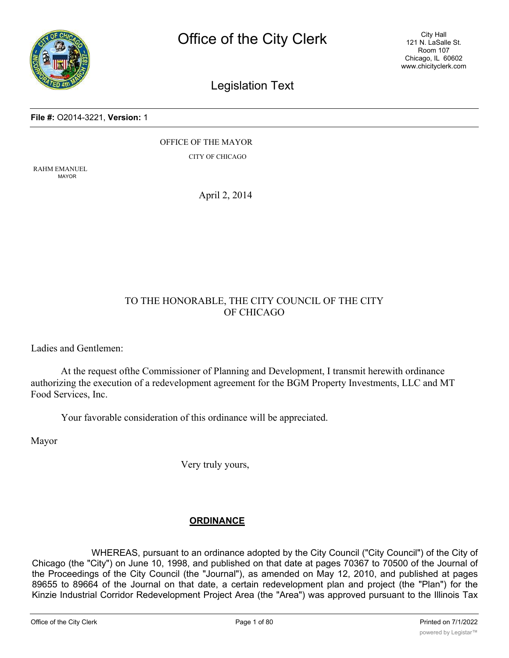

City Hall 121 N. LaSalle St. Room 107 Chicago, IL 60602 www.chicityclerk.com

# Legislation Text

#### **File #:** O2014-3221, **Version:** 1

OFFICE OF THE MAYOR CITY OF CHICAGO

RAHM EMANUEL MAYOR

April 2, 2014

## TO THE HONORABLE, THE CITY COUNCIL OF THE CITY OF CHICAGO

Ladies and Gentlemen:

At the request ofthe Commissioner of Planning and Development, I transmit herewith ordinance authorizing the execution of a redevelopment agreement for the BGM Property Investments, LLC and MT Food Services, Inc.

Your favorable consideration of this ordinance will be appreciated.

Mayor

Very truly yours,

## **ORDINANCE**

WHEREAS, pursuant to an ordinance adopted by the City Council ("City Council") of the City of Chicago (the "City") on June 10, 1998, and published on that date at pages 70367 to 70500 of the Journal of the Proceedings of the City Council (the "Journal"), as amended on May 12, 2010, and published at pages 89655 to 89664 of the Journal on that date, a certain redevelopment plan and project (the "Plan") for the Kinzie Industrial Corridor Redevelopment Project Area (the "Area") was approved pursuant to the Illinois Tax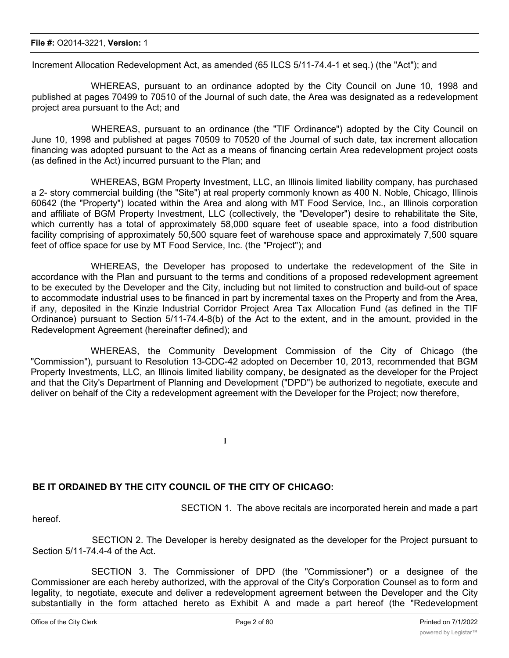#### **File #:** O2014-3221, **Version:** 1

Increment Allocation Redevelopment Act, as amended (65 ILCS 5/11-74.4-1 et seq.) (the "Act"); and

WHEREAS, pursuant to an ordinance adopted by the City Council on June 10, 1998 and published at pages 70499 to 70510 of the Journal of such date, the Area was designated as a redevelopment project area pursuant to the Act; and

WHEREAS, pursuant to an ordinance (the "TIF Ordinance") adopted by the City Council on June 10, 1998 and published at pages 70509 to 70520 of the Journal of such date, tax increment allocation financing was adopted pursuant to the Act as a means of financing certain Area redevelopment project costs (as defined in the Act) incurred pursuant to the Plan; and

WHEREAS, BGM Property Investment, LLC, an Illinois limited liability company, has purchased a 2- story commercial building (the "Site") at real property commonly known as 400 N. Noble, Chicago, Illinois 60642 (the "Property") located within the Area and along with MT Food Service, Inc., an Illinois corporation and affiliate of BGM Property Investment, LLC (collectively, the "Developer") desire to rehabilitate the Site, which currently has a total of approximately 58,000 square feet of useable space, into a food distribution facility comprising of approximately 50,500 square feet of warehouse space and approximately 7,500 square feet of office space for use by MT Food Service, Inc. (the "Project"); and

WHEREAS, the Developer has proposed to undertake the redevelopment of the Site in accordance with the Plan and pursuant to the terms and conditions of a proposed redevelopment agreement to be executed by the Developer and the City, including but not limited to construction and build-out of space to accommodate industrial uses to be financed in part by incremental taxes on the Property and from the Area, if any, deposited in the Kinzie Industrial Corridor Project Area Tax Allocation Fund (as defined in the TIF Ordinance) pursuant to Section 5/11-74.4-8(b) of the Act to the extent, and in the amount, provided in the Redevelopment Agreement (hereinafter defined); and

WHEREAS, the Community Development Commission of the City of Chicago (the "Commission"), pursuant to Resolution 13-CDC-42 adopted on December 10, 2013, recommended that BGM Property Investments, LLC, an Illinois limited liability company, be designated as the developer for the Project and that the City's Department of Planning and Development ("DPD") be authorized to negotiate, execute and deliver on behalf of the City a redevelopment agreement with the Developer for the Project; now therefore,

**l**

## **BE IT ORDAINED BY THE CITY COUNCIL OF THE CITY OF CHICAGO:**

SECTION 1. The above recitals are incorporated herein and made a part

hereof.

SECTION 2. The Developer is hereby designated as the developer for the Project pursuant to Section 5/11-74.4-4 of the Act.

SECTION 3. The Commissioner of DPD (the "Commissioner") or a designee of the Commissioner are each hereby authorized, with the approval of the City's Corporation Counsel as to form and legality, to negotiate, execute and deliver a redevelopment agreement between the Developer and the City substantially in the form attached hereto as Exhibit A and made a part hereof (the "Redevelopment  $\mathcal{A}_{\mathcal{A}}$  ), and such other supporting documents as may be necessary to carry out and comply with the necessary to carry out and comply with the necessary to carry out and comply with the necessary to carry out and c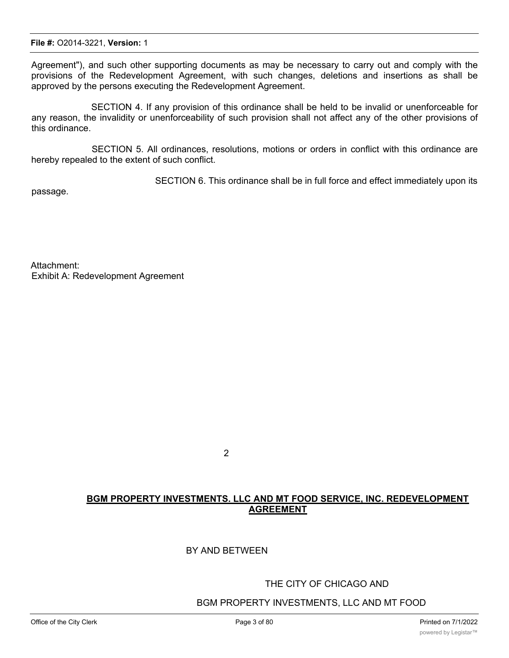Agreement"), and such other supporting documents as may be necessary to carry out and comply with the provisions of the Redevelopment Agreement, with such changes, deletions and insertions as shall be approved by the persons executing the Redevelopment Agreement.

SECTION 4. If any provision of this ordinance shall be held to be invalid or unenforceable for any reason, the invalidity or unenforceability of such provision shall not affect any of the other provisions of this ordinance.

SECTION 5. All ordinances, resolutions, motions or orders in conflict with this ordinance are hereby repealed to the extent of such conflict.

SECTION 6. This ordinance shall be in full force and effect immediately upon its

passage.

Attachment: Exhibit A: Redevelopment Agreement

2

## **BGM PROPERTY INVESTMENTS. LLC AND MT FOOD SERVICE, INC. REDEVELOPMENT AGREEMENT**

### BY AND BETWEEN

### THE CITY OF CHICAGO AND

### BGM PROPERTY INVESTMENTS, LLC AND MT FOOD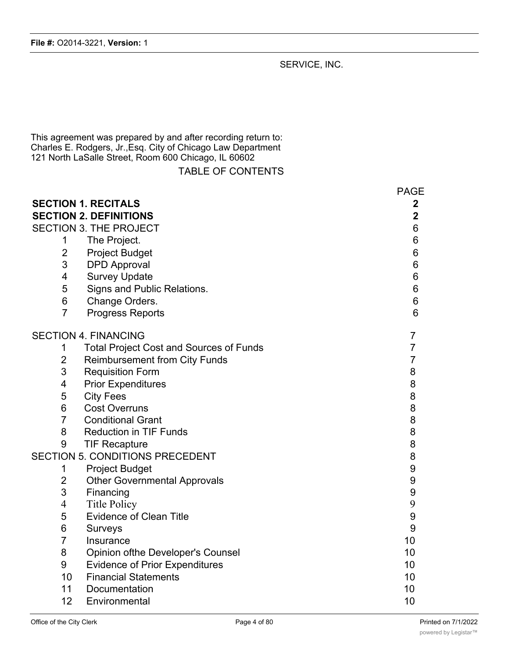SERVICE, INC.

This agreement was prepared by and after recording return to: Charles E. Rodgers, Jr.,Esq. City of Chicago Law Department 121 North LaSalle Street, Room 600 Chicago, IL 60602

|  |  |  | <b>TABLE OF CONTENTS</b> |  |  |
|--|--|--|--------------------------|--|--|
|--|--|--|--------------------------|--|--|

|                 | <b>SECTION 1. RECITALS</b>                     | <b>PAGE</b><br>2 |
|-----------------|------------------------------------------------|------------------|
|                 | <b>SECTION 2. DEFINITIONS</b>                  | $\overline{2}$   |
|                 | <b>SECTION 3. THE PROJECT</b>                  | 6                |
| 1               | The Project.                                   | 6                |
| $\overline{2}$  | <b>Project Budget</b>                          | 6                |
| 3               | <b>DPD</b> Approval                            | 6                |
| 4               | <b>Survey Update</b>                           | 6                |
| 5               | Signs and Public Relations.                    | 6                |
| 6               | Change Orders.                                 | 6                |
| $\overline{7}$  | <b>Progress Reports</b>                        | 6                |
|                 | <b>SECTION 4. FINANCING</b>                    | $\overline{7}$   |
| 1               | <b>Total Project Cost and Sources of Funds</b> | 7                |
| $\overline{2}$  | <b>Reimbursement from City Funds</b>           | $\overline{7}$   |
| 3               | <b>Requisition Form</b>                        | 8                |
| $\overline{4}$  | <b>Prior Expenditures</b>                      | 8                |
| 5               | <b>City Fees</b>                               | 8                |
| $\,6$           | <b>Cost Overruns</b>                           | 8                |
| $\overline{7}$  | <b>Conditional Grant</b>                       | 8                |
| 8               | <b>Reduction in TIF Funds</b>                  | 8                |
| 9               | <b>TIF Recapture</b>                           | 8                |
|                 | <b>SECTION 5. CONDITIONS PRECEDENT</b>         | 8                |
| 1               | <b>Project Budget</b>                          | 9                |
| $\overline{2}$  | <b>Other Governmental Approvals</b>            | 9                |
| $\mathsf 3$     | Financing                                      | 9                |
| $\overline{4}$  | <b>Title Policy</b>                            | 9                |
| 5               | <b>Evidence of Clean Title</b>                 | 9                |
| $6\phantom{1}6$ | Surveys                                        | 9                |
| $\overline{7}$  | Insurance                                      | 10               |
| 8               | <b>Opinion ofthe Developer's Counsel</b>       | 10               |
| $9$             | <b>Evidence of Prior Expenditures</b>          | 10               |
| 10              | <b>Financial Statements</b>                    | 10               |
| 11              | Documentation                                  | 10               |
| 12              | Environmental                                  | 10               |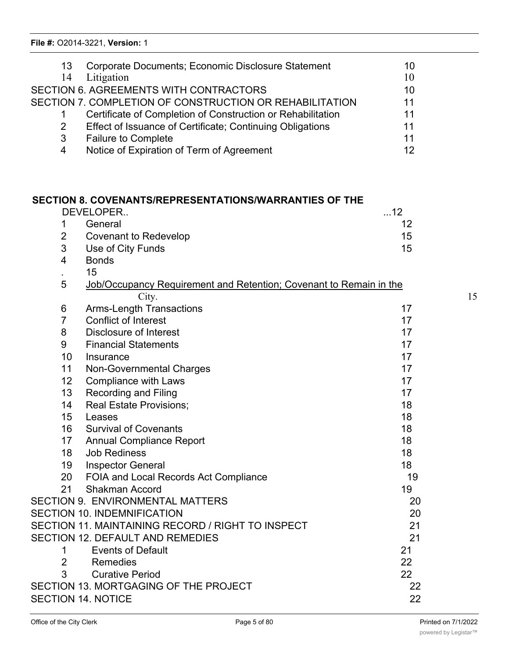| 13 | Corporate Documents; Economic Disclosure Statement          | 10 |
|----|-------------------------------------------------------------|----|
| 14 | Litigation                                                  | 10 |
|    | <b>SECTION 6. AGREEMENTS WITH CONTRACTORS</b>               | 10 |
|    | SECTION 7. COMPLETION OF CONSTRUCTION OR REHABILITATION     | 11 |
|    | Certificate of Completion of Construction or Rehabilitation | 11 |
|    | Effect of Issuance of Certificate; Continuing Obligations   | 11 |
| 3  | <b>Failure to Complete</b>                                  | 11 |
| 4  | Notice of Expiration of Term of Agreement                   | 12 |

### **SECTION 8. COVENANTS/REPRESENTATIONS/WARRANTIES OF THE**

| DEVELOPER |                       | $\dots$ 12 |
|-----------|-----------------------|------------|
| 1         | General               | 12         |
| 2         | Covenant to Redevelop | 15         |
|           | 3 Use of City Funds   | 15         |

- 4 Bonds
- . 15

| 5 | Job/Occupancy Requirement and Retention; Covenant to Remain in the |  |  |
|---|--------------------------------------------------------------------|--|--|
|   | City.                                                              |  |  |
| 6 | Arms-Length Transactions                                           |  |  |
|   | Conflict of Interest                                               |  |  |

# 8 Disclosure of Interest 17

9 Financial Statements 17

10 Insurance 17

11 Non-Governmental Charges 17 Non-Governmental Charges 17

12 Compliance with Laws 17

- 13 Recording and Filing 17 and 17 and 17 and 17 and 17 and 17 and 17 and 17 and 17 and 17 and 17 and 17 and 17 14 Real Estate Provisions; 18 and 2012 18
- 15 Leases 18 and 18 and 18 and 18 and 18 and 18 and 18 and 18 and 18 and 18 and 18 and 18 and 18 and 18 and 18 16 Survival of Covenants 18
- 17 Annual Compliance Report 18 18 Job Rediness 18
- 19 Inspector General 2001 2002 18
- 20 FOIA and Local Records Act Compliance 19 21 Shakman Accord 19

## SECTION 9. ENVIRONMENTAL MATTERS 20 SECTION 10. INDEMNIFICATION 20

# SECTION 11. MAINTAINING RECORD / RIGHT TO INSPECT 21 SECTION 12. DEFAULT AND REMEDIES 21

1 Events of Default 21 2 Remedies 22 3 Curative Period 22

SECTION 13. MORTGAGING OF THE PROJECT 22 SECTION 14. NOTICE 22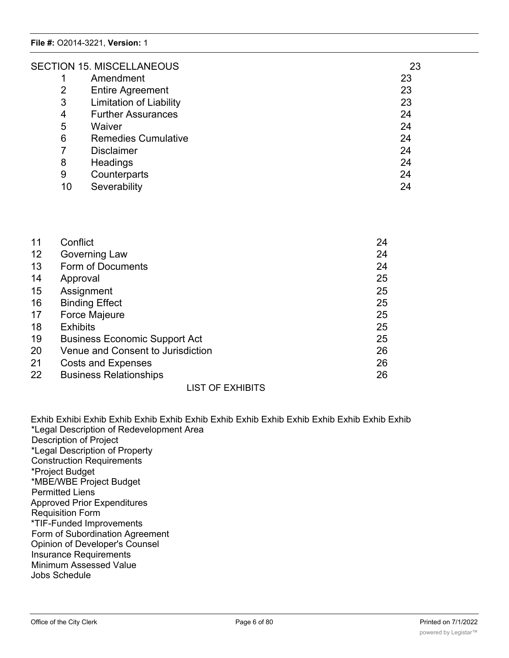|    | <b>SECTION 15. MISCELLANEOUS</b> | 23 |
|----|----------------------------------|----|
|    | Amendment                        | 23 |
| 2  | <b>Entire Agreement</b>          | 23 |
| 3  | <b>Limitation of Liability</b>   | 23 |
| 4  | <b>Further Assurances</b>        | 24 |
| 5  | Waiver                           | 24 |
| 6  | <b>Remedies Cumulative</b>       | 24 |
|    | <b>Disclaimer</b>                | 24 |
| 8  | Headings                         | 24 |
| 9  | Counterparts                     | 24 |
| 10 | Severability                     | 24 |

| 11 | Conflict                             | 24 |
|----|--------------------------------------|----|
| 12 | Governing Law                        | 24 |
| 13 | Form of Documents                    | 24 |
| 14 | Approval                             | 25 |
| 15 | Assignment                           | 25 |
| 16 | <b>Binding Effect</b>                | 25 |
| 17 | Force Majeure                        | 25 |
| 18 | <b>Exhibits</b>                      | 25 |
| 19 | <b>Business Economic Support Act</b> | 25 |
| 20 | Venue and Consent to Jurisdiction    | 26 |
| 21 | <b>Costs and Expenses</b>            | 26 |
| 22 | <b>Business Relationships</b>        | 26 |
|    |                                      |    |

LIST OF EXHIBITS

Exhib Exhibi Exhib Exhib Exhib Exhib Exhib Exhib Exhib Exhib Exhib Exhib Exhib Exhib Exhib \*Legal Description of Redevelopment Area Description of Project \*Legal Description of Property Construction Requirements \*Project Budget \*MBE/WBE Project Budget Permitted Liens Approved Prior Expenditures Requisition Form \*TIF-Funded Improvements Form of Subordination Agreement Opinion of Developer's Counsel Insurance Requirements Minimum Assessed Value Jobs Schedule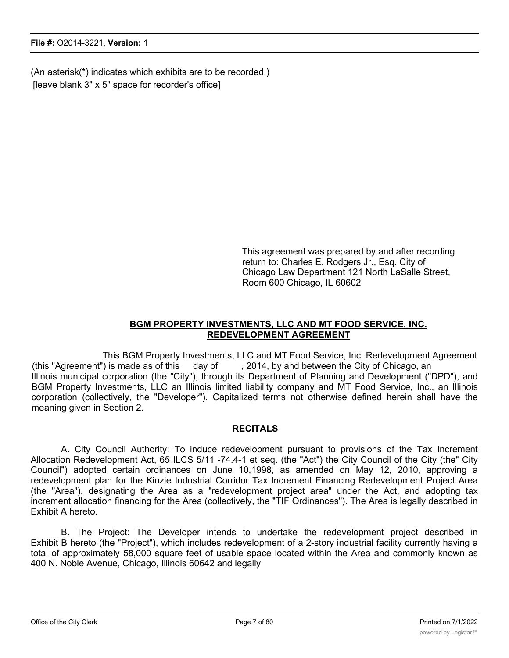(An asterisk(\*) indicates which exhibits are to be recorded.) [leave blank 3" x 5" space for recorder's office]

> This agreement was prepared by and after recording return to: Charles E. Rodgers Jr., Esq. City of Chicago Law Department 121 North LaSalle Street, Room 600 Chicago, IL 60602

### **BGM PROPERTY INVESTMENTS, LLC AND MT FOOD SERVICE, INC. REDEVELOPMENT AGREEMENT**

This BGM Property Investments, LLC and MT Food Service, Inc. Redevelopment Agreement (this "Agreement") is made as of this day of , 2014, by and between the City of Chicago, an Illinois municipal corporation (the "City"), through its Department of Planning and Development ("DPD"), and BGM Property Investments, LLC an Illinois limited liability company and MT Food Service, Inc., an Illinois corporation (collectively, the "Developer"). Capitalized terms not otherwise defined herein shall have the meaning given in Section 2.

### **RECITALS**

A. City Council Authority: To induce redevelopment pursuant to provisions of the Tax Increment Allocation Redevelopment Act, 65 ILCS 5/11 -74.4-1 et seq. (the "Act") the City Council of the City (the" City Council") adopted certain ordinances on June 10,1998, as amended on May 12, 2010, approving a redevelopment plan for the Kinzie Industrial Corridor Tax Increment Financing Redevelopment Project Area (the "Area"), designating the Area as a "redevelopment project area" under the Act, and adopting tax increment allocation financing for the Area (collectively, the "TIF Ordinances"). The Area is legally described in Exhibit A hereto.

B. The Project: The Developer intends to undertake the redevelopment project described in Exhibit B hereto (the "Project"), which includes redevelopment of a 2-story industrial facility currently having a total of approximately 58,000 square feet of usable space located within the Area and commonly known as 400 N. Noble Avenue, Chicago, Illinois 60642 and legally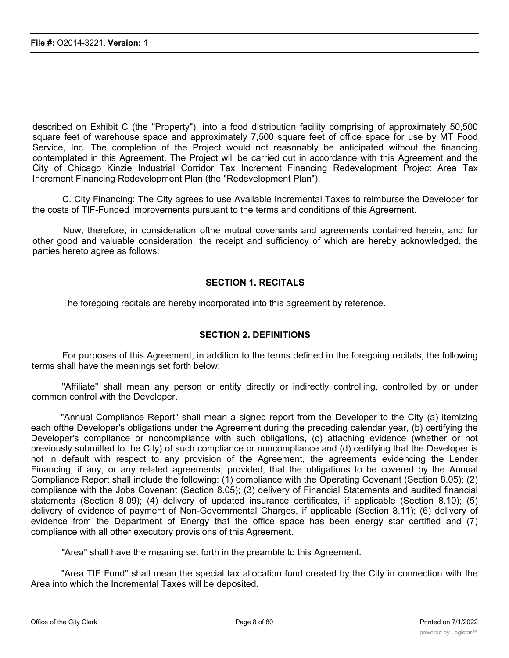described on Exhibit C (the "Property"), into a food distribution facility comprising of approximately 50,500 square feet of warehouse space and approximately 7,500 square feet of office space for use by MT Food Service, Inc. The completion of the Project would not reasonably be anticipated without the financing contemplated in this Agreement. The Project will be carried out in accordance with this Agreement and the City of Chicago Kinzie Industrial Corridor Tax Increment Financing Redevelopment Project Area Tax Increment Financing Redevelopment Plan (the "Redevelopment Plan").

C. City Financing: The City agrees to use Available Incremental Taxes to reimburse the Developer for the costs of TIF-Funded Improvements pursuant to the terms and conditions of this Agreement.

Now, therefore, in consideration ofthe mutual covenants and agreements contained herein, and for other good and valuable consideration, the receipt and sufficiency of which are hereby acknowledged, the parties hereto agree as follows:

### **SECTION 1. RECITALS**

The foregoing recitals are hereby incorporated into this agreement by reference.

### **SECTION 2. DEFINITIONS**

For purposes of this Agreement, in addition to the terms defined in the foregoing recitals, the following terms shall have the meanings set forth below:

"Affiliate" shall mean any person or entity directly or indirectly controlling, controlled by or under common control with the Developer.

"Annual Compliance Report" shall mean a signed report from the Developer to the City (a) itemizing each ofthe Developer's obligations under the Agreement during the preceding calendar year, (b) certifying the Developer's compliance or noncompliance with such obligations, (c) attaching evidence (whether or not previously submitted to the City) of such compliance or noncompliance and (d) certifying that the Developer is not in default with respect to any provision of the Agreement, the agreements evidencing the Lender Financing, if any, or any related agreements; provided, that the obligations to be covered by the Annual Compliance Report shall include the following: (1) compliance with the Operating Covenant (Section 8.05); (2) compliance with the Jobs Covenant (Section 8.05); (3) delivery of Financial Statements and audited financial statements (Section 8.09); (4) delivery of updated insurance certificates, if applicable (Section 8.10); (5) delivery of evidence of payment of Non-Governmental Charges, if applicable (Section 8.11); (6) delivery of evidence from the Department of Energy that the office space has been energy star certified and (7) compliance with all other executory provisions of this Agreement.

"Area" shall have the meaning set forth in the preamble to this Agreement.

"Area TIF Fund" shall mean the special tax allocation fund created by the City in connection with the Area into which the Incremental Taxes will be deposited.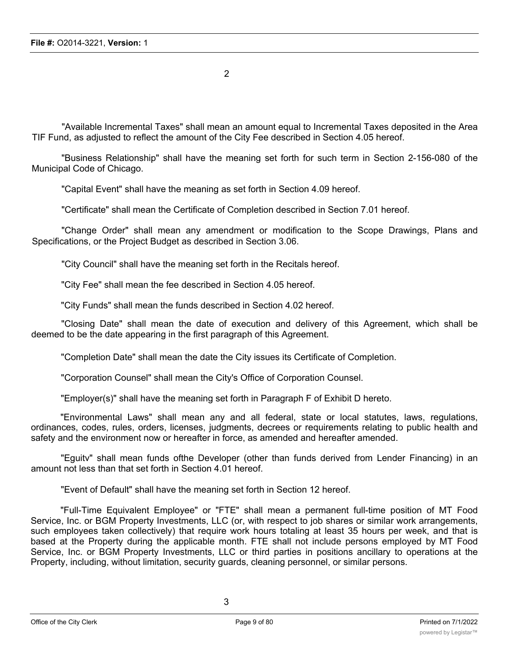2

"Available Incremental Taxes" shall mean an amount equal to Incremental Taxes deposited in the Area TIF Fund, as adjusted to reflect the amount of the City Fee described in Section 4.05 hereof.

"Business Relationship" shall have the meaning set forth for such term in Section 2-156-080 of the Municipal Code of Chicago.

"Capital Event" shall have the meaning as set forth in Section 4.09 hereof.

"Certificate" shall mean the Certificate of Completion described in Section 7.01 hereof.

"Change Order" shall mean any amendment or modification to the Scope Drawings, Plans and Specifications, or the Project Budget as described in Section 3.06.

"City Council" shall have the meaning set forth in the Recitals hereof.

"City Fee" shall mean the fee described in Section 4.05 hereof.

"City Funds" shall mean the funds described in Section 4.02 hereof.

"Closing Date" shall mean the date of execution and delivery of this Agreement, which shall be deemed to be the date appearing in the first paragraph of this Agreement.

"Completion Date" shall mean the date the City issues its Certificate of Completion.

"Corporation Counsel" shall mean the City's Office of Corporation Counsel.

"Employer(s)" shall have the meaning set forth in Paragraph F of Exhibit D hereto.

"Environmental Laws" shall mean any and all federal, state or local statutes, laws, regulations, ordinances, codes, rules, orders, licenses, judgments, decrees or requirements relating to public health and safety and the environment now or hereafter in force, as amended and hereafter amended.

"Eguitv" shall mean funds ofthe Developer (other than funds derived from Lender Financing) in an amount not less than that set forth in Section 4.01 hereof.

"Event of Default" shall have the meaning set forth in Section 12 hereof.

"Full-Time Equivalent Employee" or "FTE" shall mean a permanent full-time position of MT Food Service, Inc. or BGM Property Investments, LLC (or, with respect to job shares or similar work arrangements, such employees taken collectively) that require work hours totaling at least 35 hours per week, and that is based at the Property during the applicable month. FTE shall not include persons employed by MT Food Service, Inc. or BGM Property Investments, LLC or third parties in positions ancillary to operations at the Property, including, without limitation, security guards, cleaning personnel, or similar persons.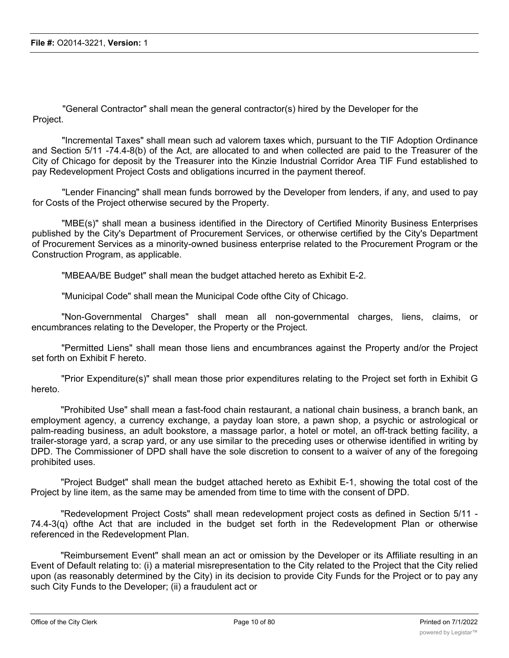"General Contractor" shall mean the general contractor(s) hired by the Developer for the Project.

"Incremental Taxes" shall mean such ad valorem taxes which, pursuant to the TIF Adoption Ordinance and Section 5/11 -74.4-8(b) of the Act, are allocated to and when collected are paid to the Treasurer of the City of Chicago for deposit by the Treasurer into the Kinzie Industrial Corridor Area TIF Fund established to pay Redevelopment Project Costs and obligations incurred in the payment thereof.

"Lender Financing" shall mean funds borrowed by the Developer from lenders, if any, and used to pay for Costs of the Project otherwise secured by the Property.

"MBE(s)" shall mean a business identified in the Directory of Certified Minority Business Enterprises published by the City's Department of Procurement Services, or otherwise certified by the City's Department of Procurement Services as a minority-owned business enterprise related to the Procurement Program or the Construction Program, as applicable.

"MBEAA/BE Budget" shall mean the budget attached hereto as Exhibit E-2.

"Municipal Code" shall mean the Municipal Code ofthe City of Chicago.

"Non-Governmental Charges" shall mean all non-governmental charges, liens, claims, or encumbrances relating to the Developer, the Property or the Project.

"Permitted Liens" shall mean those liens and encumbrances against the Property and/or the Project set forth on Exhibit F hereto.

"Prior Expenditure(s)" shall mean those prior expenditures relating to the Project set forth in Exhibit G hereto.

"Prohibited Use" shall mean a fast-food chain restaurant, a national chain business, a branch bank, an employment agency, a currency exchange, a payday loan store, a pawn shop, a psychic or astrological or palm-reading business, an adult bookstore, a massage parlor, a hotel or motel, an off-track betting facility, a trailer-storage yard, a scrap yard, or any use similar to the preceding uses or otherwise identified in writing by DPD. The Commissioner of DPD shall have the sole discretion to consent to a waiver of any of the foregoing prohibited uses.

"Project Budget" shall mean the budget attached hereto as Exhibit E-1, showing the total cost of the Project by line item, as the same may be amended from time to time with the consent of DPD.

"Redevelopment Project Costs" shall mean redevelopment project costs as defined in Section 5/11 - 74.4-3(q) ofthe Act that are included in the budget set forth in the Redevelopment Plan or otherwise referenced in the Redevelopment Plan.

"Reimbursement Event" shall mean an act or omission by the Developer or its Affiliate resulting in an Event of Default relating to: (i) a material misrepresentation to the City related to the Project that the City relied upon (as reasonably determined by the City) in its decision to provide City Funds for the Project or to pay any such City Funds to the Developer; (ii) a fraudulent act or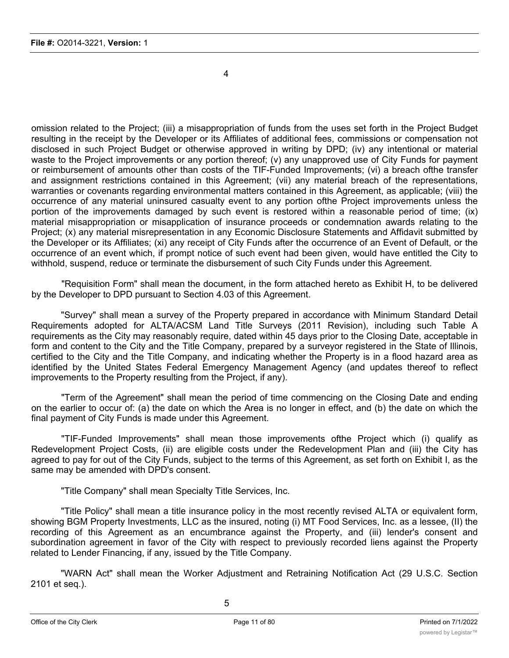4

omission related to the Project; (iii) a misappropriation of funds from the uses set forth in the Project Budget resulting in the receipt by the Developer or its Affiliates of additional fees, commissions or compensation not disclosed in such Project Budget or otherwise approved in writing by DPD; (iv) any intentional or material waste to the Project improvements or any portion thereof; (v) any unapproved use of City Funds for payment or reimbursement of amounts other than costs of the TIF-Funded Improvements; (vi) a breach ofthe transfer and assignment restrictions contained in this Agreement; (vii) any material breach of the representations, warranties or covenants regarding environmental matters contained in this Agreement, as applicable; (viii) the occurrence of any material uninsured casualty event to any portion ofthe Project improvements unless the portion of the improvements damaged by such event is restored within a reasonable period of time; (ix) material misappropriation or misapplication of insurance proceeds or condemnation awards relating to the Project; (x) any material misrepresentation in any Economic Disclosure Statements and Affidavit submitted by the Developer or its Affiliates; (xi) any receipt of City Funds after the occurrence of an Event of Default, or the occurrence of an event which, if prompt notice of such event had been given, would have entitled the City to withhold, suspend, reduce or terminate the disbursement of such City Funds under this Agreement.

"Requisition Form" shall mean the document, in the form attached hereto as Exhibit H, to be delivered by the Developer to DPD pursuant to Section 4.03 of this Agreement.

"Survey" shall mean a survey of the Property prepared in accordance with Minimum Standard Detail Requirements adopted for ALTA/ACSM Land Title Surveys (2011 Revision), including such Table A requirements as the City may reasonably require, dated within 45 days prior to the Closing Date, acceptable in form and content to the City and the Title Company, prepared by a surveyor registered in the State of Illinois, certified to the City and the Title Company, and indicating whether the Property is in a flood hazard area as identified by the United States Federal Emergency Management Agency (and updates thereof to reflect improvements to the Property resulting from the Project, if any).

"Term of the Agreement" shall mean the period of time commencing on the Closing Date and ending on the earlier to occur of: (a) the date on which the Area is no longer in effect, and (b) the date on which the final payment of City Funds is made under this Agreement.

"TIF-Funded Improvements" shall mean those improvements ofthe Project which (i) qualify as Redevelopment Project Costs, (ii) are eligible costs under the Redevelopment Plan and (iii) the City has agreed to pay for out of the City Funds, subject to the terms of this Agreement, as set forth on Exhibit I, as the same may be amended with DPD's consent.

"Title Company" shall mean Specialty Title Services, Inc.

"Title Policy" shall mean a title insurance policy in the most recently revised ALTA or equivalent form, showing BGM Property Investments, LLC as the insured, noting (i) MT Food Services, Inc. as a lessee, (II) the recording of this Agreement as an encumbrance against the Property, and (iii) lender's consent and subordination agreement in favor of the City with respect to previously recorded liens against the Property related to Lender Financing, if any, issued by the Title Company.

"WARN Act" shall mean the Worker Adjustment and Retraining Notification Act (29 U.S.C. Section 2101 et seq.).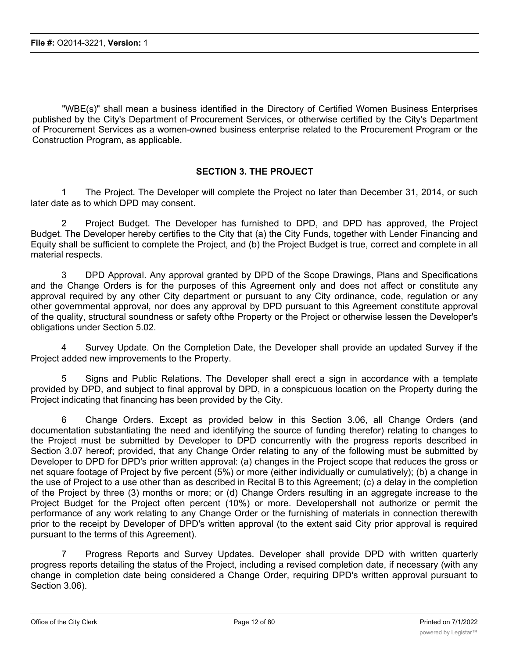"WBE(s)" shall mean a business identified in the Directory of Certified Women Business Enterprises published by the City's Department of Procurement Services, or otherwise certified by the City's Department of Procurement Services as a women-owned business enterprise related to the Procurement Program or the Construction Program, as applicable.

### **SECTION 3. THE PROJECT**

1 The Project. The Developer will complete the Project no later than December 31, 2014, or such later date as to which DPD may consent.

2 Project Budget. The Developer has furnished to DPD, and DPD has approved, the Project Budget. The Developer hereby certifies to the City that (a) the City Funds, together with Lender Financing and Equity shall be sufficient to complete the Project, and (b) the Project Budget is true, correct and complete in all material respects.

3 DPD Approval. Any approval granted by DPD of the Scope Drawings, Plans and Specifications and the Change Orders is for the purposes of this Agreement only and does not affect or constitute any approval required by any other City department or pursuant to any City ordinance, code, regulation or any other governmental approval, nor does any approval by DPD pursuant to this Agreement constitute approval of the quality, structural soundness or safety ofthe Property or the Project or otherwise lessen the Developer's obligations under Section 5.02.

Survey Update. On the Completion Date, the Developer shall provide an updated Survey if the Project added new improvements to the Property.

5 Signs and Public Relations. The Developer shall erect a sign in accordance with a template provided by DPD, and subject to final approval by DPD, in a conspicuous location on the Property during the Project indicating that financing has been provided by the City.

6 Change Orders. Except as provided below in this Section 3.06, all Change Orders (and documentation substantiating the need and identifying the source of funding therefor) relating to changes to the Project must be submitted by Developer to DPD concurrently with the progress reports described in Section 3.07 hereof; provided, that any Change Order relating to any of the following must be submitted by Developer to DPD for DPD's prior written approval: (a) changes in the Project scope that reduces the gross or net square footage of Project by five percent (5%) or more (either individually or cumulatively); (b) a change in the use of Project to a use other than as described in Recital B to this Agreement; (c) a delay in the completion of the Project by three (3) months or more; or (d) Change Orders resulting in an aggregate increase to the Project Budget for the Project often percent (10%) or more. Developershall not authorize or permit the performance of any work relating to any Change Order or the furnishing of materials in connection therewith prior to the receipt by Developer of DPD's written approval (to the extent said City prior approval is required pursuant to the terms of this Agreement).

7 Progress Reports and Survey Updates. Developer shall provide DPD with written quarterly progress reports detailing the status of the Project, including a revised completion date, if necessary (with any change in completion date being considered a Change Order, requiring DPD's written approval pursuant to Section 3.06).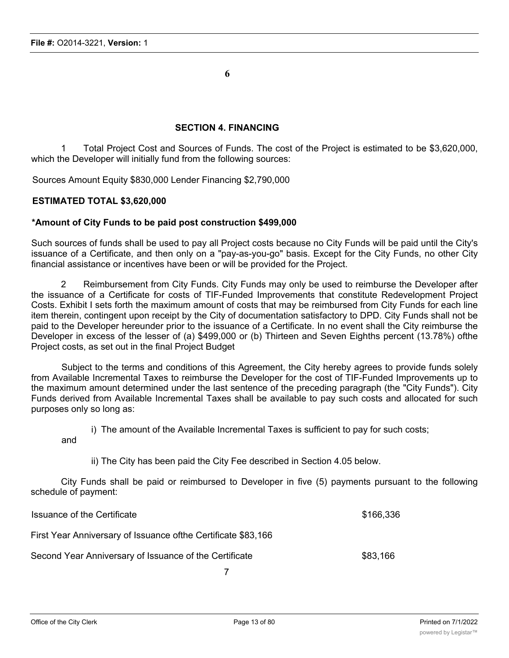**6**

#### **SECTION 4. FINANCING**

1 Total Project Cost and Sources of Funds. The cost of the Project is estimated to be \$3,620,000, which the Developer will initially fund from the following sources:

Sources Amount Equity \$830,000 Lender Financing \$2,790,000

#### **ESTIMATED TOTAL \$3,620,000**

#### **\*Amount of City Funds to be paid post construction \$499,000**

Such sources of funds shall be used to pay all Project costs because no City Funds will be paid until the City's issuance of a Certificate, and then only on a "pay-as-you-go" basis. Except for the City Funds, no other City financial assistance or incentives have been or will be provided for the Project.

2 Reimbursement from City Funds. City Funds may only be used to reimburse the Developer after the issuance of a Certificate for costs of TIF-Funded Improvements that constitute Redevelopment Project Costs. Exhibit I sets forth the maximum amount of costs that may be reimbursed from City Funds for each line item therein, contingent upon receipt by the City of documentation satisfactory to DPD. City Funds shall not be paid to the Developer hereunder prior to the issuance of a Certificate. In no event shall the City reimburse the Developer in excess of the lesser of (a) \$499,000 or (b) Thirteen and Seven Eighths percent (13.78%) ofthe Project costs, as set out in the final Project Budget

Subject to the terms and conditions of this Agreement, the City hereby agrees to provide funds solely from Available Incremental Taxes to reimburse the Developer for the cost of TIF-Funded Improvements up to the maximum amount determined under the last sentence of the preceding paragraph (the "City Funds"). City Funds derived from Available Incremental Taxes shall be available to pay such costs and allocated for such purposes only so long as:

i) The amount of the Available Incremental Taxes is sufficient to pay for such costs;

and

ii) The City has been paid the City Fee described in Section 4.05 below.

City Funds shall be paid or reimbursed to Developer in five (5) payments pursuant to the following schedule of payment:

| Issuance of the Certificate                                    | \$166,336 |
|----------------------------------------------------------------|-----------|
| First Year Anniversary of Issuance of the Certificate \$83,166 |           |
| Second Year Anniversary of Issuance of the Certificate         | \$83,166  |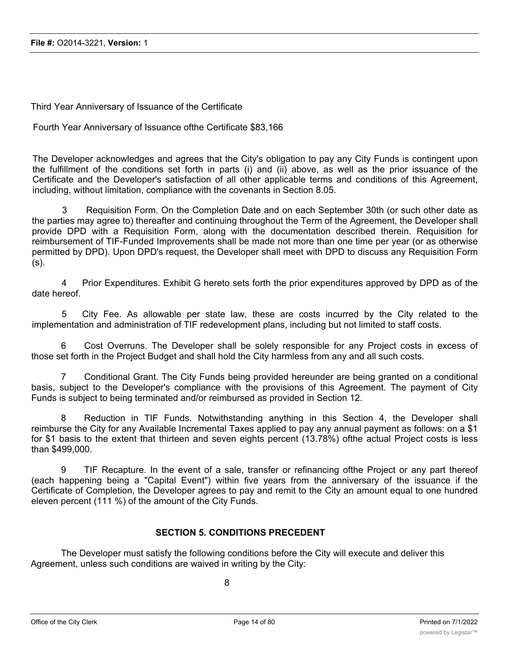Third Year Anniversary of Issuance of the Certificate

Fourth Year Anniversary of Issuance ofthe Certificate \$83,166

The Developer acknowledges and agrees that the City's obligation to pay any City Funds is contingent upon the fulfillment of the conditions set forth in parts (i) and (ii) above, as well as the prior issuance of the Certificate and the Developer's satisfaction of all other applicable terms and conditions of this Agreement, including, without limitation, compliance with the covenants in Section 8.05.

3 Requisition Form. On the Completion Date and on each September 30th (or such other date as the parties may agree to) thereafter and continuing throughout the Term of the Agreement, the Developer shall provide DPD with a Requisition Form, along with the documentation described therein. Requisition for reimbursement of TIF-Funded Improvements shall be made not more than one time per year (or as otherwise permitted by DPD). Upon DPD's request, the Developer shall meet with DPD to discuss any Requisition Form (s).

4 Prior Expenditures. Exhibit G hereto sets forth the prior expenditures approved by DPD as of the date hereof.

5 City Fee. As allowable per state law, these are costs incurred by the City related to the implementation and administration of TIF redevelopment plans, including but not limited to staff costs.

6 Cost Overruns. The Developer shall be solely responsible for any Project costs in excess of those set forth in the Project Budget and shall hold the City harmless from any and all such costs.

7 Conditional Grant. The City Funds being provided hereunder are being granted on a conditional basis, subject to the Developer's compliance with the provisions of this Agreement. The payment of City Funds is subject to being terminated and/or reimbursed as provided in Section 12.

8 Reduction in TIF Funds. Notwithstanding anything in this Section 4, the Developer shall reimburse the City for any Available Incremental Taxes applied to pay any annual payment as follows: on a \$1 for \$1 basis to the extent that thirteen and seven eights percent (13.78%) ofthe actual Project costs is less than \$499,000.

9 TIF Recapture. In the event of a sale, transfer or refinancing ofthe Project or any part thereof (each happening being a "Capital Event") within five years from the anniversary of the issuance if the Certificate of Completion, the Developer agrees to pay and remit to the City an amount equal to one hundred eleven percent (111 %) of the amount of the City Funds.

#### **SECTION 5. CONDITIONS PRECEDENT**

The Developer must satisfy the following conditions before the City will execute and deliver this Agreement, unless such conditions are waived in writing by the City: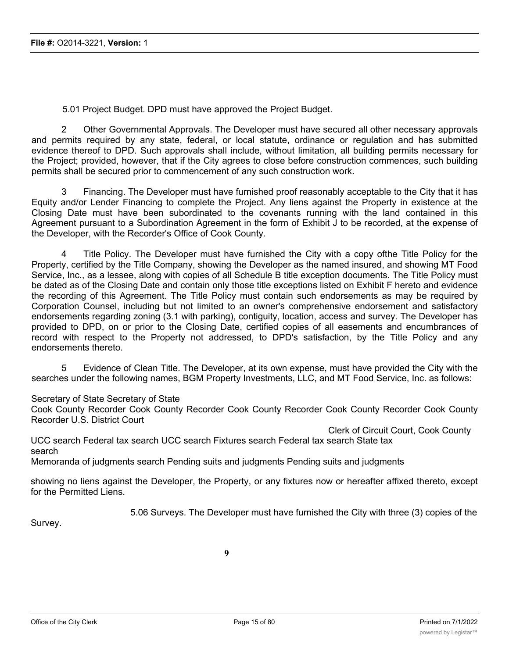5.01 Project Budget. DPD must have approved the Project Budget.

2 Other Governmental Approvals. The Developer must have secured all other necessary approvals and permits required by any state, federal, or local statute, ordinance or regulation and has submitted evidence thereof to DPD. Such approvals shall include, without limitation, all building permits necessary for the Project; provided, however, that if the City agrees to close before construction commences, such building permits shall be secured prior to commencement of any such construction work.

3 Financing. The Developer must have furnished proof reasonably acceptable to the City that it has Equity and/or Lender Financing to complete the Project. Any liens against the Property in existence at the Closing Date must have been subordinated to the covenants running with the land contained in this Agreement pursuant to a Subordination Agreement in the form of Exhibit J to be recorded, at the expense of the Developer, with the Recorder's Office of Cook County.

4 Title Policy. The Developer must have furnished the City with a copy ofthe Title Policy for the Property, certified by the Title Company, showing the Developer as the named insured, and showing MT Food Service, Inc., as a lessee, along with copies of all Schedule B title exception documents. The Title Policy must be dated as of the Closing Date and contain only those title exceptions listed on Exhibit F hereto and evidence the recording of this Agreement. The Title Policy must contain such endorsements as may be required by Corporation Counsel, including but not limited to an owner's comprehensive endorsement and satisfactory endorsements regarding zoning (3.1 with parking), contiguity, location, access and survey. The Developer has provided to DPD, on or prior to the Closing Date, certified copies of all easements and encumbrances of record with respect to the Property not addressed, to DPD's satisfaction, by the Title Policy and any endorsements thereto.

5 Evidence of Clean Title. The Developer, at its own expense, must have provided the City with the searches under the following names, BGM Property Investments, LLC, and MT Food Service, Inc. as follows:

Secretary of State Secretary of State

Cook County Recorder Cook County Recorder Cook County Recorder Cook County Recorder Cook County Recorder U.S. District Court

Clerk of Circuit Court, Cook County UCC search Federal tax search UCC search Fixtures search Federal tax search State tax search

Memoranda of judgments search Pending suits and judgments Pending suits and judgments

showing no liens against the Developer, the Property, or any fixtures now or hereafter affixed thereto, except for the Permitted Liens.

5.06 Surveys. The Developer must have furnished the City with three (3) copies of the

Survey.

 $\overline{1}$  Insurance. The Developer, at its own expense, must have insured the Property insurance insurance in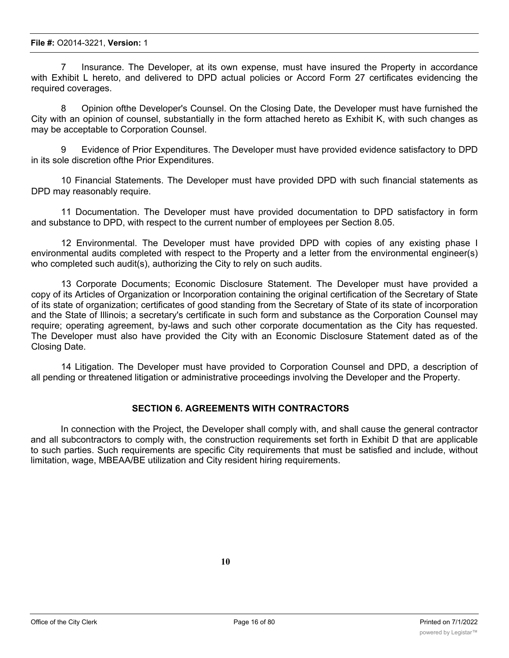7 Insurance. The Developer, at its own expense, must have insured the Property in accordance with Exhibit L hereto, and delivered to DPD actual policies or Accord Form 27 certificates evidencing the required coverages.

8 Opinion ofthe Developer's Counsel. On the Closing Date, the Developer must have furnished the City with an opinion of counsel, substantially in the form attached hereto as Exhibit K, with such changes as may be acceptable to Corporation Counsel.

9 Evidence of Prior Expenditures. The Developer must have provided evidence satisfactory to DPD in its sole discretion ofthe Prior Expenditures.

10 Financial Statements. The Developer must have provided DPD with such financial statements as DPD may reasonably require.

11 Documentation. The Developer must have provided documentation to DPD satisfactory in form and substance to DPD, with respect to the current number of employees per Section 8.05.

12 Environmental. The Developer must have provided DPD with copies of any existing phase I environmental audits completed with respect to the Property and a letter from the environmental engineer(s) who completed such audit(s), authorizing the City to rely on such audits.

13 Corporate Documents; Economic Disclosure Statement. The Developer must have provided a copy of its Articles of Organization or Incorporation containing the original certification of the Secretary of State of its state of organization; certificates of good standing from the Secretary of State of its state of incorporation and the State of Illinois; a secretary's certificate in such form and substance as the Corporation Counsel may require; operating agreement, by-laws and such other corporate documentation as the City has requested. The Developer must also have provided the City with an Economic Disclosure Statement dated as of the Closing Date.

14 Litigation. The Developer must have provided to Corporation Counsel and DPD, a description of all pending or threatened litigation or administrative proceedings involving the Developer and the Property.

#### **SECTION 6. AGREEMENTS WITH CONTRACTORS**

In connection with the Project, the Developer shall comply with, and shall cause the general contractor and all subcontractors to comply with, the construction requirements set forth in Exhibit D that are applicable to such parties. Such requirements are specific City requirements that must be satisfied and include, without limitation, wage, MBEAA/BE utilization and City resident hiring requirements.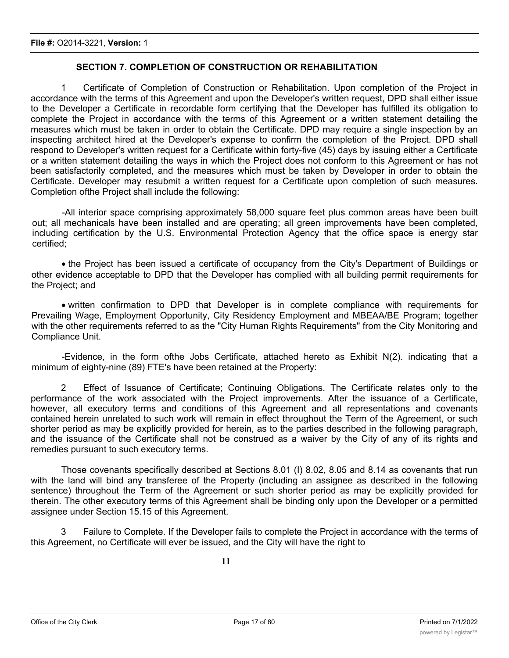### **SECTION 7. COMPLETION OF CONSTRUCTION OR REHABILITATION**

1 Certificate of Completion of Construction or Rehabilitation. Upon completion of the Project in accordance with the terms of this Agreement and upon the Developer's written request, DPD shall either issue to the Developer a Certificate in recordable form certifying that the Developer has fulfilled its obligation to complete the Project in accordance with the terms of this Agreement or a written statement detailing the measures which must be taken in order to obtain the Certificate. DPD may require a single inspection by an inspecting architect hired at the Developer's expense to confirm the completion of the Project. DPD shall respond to Developer's written request for a Certificate within forty-five (45) days by issuing either a Certificate or a written statement detailing the ways in which the Project does not conform to this Agreement or has not been satisfactorily completed, and the measures which must be taken by Developer in order to obtain the Certificate. Developer may resubmit a written request for a Certificate upon completion of such measures. Completion ofthe Project shall include the following:

-All interior space comprising approximately 58,000 square feet plus common areas have been built out; all mechanicals have been installed and are operating; all green improvements have been completed, including certification by the U.S. Environmental Protection Agency that the office space is energy star certified;

· the Project has been issued a certificate of occupancy from the City's Department of Buildings or other evidence acceptable to DPD that the Developer has complied with all building permit requirements for the Project; and

· written confirmation to DPD that Developer is in complete compliance with requirements for Prevailing Wage, Employment Opportunity, City Residency Employment and MBEAA/BE Program; together with the other requirements referred to as the "City Human Rights Requirements" from the City Monitoring and Compliance Unit.

-Evidence, in the form ofthe Jobs Certificate, attached hereto as Exhibit N(2). indicating that a minimum of eighty-nine (89) FTE's have been retained at the Property:

2 Effect of Issuance of Certificate; Continuing Obligations. The Certificate relates only to the performance of the work associated with the Project improvements. After the issuance of a Certificate, however, all executory terms and conditions of this Agreement and all representations and covenants contained herein unrelated to such work will remain in effect throughout the Term of the Agreement, or such shorter period as may be explicitly provided for herein, as to the parties described in the following paragraph, and the issuance of the Certificate shall not be construed as a waiver by the City of any of its rights and remedies pursuant to such executory terms.

Those covenants specifically described at Sections 8.01 (I) 8.02, 8.05 and 8.14 as covenants that run with the land will bind any transferee of the Property (including an assignee as described in the following sentence) throughout the Term of the Agreement or such shorter period as may be explicitly provided for therein. The other executory terms of this Agreement shall be binding only upon the Developer or a permitted assignee under Section 15.15 of this Agreement.

3 Failure to Complete. If the Developer fails to complete the Project in accordance with the terms of this Agreement, no Certificate will ever be issued, and the City will have the right to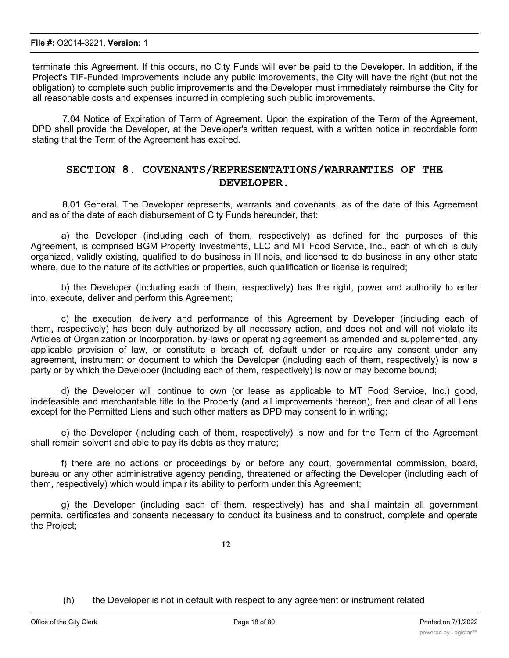terminate this Agreement. If this occurs, no City Funds will ever be paid to the Developer. In addition, if the Project's TIF-Funded Improvements include any public improvements, the City will have the right (but not the obligation) to complete such public improvements and the Developer must immediately reimburse the City for all reasonable costs and expenses incurred in completing such public improvements.

7.04 Notice of Expiration of Term of Agreement. Upon the expiration of the Term of the Agreement, DPD shall provide the Developer, at the Developer's written request, with a written notice in recordable form stating that the Term of the Agreement has expired.

## **SECTION 8. COVENANTS/REPRESENTATIONS/WARRANTIES OF THE DEVELOPER.**

8.01 General. The Developer represents, warrants and covenants, as of the date of this Agreement and as of the date of each disbursement of City Funds hereunder, that:

a) the Developer (including each of them, respectively) as defined for the purposes of this Agreement, is comprised BGM Property Investments, LLC and MT Food Service, Inc., each of which is duly organized, validly existing, qualified to do business in Illinois, and licensed to do business in any other state where, due to the nature of its activities or properties, such qualification or license is required;

b) the Developer (including each of them, respectively) has the right, power and authority to enter into, execute, deliver and perform this Agreement;

c) the execution, delivery and performance of this Agreement by Developer (including each of them, respectively) has been duly authorized by all necessary action, and does not and will not violate its Articles of Organization or Incorporation, by-laws or operating agreement as amended and supplemented, any applicable provision of law, or constitute a breach of, default under or require any consent under any agreement, instrument or document to which the Developer (including each of them, respectively) is now a party or by which the Developer (including each of them, respectively) is now or may become bound;

d) the Developer will continue to own (or lease as applicable to MT Food Service, Inc.) good, indefeasible and merchantable title to the Property (and all improvements thereon), free and clear of all liens except for the Permitted Liens and such other matters as DPD may consent to in writing;

e) the Developer (including each of them, respectively) is now and for the Term of the Agreement shall remain solvent and able to pay its debts as they mature;

f) there are no actions or proceedings by or before any court, governmental commission, board, bureau or any other administrative agency pending, threatened or affecting the Developer (including each of them, respectively) which would impair its ability to perform under this Agreement;

g) the Developer (including each of them, respectively) has and shall maintain all government permits, certificates and consents necessary to conduct its business and to construct, complete and operate the Project;

**12**

(h) the Developer is not in default with respect to any agreement or instrument related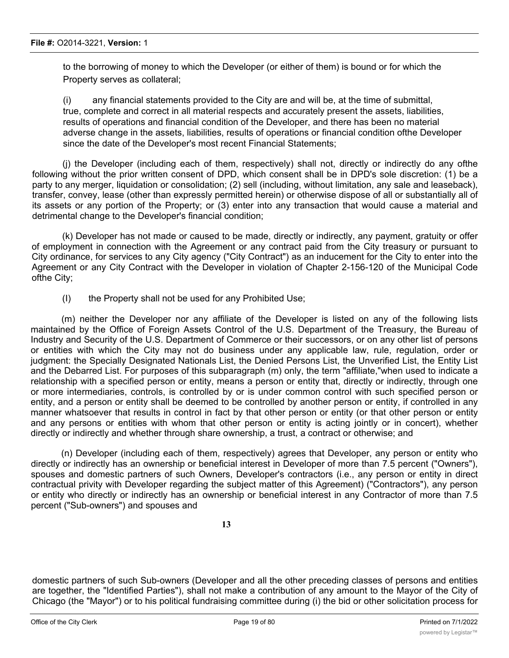to the borrowing of money to which the Developer (or either of them) is bound or for which the Property serves as collateral;

(i) any financial statements provided to the City are and will be, at the time of submittal, true, complete and correct in all material respects and accurately present the assets, liabilities, results of operations and financial condition of the Developer, and there has been no material adverse change in the assets, liabilities, results of operations or financial condition ofthe Developer since the date of the Developer's most recent Financial Statements;

(j) the Developer (including each of them, respectively) shall not, directly or indirectly do any ofthe following without the prior written consent of DPD, which consent shall be in DPD's sole discretion: (1) be a party to any merger, liquidation or consolidation; (2) sell (including, without limitation, any sale and leaseback), transfer, convey, lease (other than expressly permitted herein) or otherwise dispose of all or substantially all of its assets or any portion of the Property; or (3) enter into any transaction that would cause a material and detrimental change to the Developer's financial condition;

(k) Developer has not made or caused to be made, directly or indirectly, any payment, gratuity or offer of employment in connection with the Agreement or any contract paid from the City treasury or pursuant to City ordinance, for services to any City agency ("City Contract") as an inducement for the City to enter into the Agreement or any City Contract with the Developer in violation of Chapter 2-156-120 of the Municipal Code ofthe City;

(I) the Property shall not be used for any Prohibited Use;

(m) neither the Developer nor any affiliate of the Developer is listed on any of the following lists maintained by the Office of Foreign Assets Control of the U.S. Department of the Treasury, the Bureau of Industry and Security of the U.S. Department of Commerce or their successors, or on any other list of persons or entities with which the City may not do business under any applicable law, rule, regulation, order or judgment: the Specially Designated Nationals List, the Denied Persons List, the Unverified List, the Entity List and the Debarred List. For purposes of this subparagraph (m) only, the term "affiliate,"when used to indicate a relationship with a specified person or entity, means a person or entity that, directly or indirectly, through one or more intermediaries, controls, is controlled by or is under common control with such specified person or entity, and a person or entity shall be deemed to be controlled by another person or entity, if controlled in any manner whatsoever that results in control in fact by that other person or entity (or that other person or entity and any persons or entities with whom that other person or entity is acting jointly or in concert), whether directly or indirectly and whether through share ownership, a trust, a contract or otherwise; and

(n) Developer (including each of them, respectively) agrees that Developer, any person or entity who directly or indirectly has an ownership or beneficial interest in Developer of more than 7.5 percent ("Owners"), spouses and domestic partners of such Owners, Developer's contractors (i.e., any person or entity in direct contractual privity with Developer regarding the subject matter of this Agreement) ("Contractors"), any person or entity who directly or indirectly has an ownership or beneficial interest in any Contractor of more than 7.5 percent ("Sub-owners") and spouses and

**13**

domestic partners of such Sub-owners (Developer and all the other preceding classes of persons and entities are together, the "Identified Parties"), shall not make a contribution of any amount to the Mayor of the City of Chicago (the "Mayor") or to his political fundraising committee during (i) the bid or other solicitation process for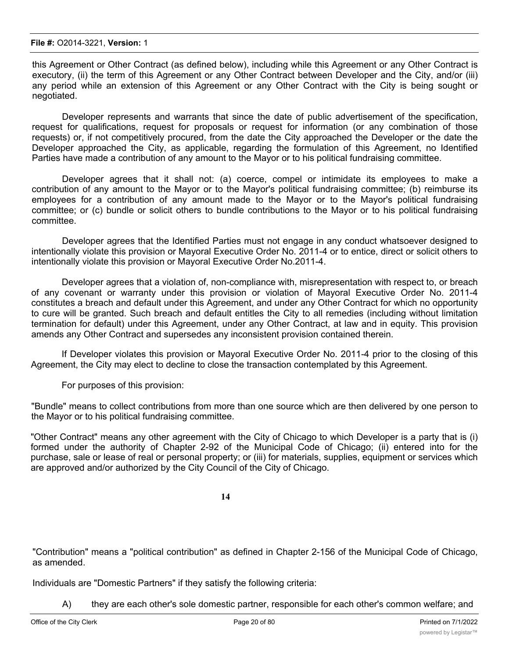this Agreement or Other Contract (as defined below), including while this Agreement or any Other Contract is executory, (ii) the term of this Agreement or any Other Contract between Developer and the City, and/or (iii) any period while an extension of this Agreement or any Other Contract with the City is being sought or negotiated.

Developer represents and warrants that since the date of public advertisement of the specification, request for qualifications, request for proposals or request for information (or any combination of those requests) or, if not competitively procured, from the date the City approached the Developer or the date the Developer approached the City, as applicable, regarding the formulation of this Agreement, no Identified Parties have made a contribution of any amount to the Mayor or to his political fundraising committee.

Developer agrees that it shall not: (a) coerce, compel or intimidate its employees to make a contribution of any amount to the Mayor or to the Mayor's political fundraising committee; (b) reimburse its employees for a contribution of any amount made to the Mayor or to the Mayor's political fundraising committee; or (c) bundle or solicit others to bundle contributions to the Mayor or to his political fundraising committee.

Developer agrees that the Identified Parties must not engage in any conduct whatsoever designed to intentionally violate this provision or Mayoral Executive Order No. 2011-4 or to entice, direct or solicit others to intentionally violate this provision or Mayoral Executive Order No.2011-4.

Developer agrees that a violation of, non-compliance with, misrepresentation with respect to, or breach of any covenant or warranty under this provision or violation of Mayoral Executive Order No. 2011-4 constitutes a breach and default under this Agreement, and under any Other Contract for which no opportunity to cure will be granted. Such breach and default entitles the City to all remedies (including without limitation termination for default) under this Agreement, under any Other Contract, at law and in equity. This provision amends any Other Contract and supersedes any inconsistent provision contained therein.

If Developer violates this provision or Mayoral Executive Order No. 2011-4 prior to the closing of this Agreement, the City may elect to decline to close the transaction contemplated by this Agreement.

For purposes of this provision:

"Bundle" means to collect contributions from more than one source which are then delivered by one person to the Mayor or to his political fundraising committee.

"Other Contract" means any other agreement with the City of Chicago to which Developer is a party that is (i) formed under the authority of Chapter 2-92 of the Municipal Code of Chicago; (ii) entered into for the purchase, sale or lease of real or personal property; or (iii) for materials, supplies, equipment or services which are approved and/or authorized by the City Council of the City of Chicago.

**14**

"Contribution" means a "political contribution" as defined in Chapter 2-156 of the Municipal Code of Chicago, as amended.

Individuals are "Domestic Partners" if they satisfy the following criteria:

A) they are each other's sole domestic partner, responsible for each other's common welfare; and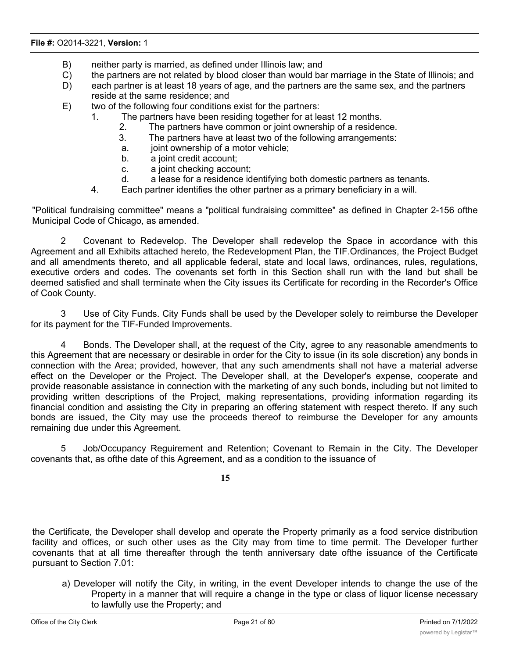- B) neither party is married, as defined under Illinois law; and
- C) the partners are not related by blood closer than would bar marriage in the State of Illinois; and
- D) each partner is at least 18 years of age, and the partners are the same sex, and the partners reside at the same residence; and
- E) two of the following four conditions exist for the partners:
	- 1. The partners have been residing together for at least 12 months.
		- 2. The partners have common or joint ownership of a residence.
		- 3. The partners have at least two of the following arrangements:
		- a. joint ownership of a motor vehicle;
		- b. a joint credit account;
		- c. a joint checking account;
		- d. a lease for a residence identifying both domestic partners as tenants.
	- 4. Each partner identifies the other partner as a primary beneficiary in a will.

"Political fundraising committee" means a "political fundraising committee" as defined in Chapter 2-156 ofthe Municipal Code of Chicago, as amended.

2 Covenant to Redevelop. The Developer shall redevelop the Space in accordance with this Agreement and all Exhibits attached hereto, the Redevelopment Plan, the TIF.Ordinances, the Project Budget and all amendments thereto, and all applicable federal, state and local laws, ordinances, rules, regulations, executive orders and codes. The covenants set forth in this Section shall run with the land but shall be deemed satisfied and shall terminate when the City issues its Certificate for recording in the Recorder's Office of Cook County.

3 Use of City Funds. City Funds shall be used by the Developer solely to reimburse the Developer for its payment for the TIF-Funded Improvements.

4 Bonds. The Developer shall, at the request of the City, agree to any reasonable amendments to this Agreement that are necessary or desirable in order for the City to issue (in its sole discretion) any bonds in connection with the Area; provided, however, that any such amendments shall not have a material adverse effect on the Developer or the Project. The Developer shall, at the Developer's expense, cooperate and provide reasonable assistance in connection with the marketing of any such bonds, including but not limited to providing written descriptions of the Project, making representations, providing information regarding its financial condition and assisting the City in preparing an offering statement with respect thereto. If any such bonds are issued, the City may use the proceeds thereof to reimburse the Developer for any amounts remaining due under this Agreement.

5 Job/Occupancy Reguirement and Retention; Covenant to Remain in the City. The Developer covenants that, as ofthe date of this Agreement, and as a condition to the issuance of

**15**

the Certificate, the Developer shall develop and operate the Property primarily as a food service distribution facility and offices, or such other uses as the City may from time to time permit. The Developer further covenants that at all time thereafter through the tenth anniversary date ofthe issuance of the Certificate pursuant to Section 7.01:

a) Developer will notify the City, in writing, in the event Developer intends to change the use of the Property in a manner that will require a change in the type or class of liquor license necessary to lawfully use the Property; and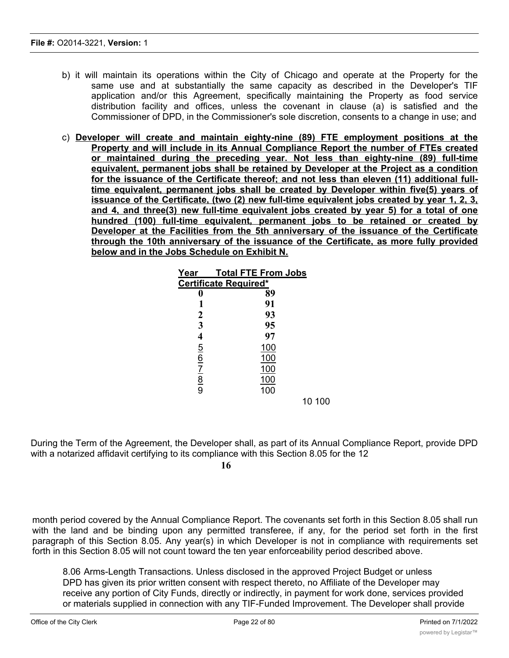- b) it will maintain its operations within the City of Chicago and operate at the Property for the same use and at substantially the same capacity as described in the Developer's TIF application and/or this Agreement, specifically maintaining the Property as food service distribution facility and offices, unless the covenant in clause (a) is satisfied and the Commissioner of DPD, in the Commissioner's sole discretion, consents to a change in use; and
- c) **Developer will create and maintain eighty-nine (89) FTE employment positions at the Property and will include in its Annual Compliance Report the number of FTEs created or maintained during the preceding year. Not less than eighty-nine (89) full-time equivalent, permanent jobs shall be retained by Developer at the Project as a condition for the issuance of the Certificate thereof; and not less than eleven (11) additional fulltime equivalent, permanent jobs shall be created by Developer within five(5) years of issuance of the Certificate, (two (2) new full-time equivalent jobs created by year 1, 2, 3, and 4, and three(3) new full-time equivalent jobs created by year 5) for a total of one hundred (100) full-time equivalent, permanent jobs to be retained or created by Developer at the Facilities from the 5th anniversary of the issuance of the Certificate through the 10th anniversary of the issuance of the Certificate, as more fully provided below and in the Jobs Schedule on Exhibit N.**

| <b>Total FTE From Jobs</b>   |  |  |
|------------------------------|--|--|
| <b>Certificate Required*</b> |  |  |
| 89                           |  |  |
| 91                           |  |  |
| 93                           |  |  |
| 95                           |  |  |
| 97                           |  |  |
| <u>100</u>                   |  |  |
| 100                          |  |  |
| 100                          |  |  |
| 100                          |  |  |
| 100                          |  |  |
| 10 100                       |  |  |
|                              |  |  |

During the Term of the Agreement, the Developer shall, as part of its Annual Compliance Report, provide DPD with a notarized affidavit certifying to its compliance with this Section 8.05 for the 12

**16**

month period covered by the Annual Compliance Report. The covenants set forth in this Section 8.05 shall run with the land and be binding upon any permitted transferee, if any, for the period set forth in the first paragraph of this Section 8.05. Any year(s) in which Developer is not in compliance with requirements set forth in this Section 8.05 will not count toward the ten year enforceability period described above.

8.06 Arms-Length Transactions. Unless disclosed in the approved Project Budget or unless DPD has given its prior written consent with respect thereto, no Affiliate of the Developer may receive any portion of City Funds, directly or indirectly, in payment for work done, services provided or materials supplied in connection with any TIF-Funded Improvement. The Developer shall provide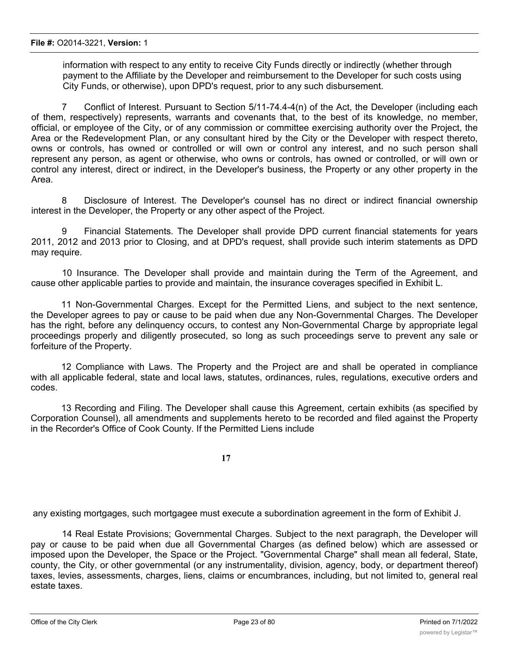information with respect to any entity to receive City Funds directly or indirectly (whether through payment to the Affiliate by the Developer and reimbursement to the Developer for such costs using City Funds, or otherwise), upon DPD's request, prior to any such disbursement.

7 Conflict of Interest. Pursuant to Section 5/11-74.4-4(n) of the Act, the Developer (including each of them, respectively) represents, warrants and covenants that, to the best of its knowledge, no member, official, or employee of the City, or of any commission or committee exercising authority over the Project, the Area or the Redevelopment Plan, or any consultant hired by the City or the Developer with respect thereto, owns or controls, has owned or controlled or will own or control any interest, and no such person shall represent any person, as agent or otherwise, who owns or controls, has owned or controlled, or will own or control any interest, direct or indirect, in the Developer's business, the Property or any other property in the Area.

8 Disclosure of Interest. The Developer's counsel has no direct or indirect financial ownership interest in the Developer, the Property or any other aspect of the Project.

9 Financial Statements. The Developer shall provide DPD current financial statements for years 2011, 2012 and 2013 prior to Closing, and at DPD's request, shall provide such interim statements as DPD may require.

10 Insurance. The Developer shall provide and maintain during the Term of the Agreement, and cause other applicable parties to provide and maintain, the insurance coverages specified in Exhibit L.

11 Non-Governmental Charges. Except for the Permitted Liens, and subject to the next sentence, the Developer agrees to pay or cause to be paid when due any Non-Governmental Charges. The Developer has the right, before any delinquency occurs, to contest any Non-Governmental Charge by appropriate legal proceedings properly and diligently prosecuted, so long as such proceedings serve to prevent any sale or forfeiture of the Property.

12 Compliance with Laws. The Property and the Project are and shall be operated in compliance with all applicable federal, state and local laws, statutes, ordinances, rules, regulations, executive orders and codes.

13 Recording and Filing. The Developer shall cause this Agreement, certain exhibits (as specified by Corporation Counsel), all amendments and supplements hereto to be recorded and filed against the Property in the Recorder's Office of Cook County. If the Permitted Liens include

**17**

any existing mortgages, such mortgagee must execute a subordination agreement in the form of Exhibit J.

14 Real Estate Provisions; Governmental Charges. Subject to the next paragraph, the Developer will pay or cause to be paid when due all Governmental Charges (as defined below) which are assessed or imposed upon the Developer, the Space or the Project. "Governmental Charge" shall mean all federal, State, county, the City, or other governmental (or any instrumentality, division, agency, body, or department thereof) taxes, levies, assessments, charges, liens, claims or encumbrances, including, but not limited to, general real estate taxes.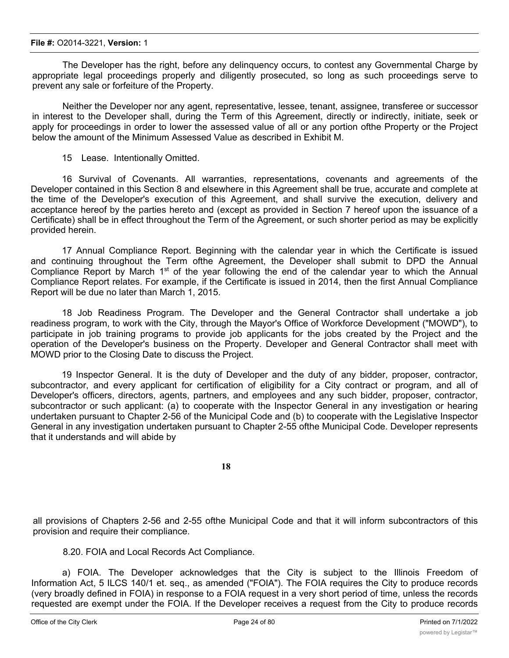The Developer has the right, before any delinquency occurs, to contest any Governmental Charge by appropriate legal proceedings properly and diligently prosecuted, so long as such proceedings serve to prevent any sale or forfeiture of the Property.

Neither the Developer nor any agent, representative, lessee, tenant, assignee, transferee or successor in interest to the Developer shall, during the Term of this Agreement, directly or indirectly, initiate, seek or apply for proceedings in order to lower the assessed value of all or any portion ofthe Property or the Project below the amount of the Minimum Assessed Value as described in Exhibit M.

15 Lease. Intentionally Omitted.

16 Survival of Covenants. All warranties, representations, covenants and agreements of the Developer contained in this Section 8 and elsewhere in this Agreement shall be true, accurate and complete at the time of the Developer's execution of this Agreement, and shall survive the execution, delivery and acceptance hereof by the parties hereto and (except as provided in Section 7 hereof upon the issuance of a Certificate) shall be in effect throughout the Term of the Agreement, or such shorter period as may be explicitly provided herein.

17 Annual Compliance Report. Beginning with the calendar year in which the Certificate is issued and continuing throughout the Term ofthe Agreement, the Developer shall submit to DPD the Annual Compliance Report by March 1<sup>st</sup> of the year following the end of the calendar year to which the Annual Compliance Report relates. For example, if the Certificate is issued in 2014, then the first Annual Compliance Report will be due no later than March 1, 2015.

18 Job Readiness Program. The Developer and the General Contractor shall undertake a job readiness program, to work with the City, through the Mayor's Office of Workforce Development ("MOWD"), to participate in job training programs to provide job applicants for the jobs created by the Project and the operation of the Developer's business on the Property. Developer and General Contractor shall meet with MOWD prior to the Closing Date to discuss the Project.

19 Inspector General. It is the duty of Developer and the duty of any bidder, proposer, contractor, subcontractor, and every applicant for certification of eligibility for a City contract or program, and all of Developer's officers, directors, agents, partners, and employees and any such bidder, proposer, contractor, subcontractor or such applicant: (a) to cooperate with the Inspector General in any investigation or hearing undertaken pursuant to Chapter 2-56 of the Municipal Code and (b) to cooperate with the Legislative Inspector General in any investigation undertaken pursuant to Chapter 2-55 ofthe Municipal Code. Developer represents that it understands and will abide by

**18**

all provisions of Chapters 2-56 and 2-55 ofthe Municipal Code and that it will inform subcontractors of this provision and require their compliance.

8.20. FOIA and Local Records Act Compliance.

a) FOIA. The Developer acknowledges that the City is subject to the Illinois Freedom of Information Act, 5 ILCS 140/1 et. seq., as amended ("FOIA"). The FOIA requires the City to produce records (very broadly defined in FOIA) in response to a FOIA request in a very short period of time, unless the records requested are exempt under the FOIA. If the Developer receives a request from the City to produce records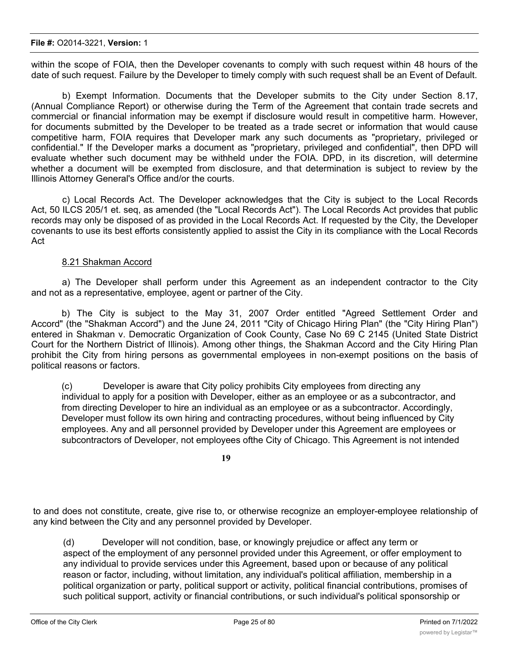within the scope of FOIA, then the Developer covenants to comply with such request within 48 hours of the date of such request. Failure by the Developer to timely comply with such request shall be an Event of Default.

b) Exempt Information. Documents that the Developer submits to the City under Section 8.17, (Annual Compliance Report) or otherwise during the Term of the Agreement that contain trade secrets and commercial or financial information may be exempt if disclosure would result in competitive harm. However, for documents submitted by the Developer to be treated as a trade secret or information that would cause competitive harm, FOIA requires that Developer mark any such documents as "proprietary, privileged or confidential." If the Developer marks a document as "proprietary, privileged and confidential", then DPD will evaluate whether such document may be withheld under the FOIA. DPD, in its discretion, will determine whether a document will be exempted from disclosure, and that determination is subject to review by the Illinois Attorney General's Office and/or the courts.

c) Local Records Act. The Developer acknowledges that the City is subject to the Local Records Act, 50 ILCS 205/1 et. seq, as amended (the "Local Records Act"). The Local Records Act provides that public records may only be disposed of as provided in the Local Records Act. If requested by the City, the Developer covenants to use its best efforts consistently applied to assist the City in its compliance with the Local Records Act

### 8.21 Shakman Accord

a) The Developer shall perform under this Agreement as an independent contractor to the City and not as a representative, employee, agent or partner of the City.

b) The City is subject to the May 31, 2007 Order entitled "Agreed Settlement Order and Accord" (the "Shakman Accord") and the June 24, 2011 "City of Chicago Hiring Plan" (the "City Hiring Plan") entered in Shakman v. Democratic Organization of Cook County, Case No 69 C 2145 (United State District Court for the Northern District of Illinois). Among other things, the Shakman Accord and the City Hiring Plan prohibit the City from hiring persons as governmental employees in non-exempt positions on the basis of political reasons or factors.

(c) Developer is aware that City policy prohibits City employees from directing any individual to apply for a position with Developer, either as an employee or as a subcontractor, and from directing Developer to hire an individual as an employee or as a subcontractor. Accordingly, Developer must follow its own hiring and contracting procedures, without being influenced by City employees. Any and all personnel provided by Developer under this Agreement are employees or subcontractors of Developer, not employees ofthe City of Chicago. This Agreement is not intended

**19**

to and does not constitute, create, give rise to, or otherwise recognize an employer-employee relationship of any kind between the City and any personnel provided by Developer.

(d) Developer will not condition, base, or knowingly prejudice or affect any term or aspect of the employment of any personnel provided under this Agreement, or offer employment to any individual to provide services under this Agreement, based upon or because of any political reason or factor, including, without limitation, any individual's political affiliation, membership in a political organization or party, political support or activity, political financial contributions, promises of such political support, activity or financial contributions, or such individual's political sponsorship or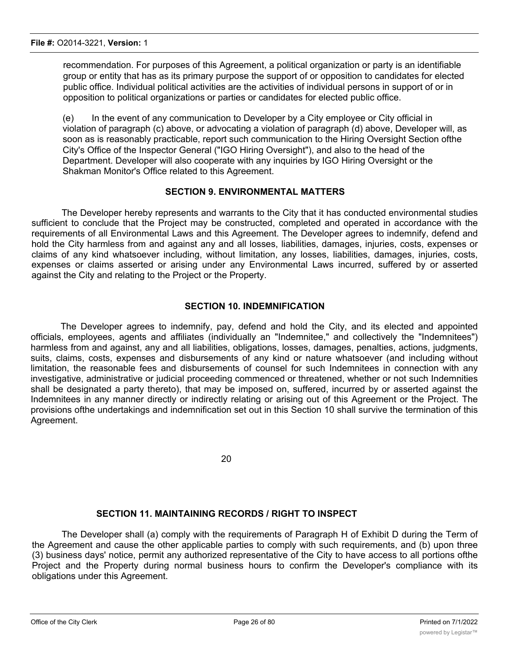recommendation. For purposes of this Agreement, a political organization or party is an identifiable group or entity that has as its primary purpose the support of or opposition to candidates for elected public office. Individual political activities are the activities of individual persons in support of or in opposition to political organizations or parties or candidates for elected public office.

(e) In the event of any communication to Developer by a City employee or City official in violation of paragraph (c) above, or advocating a violation of paragraph (d) above, Developer will, as soon as is reasonably practicable, report such communication to the Hiring Oversight Section ofthe City's Office of the Inspector General ("IGO Hiring Oversight"), and also to the head of the Department. Developer will also cooperate with any inquiries by IGO Hiring Oversight or the Shakman Monitor's Office related to this Agreement.

### **SECTION 9. ENVIRONMENTAL MATTERS**

The Developer hereby represents and warrants to the City that it has conducted environmental studies sufficient to conclude that the Project may be constructed, completed and operated in accordance with the requirements of all Environmental Laws and this Agreement. The Developer agrees to indemnify, defend and hold the City harmless from and against any and all losses, liabilities, damages, injuries, costs, expenses or claims of any kind whatsoever including, without limitation, any losses, liabilities, damages, injuries, costs, expenses or claims asserted or arising under any Environmental Laws incurred, suffered by or asserted against the City and relating to the Project or the Property.

#### **SECTION 10. INDEMNIFICATION**

The Developer agrees to indemnify, pay, defend and hold the City, and its elected and appointed officials, employees, agents and affiliates (individually an "Indemnitee," and collectively the "Indemnitees") harmless from and against, any and all liabilities, obligations, losses, damages, penalties, actions, judgments, suits, claims, costs, expenses and disbursements of any kind or nature whatsoever (and including without limitation, the reasonable fees and disbursements of counsel for such Indemnitees in connection with any investigative, administrative or judicial proceeding commenced or threatened, whether or not such Indemnities shall be designated a party thereto), that may be imposed on, suffered, incurred by or asserted against the Indemnitees in any manner directly or indirectly relating or arising out of this Agreement or the Project. The provisions ofthe undertakings and indemnification set out in this Section 10 shall survive the termination of this Agreement.

20

#### **SECTION 11. MAINTAINING RECORDS / RIGHT TO INSPECT**

The Developer shall (a) comply with the requirements of Paragraph H of Exhibit D during the Term of the Agreement and cause the other applicable parties to comply with such requirements, and (b) upon three (3) business days' notice, permit any authorized representative of the City to have access to all portions ofthe Project and the Property during normal business hours to confirm the Developer's compliance with its obligations under this Agreement.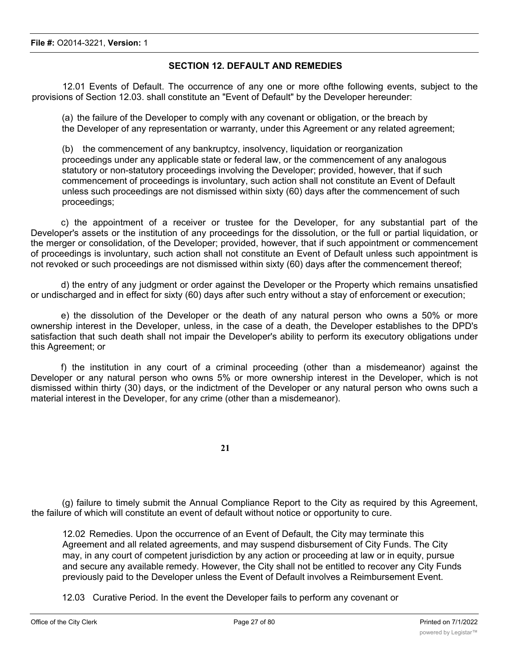### **SECTION 12. DEFAULT AND REMEDIES**

12.01 Events of Default. The occurrence of any one or more ofthe following events, subject to the provisions of Section 12.03. shall constitute an "Event of Default" by the Developer hereunder:

(a) the failure of the Developer to comply with any covenant or obligation, or the breach by the Developer of any representation or warranty, under this Agreement or any related agreement;

(b) the commencement of any bankruptcy, insolvency, liquidation or reorganization proceedings under any applicable state or federal law, or the commencement of any analogous statutory or non-statutory proceedings involving the Developer; provided, however, that if such commencement of proceedings is involuntary, such action shall not constitute an Event of Default unless such proceedings are not dismissed within sixty (60) days after the commencement of such proceedings;

c) the appointment of a receiver or trustee for the Developer, for any substantial part of the Developer's assets or the institution of any proceedings for the dissolution, or the full or partial liquidation, or the merger or consolidation, of the Developer; provided, however, that if such appointment or commencement of proceedings is involuntary, such action shall not constitute an Event of Default unless such appointment is not revoked or such proceedings are not dismissed within sixty (60) days after the commencement thereof;

d) the entry of any judgment or order against the Developer or the Property which remains unsatisfied or undischarged and in effect for sixty (60) days after such entry without a stay of enforcement or execution;

e) the dissolution of the Developer or the death of any natural person who owns a 50% or more ownership interest in the Developer, unless, in the case of a death, the Developer establishes to the DPD's satisfaction that such death shall not impair the Developer's ability to perform its executory obligations under this Agreement; or

f) the institution in any court of a criminal proceeding (other than a misdemeanor) against the Developer or any natural person who owns 5% or more ownership interest in the Developer, which is not dismissed within thirty (30) days, or the indictment of the Developer or any natural person who owns such a material interest in the Developer, for any crime (other than a misdemeanor).

**21**

(g) failure to timely submit the Annual Compliance Report to the City as required by this Agreement, the failure of which will constitute an event of default without notice or opportunity to cure.

12.02 Remedies. Upon the occurrence of an Event of Default, the City may terminate this Agreement and all related agreements, and may suspend disbursement of City Funds. The City may, in any court of competent jurisdiction by any action or proceeding at law or in equity, pursue and secure any available remedy. However, the City shall not be entitled to recover any City Funds previously paid to the Developer unless the Event of Default involves a Reimbursement Event.

12.03 Curative Period. In the event the Developer fails to perform any covenant or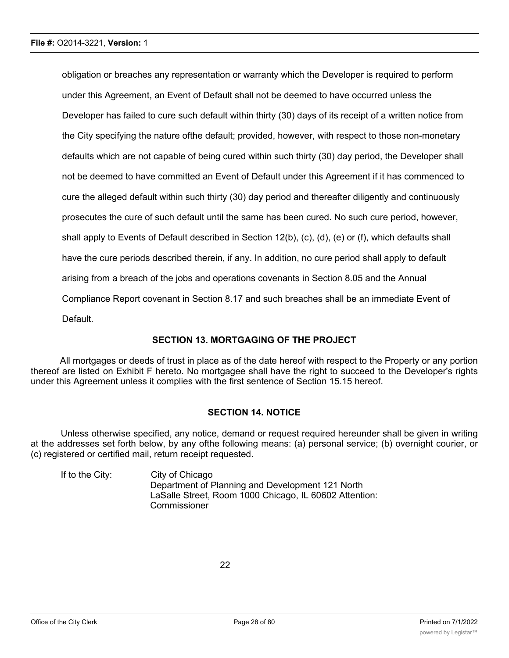obligation or breaches any representation or warranty which the Developer is required to perform under this Agreement, an Event of Default shall not be deemed to have occurred unless the Developer has failed to cure such default within thirty (30) days of its receipt of a written notice from the City specifying the nature ofthe default; provided, however, with respect to those non-monetary defaults which are not capable of being cured within such thirty (30) day period, the Developer shall not be deemed to have committed an Event of Default under this Agreement if it has commenced to cure the alleged default within such thirty (30) day period and thereafter diligently and continuously prosecutes the cure of such default until the same has been cured. No such cure period, however, shall apply to Events of Default described in Section 12(b), (c), (d), (e) or (f), which defaults shall have the cure periods described therein, if any. In addition, no cure period shall apply to default arising from a breach of the jobs and operations covenants in Section 8.05 and the Annual Compliance Report covenant in Section 8.17 and such breaches shall be an immediate Event of Default.

### **SECTION 13. MORTGAGING OF THE PROJECT**

All mortgages or deeds of trust in place as of the date hereof with respect to the Property or any portion thereof are listed on Exhibit F hereto. No mortgagee shall have the right to succeed to the Developer's rights under this Agreement unless it complies with the first sentence of Section 15.15 hereof.

#### **SECTION 14. NOTICE**

Unless otherwise specified, any notice, demand or request required hereunder shall be given in writing at the addresses set forth below, by any ofthe following means: (a) personal service; (b) overnight courier, or (c) registered or certified mail, return receipt requested.

If to the City: City of Chicago Department of Planning and Development 121 North LaSalle Street, Room 1000 Chicago, IL 60602 Attention: Commissioner

22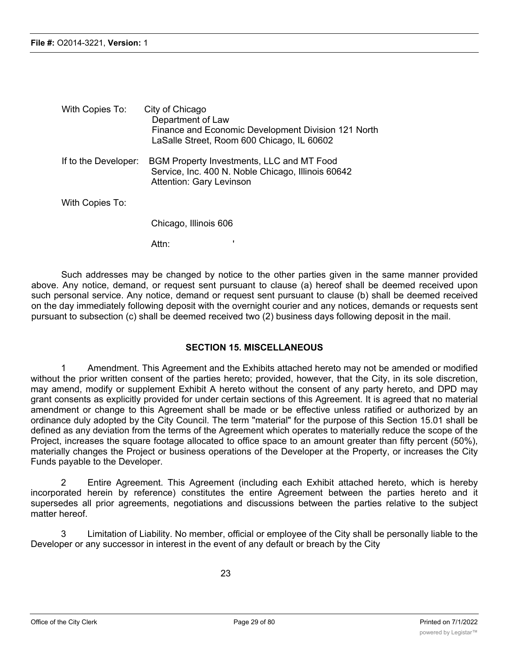| With Copies To:      | City of Chicago<br>Department of Law<br>Finance and Economic Development Division 121 North<br>LaSalle Street, Room 600 Chicago, IL 60602 |
|----------------------|-------------------------------------------------------------------------------------------------------------------------------------------|
| If to the Developer: | <b>BGM Property Investments, LLC and MT Food</b><br>Service, Inc. 400 N. Noble Chicago, Illinois 60642<br>Attention: Gary Levinson        |
| With Copies To:      |                                                                                                                                           |
|                      | Chicago, Illinois 606                                                                                                                     |

Attn:

Such addresses may be changed by notice to the other parties given in the same manner provided above. Any notice, demand, or request sent pursuant to clause (a) hereof shall be deemed received upon such personal service. Any notice, demand or request sent pursuant to clause (b) shall be deemed received on the day immediately following deposit with the overnight courier and any notices, demands or requests sent pursuant to subsection (c) shall be deemed received two (2) business days following deposit in the mail.

## **SECTION 15. MISCELLANEOUS**

1 Amendment. This Agreement and the Exhibits attached hereto may not be amended or modified without the prior written consent of the parties hereto; provided, however, that the City, in its sole discretion, may amend, modify or supplement Exhibit A hereto without the consent of any party hereto, and DPD may grant consents as explicitly provided for under certain sections of this Agreement. It is agreed that no material amendment or change to this Agreement shall be made or be effective unless ratified or authorized by an ordinance duly adopted by the City Council. The term "material" for the purpose of this Section 15.01 shall be defined as any deviation from the terms of the Agreement which operates to materially reduce the scope of the Project, increases the square footage allocated to office space to an amount greater than fifty percent (50%), materially changes the Project or business operations of the Developer at the Property, or increases the City Funds payable to the Developer.

2 Entire Agreement. This Agreement (including each Exhibit attached hereto, which is hereby incorporated herein by reference) constitutes the entire Agreement between the parties hereto and it supersedes all prior agreements, negotiations and discussions between the parties relative to the subject matter hereof

3 Limitation of Liability. No member, official or employee of the City shall be personally liable to the Developer or any successor in interest in the event of any default or breach by the City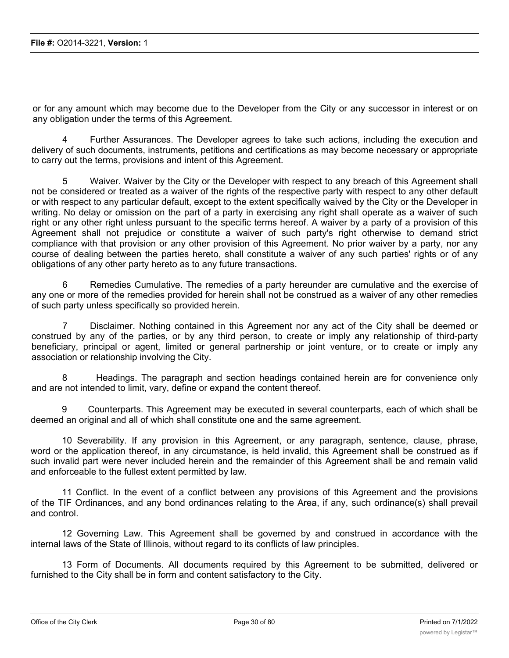or for any amount which may become due to the Developer from the City or any successor in interest or on any obligation under the terms of this Agreement.

4 Further Assurances. The Developer agrees to take such actions, including the execution and delivery of such documents, instruments, petitions and certifications as may become necessary or appropriate to carry out the terms, provisions and intent of this Agreement.

5 Waiver. Waiver by the City or the Developer with respect to any breach of this Agreement shall not be considered or treated as a waiver of the rights of the respective party with respect to any other default or with respect to any particular default, except to the extent specifically waived by the City or the Developer in writing. No delay or omission on the part of a party in exercising any right shall operate as a waiver of such right or any other right unless pursuant to the specific terms hereof. A waiver by a party of a provision of this Agreement shall not prejudice or constitute a waiver of such party's right otherwise to demand strict compliance with that provision or any other provision of this Agreement. No prior waiver by a party, nor any course of dealing between the parties hereto, shall constitute a waiver of any such parties' rights or of any obligations of any other party hereto as to any future transactions.

6 Remedies Cumulative. The remedies of a party hereunder are cumulative and the exercise of any one or more of the remedies provided for herein shall not be construed as a waiver of any other remedies of such party unless specifically so provided herein.

7 Disclaimer. Nothing contained in this Agreement nor any act of the City shall be deemed or construed by any of the parties, or by any third person, to create or imply any relationship of third-party beneficiary, principal or agent, limited or general partnership or joint venture, or to create or imply any association or relationship involving the City.

8 Headings. The paragraph and section headings contained herein are for convenience only and are not intended to limit, vary, define or expand the content thereof.

9 Counterparts. This Agreement may be executed in several counterparts, each of which shall be deemed an original and all of which shall constitute one and the same agreement.

10 Severability. If any provision in this Agreement, or any paragraph, sentence, clause, phrase, word or the application thereof, in any circumstance, is held invalid, this Agreement shall be construed as if such invalid part were never included herein and the remainder of this Agreement shall be and remain valid and enforceable to the fullest extent permitted by law.

11 Conflict. In the event of a conflict between any provisions of this Agreement and the provisions of the TIF Ordinances, and any bond ordinances relating to the Area, if any, such ordinance(s) shall prevail and control.

12 Governing Law. This Agreement shall be governed by and construed in accordance with the internal laws of the State of Illinois, without regard to its conflicts of law principles.

13 Form of Documents. All documents required by this Agreement to be submitted, delivered or furnished to the City shall be in form and content satisfactory to the City.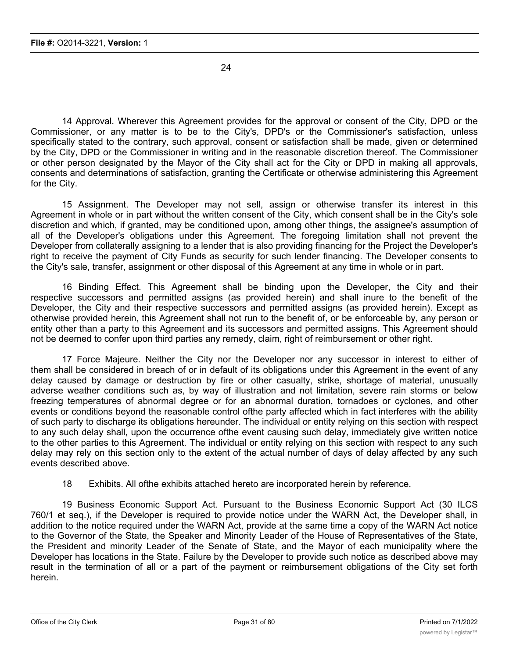24

14 Approval. Wherever this Agreement provides for the approval or consent of the City, DPD or the Commissioner, or any matter is to be to the City's, DPD's or the Commissioner's satisfaction, unless specifically stated to the contrary, such approval, consent or satisfaction shall be made, given or determined by the City, DPD or the Commissioner in writing and in the reasonable discretion thereof. The Commissioner or other person designated by the Mayor of the City shall act for the City or DPD in making all approvals, consents and determinations of satisfaction, granting the Certificate or otherwise administering this Agreement for the City.

15 Assignment. The Developer may not sell, assign or otherwise transfer its interest in this Agreement in whole or in part without the written consent of the City, which consent shall be in the City's sole discretion and which, if granted, may be conditioned upon, among other things, the assignee's assumption of all of the Developer's obligations under this Agreement. The foregoing limitation shall not prevent the Developer from collaterally assigning to a lender that is also providing financing for the Project the Developer's right to receive the payment of City Funds as security for such lender financing. The Developer consents to the City's sale, transfer, assignment or other disposal of this Agreement at any time in whole or in part.

16 Binding Effect. This Agreement shall be binding upon the Developer, the City and their respective successors and permitted assigns (as provided herein) and shall inure to the benefit of the Developer, the City and their respective successors and permitted assigns (as provided herein). Except as otherwise provided herein, this Agreement shall not run to the benefit of, or be enforceable by, any person or entity other than a party to this Agreement and its successors and permitted assigns. This Agreement should not be deemed to confer upon third parties any remedy, claim, right of reimbursement or other right.

17 Force Majeure. Neither the City nor the Developer nor any successor in interest to either of them shall be considered in breach of or in default of its obligations under this Agreement in the event of any delay caused by damage or destruction by fire or other casualty, strike, shortage of material, unusually adverse weather conditions such as, by way of illustration and not limitation, severe rain storms or below freezing temperatures of abnormal degree or for an abnormal duration, tornadoes or cyclones, and other events or conditions beyond the reasonable control ofthe party affected which in fact interferes with the ability of such party to discharge its obligations hereunder. The individual or entity relying on this section with respect to any such delay shall, upon the occurrence ofthe event causing such delay, immediately give written notice to the other parties to this Agreement. The individual or entity relying on this section with respect to any such delay may rely on this section only to the extent of the actual number of days of delay affected by any such events described above.

18 Exhibits. All ofthe exhibits attached hereto are incorporated herein by reference.

19 Business Economic Support Act. Pursuant to the Business Economic Support Act (30 ILCS 760/1 et seq.), if the Developer is required to provide notice under the WARN Act, the Developer shall, in addition to the notice required under the WARN Act, provide at the same time a copy of the WARN Act notice to the Governor of the State, the Speaker and Minority Leader of the House of Representatives of the State, the President and minority Leader of the Senate of State, and the Mayor of each municipality where the Developer has locations in the State. Failure by the Developer to provide such notice as described above may result in the termination of all or a part of the payment or reimbursement obligations of the City set forth herein.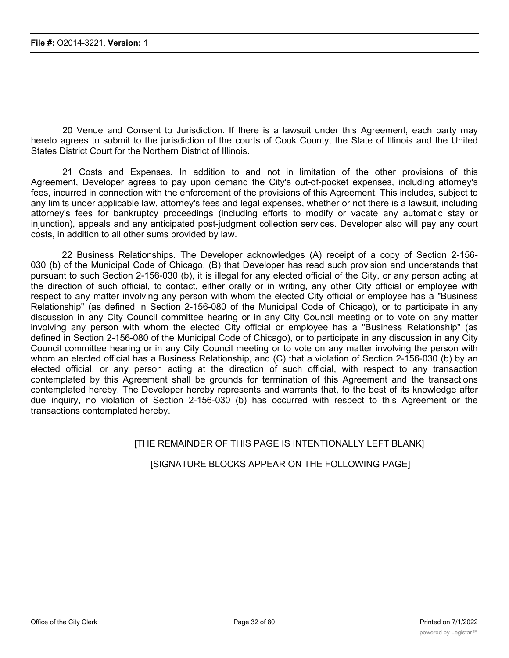20 Venue and Consent to Jurisdiction. If there is a lawsuit under this Agreement, each party may hereto agrees to submit to the jurisdiction of the courts of Cook County, the State of Illinois and the United States District Court for the Northern District of Illinois.

21 Costs and Expenses. In addition to and not in limitation of the other provisions of this Agreement, Developer agrees to pay upon demand the City's out-of-pocket expenses, including attorney's fees, incurred in connection with the enforcement of the provisions of this Agreement. This includes, subject to any limits under applicable law, attorney's fees and legal expenses, whether or not there is a lawsuit, including attorney's fees for bankruptcy proceedings (including efforts to modify or vacate any automatic stay or injunction), appeals and any anticipated post-judgment collection services. Developer also will pay any court costs, in addition to all other sums provided by law.

22 Business Relationships. The Developer acknowledges (A) receipt of a copy of Section 2-156- 030 (b) of the Municipal Code of Chicago, (B) that Developer has read such provision and understands that pursuant to such Section 2-156-030 (b), it is illegal for any elected official of the City, or any person acting at the direction of such official, to contact, either orally or in writing, any other City official or employee with respect to any matter involving any person with whom the elected City official or employee has a "Business Relationship" (as defined in Section 2-156-080 of the Municipal Code of Chicago), or to participate in any discussion in any City Council committee hearing or in any City Council meeting or to vote on any matter involving any person with whom the elected City official or employee has a "Business Relationship" (as defined in Section 2-156-080 of the Municipal Code of Chicago), or to participate in any discussion in any City Council committee hearing or in any City Council meeting or to vote on any matter involving the person with whom an elected official has a Business Relationship, and (C) that a violation of Section 2-156-030 (b) by an elected official, or any person acting at the direction of such official, with respect to any transaction contemplated by this Agreement shall be grounds for termination of this Agreement and the transactions contemplated hereby. The Developer hereby represents and warrants that, to the best of its knowledge after due inquiry, no violation of Section 2-156-030 (b) has occurred with respect to this Agreement or the transactions contemplated hereby.

### [THE REMAINDER OF THIS PAGE IS INTENTIONALLY LEFT BLANK]

#### [SIGNATURE BLOCKS APPEAR ON THE FOLLOWING PAGE]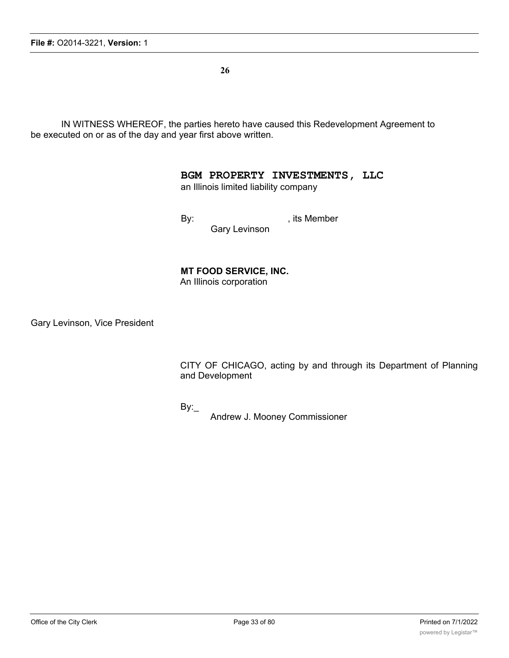**26**

IN WITNESS WHEREOF, the parties hereto have caused this Redevelopment Agreement to be executed on or as of the day and year first above written.

### **BGM PROPERTY INVESTMENTS, LLC**

an Illinois limited liability company

By: example by: the state of the state of the state of the state of the state of the state of the state of the state of the state of the state of the state of the state of the state of the state of the state of the state o

Gary Levinson

**MT FOOD SERVICE, INC.**

An Illinois corporation

Gary Levinson, Vice President

CITY OF CHICAGO, acting by and through its Department of Planning and Development

By:

Andrew J. Mooney Commissioner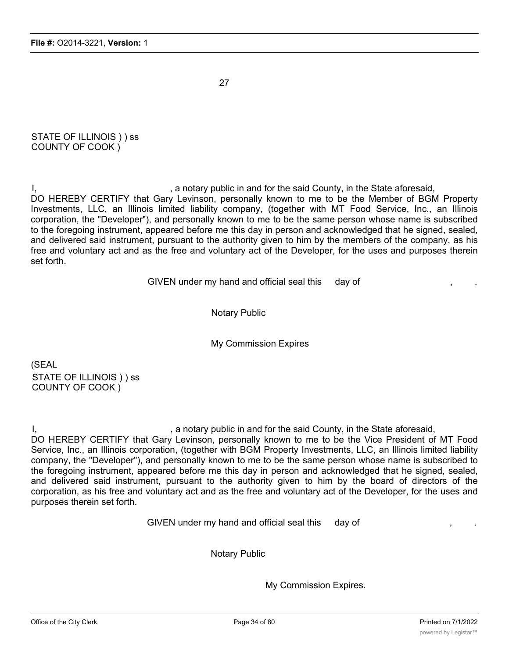27

STATE OF ILLINOIS ) ) ss COUNTY OF COOK )

I, the state aforesaid, in the State aforesaid, in the State aforesaid, DO HEREBY CERTIFY that Gary Levinson, personally known to me to be the Member of BGM Property Investments, LLC, an Illinois limited liability company, (together with MT Food Service, Inc., an Illinois corporation, the "Developer"), and personally known to me to be the same person whose name is subscribed to the foregoing instrument, appeared before me this day in person and acknowledged that he signed, sealed, and delivered said instrument, pursuant to the authority given to him by the members of the company, as his free and voluntary act and as the free and voluntary act of the Developer, for the uses and purposes therein set forth.

GIVEN under my hand and official seal this day of

Notary Public

My Commission Expires

(SEAL STATE OF ILLINOIS ) ) ss COUNTY OF COOK )

I, the state aforesaid, in the State aforesaid, in the State aforesaid,

DO HEREBY CERTIFY that Gary Levinson, personally known to me to be the Vice President of MT Food Service, Inc., an Illinois corporation, (together with BGM Property Investments, LLC, an Illinois limited liability company, the "Developer"), and personally known to me to be the same person whose name is subscribed to the foregoing instrument, appeared before me this day in person and acknowledged that he signed, sealed, and delivered said instrument, pursuant to the authority given to him by the board of directors of the corporation, as his free and voluntary act and as the free and voluntary act of the Developer, for the uses and purposes therein set forth.

GIVEN under my hand and official seal this day of

Notary Public

My Commission Expires.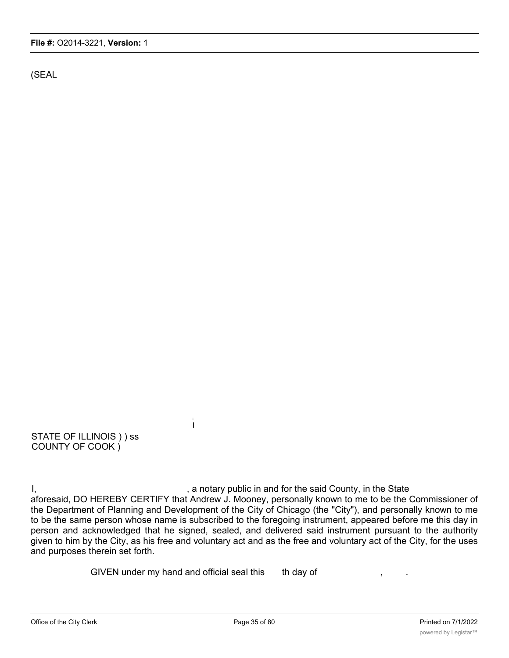(SEAL

STATE OF ILLINOIS ) ) ss COUNTY OF COOK )

I, the said County, in the State is a notary public in and for the said County, in the State aforesaid, DO HEREBY CERTIFY that Andrew J. Mooney, personally known to me to be the Commissioner of the Department of Planning and Development of the City of Chicago (the "City"), and personally known to me to be the same person whose name is subscribed to the foregoing instrument, appeared before me this day in person and acknowledged that he signed, sealed, and delivered said instrument pursuant to the authority given to him by the City, as his free and voluntary act and as the free and voluntary act of the City, for the uses and purposes therein set forth.

GIVEN under my hand and official seal this th day of

i I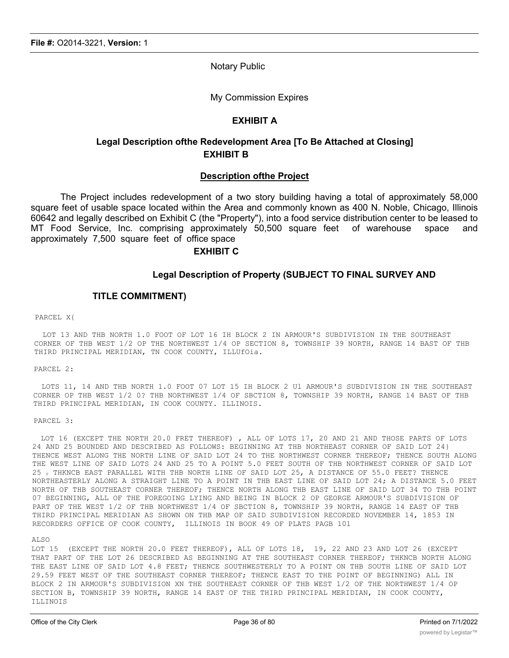Notary Public

My Commission Expires

#### **EXHIBIT A**

### **Legal Description ofthe Redevelopment Area [To Be Attached at Closing] EXHIBIT B**

#### **Description ofthe Project**

The Project includes redevelopment of a two story building having a total of approximately 58,000 square feet of usable space located within the Area and commonly known as 400 N. Noble, Chicago, Illinois 60642 and legally described on Exhibit C (the "Property"), into a food service distribution center to be leased to MT Food Service, Inc. comprising approximately 50,500 square feet of warehouse space and approximately 7,500 square feet of office space

#### **EXHIBIT C**

#### **Legal Description of Property (SUBJECT TO FINAL SURVEY AND**

#### **TITLE COMMITMENT)**

#### PARCEL X{

LOT 13 AND THB NORTH 1.0 FOOT OF LOT 16 IH BLOCK 2 IN ARMOUR'S SUBDIVISION IN THE SOUTHEAST CORNER OF THB WEST 1/2 OP THE NORTHWEST 1/4 OP SECTION 8, TOWNSHIP 39 NORTH, RANGE 14 BAST OF THB THIRD PRINCIPAL MERIDIAN, TN COOK COUNTY, ILLUfOia.

PARCEL 2:

LOTS 11, 14 AND THB NORTH 1.0 FOOT 07 LOT 15 IH BLOCK 2 Ul ARMOUR'S SUBDIVISION IN THE SOUTHEAST CORNER OP THB WEST 1/2 0? THB NORTHWEST 1/4 OF SBCTION 8, TOWNSHIP 39 NORTH, RANGE 14 BAST OF THB THIRD PRINCIPAL MERIDIAN, IN COOK COUNTY. ILLINOIS.

#### PARCEL 3:

LOT 16 (EXCEPT THE NORTH 20.0 FRET THEREOF) , ALL OF LOTS 17, 20 AND 21 AND THOSE PARTS OF LOTS 24 AND 25 BOUNDED AND DESCRIBED AS FOLLOWS: BEGINNING AT THB NORTHEAST CORNER OF SAID LOT 24} THENCE WEST ALONG THE NORTH LINE OF SAID LOT 24 TO THE NORTHWEST CORNER THEREOF; THENCE SOUTH ALONG THE WEST LINE OF SAID LOTS 24 AND 25 TO A POINT 5.0 FEET SOUTH OF THB NORTHWEST CORNER OF SAID LOT 25 r THKNCB EAST PARALLEL WITH THB NORTH LINE OF SAID LOT 25, A DISTANCE OF 55.0 FEET? THENCE NORTHEASTERLY ALONG A STRAIGHT LINE TO A POINT IN THB EAST LINE OF SAID LOT 24; A DISTANCE 5.0 FEET NORTH OF THB SOUTHEAST CORNER THEREOF; THENCE NORTH ALONG THB EAST LINE OF SAID LOT 34 TO THB POINT 07 BEGINNING, ALL OF THE FOREGOING LYING AND BEING IN BLOCK 2 OP GEORGE ARMOUR'S SUBDIVISION OF PART OF THE WEST 1/2 OF THB NORTHWEST 1/4 OF SBCTION 8, TOWNSHIP 39 NORTH, RANGE 14 EAST OF THB THIRD PRINCIPAL MERIDIAN AS SHOWN ON THB MAP OF SAID SUBDIVISION RECORDED NOVEMBER 14, 1853 IN RECORDERS OFFICE OF COOK COUNTY, ILLINOIS IN BOOK 49 OF PLATS PAGB 101

#### ALSO

LOT 15 (EXCEPT THE NORTH 20.0 FEET THEREOF), ALL OF LOTS 18, 19, 22 AND 23 AND LOT 26 (EXCEPT THAT PART OF THE LOT 26 DESCRIBED AS BEGINNING AT THE SOUTHEAST CORNER THEREOF; THKNCB NORTH ALONG THE EAST LINE OF SAID LOT 4.8 FEET; THENCE SOUTHWESTERLY TO A POINT ON THB SOUTH LINE OF SAID LOT 29.59 FEET WEST OF THE SOUTHEAST CORNER THEREOF; THENCE EAST TO THE POINT OF BEGINNING) ALL IN BLOCK 2 IN ARMOUR'S SUBDIVISION XN THE SOUTHEAST CORNER OF THB WEST 1/2 OF THE NORTHWEST 1/4 OP SECTION B, TOWNSHIP 39 NORTH, RANGE 14 EAST OF THE THIRD PRINCIPAL MERIDIAN, IN COOK COUNTY, ILLINOIS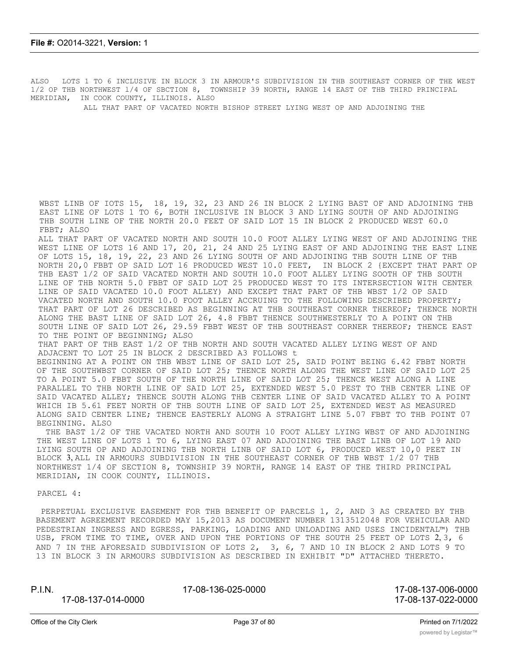ALSO LOTS 1 TO 6 INCLUSIVE IN BLOCK 3 IN ARMOUR'S SUBDIVISION IN THB SOUTHEAST CORNER OF THE WEST 1/2 OP THB NORTHWEST l/4 OF SBCTION 8, TOWNSHIP 39 NORTH, RANGE 14 EAST OF THB THIRD PRINCIPAL MERIDIAN, IN COOK COUNTY, ILLINOIS. ALSO

ALL THAT PART OF VACATED NORTH BISHOP STREET LYING WEST OP AND ADJOINING THE

WBST LINB OF IOTS 15, 18, 19, 32, 23 AND 26 IN BLOCK 2 LYING BAST OF AND ADJOINING THB EAST LINE OF LOTS 1 TO 6, BOTH INCLUSIVE IN BLOCK 3 AND LYING SOUTH OF AND ADJOINING THB SOUTH LINE OF THE NORTH 20.0 FEET OF SAID LOT 15 IN BLOCK 2 PRODUCED WEST 60.0 FBBT; ALSO

ALL THAT PART OF VACATED NORTH AND SOUTH 10.0 FOOT ALLEY LYING WEST OF AND ADJOINING THE WEST LINE OF LOTS 16 AND 17, 20, 21, 24 AND 25 LYING EAST OF AND ADJOINING THE EAST LINE OF LOTS 15, 18, 19, 22, 23 AND 26 LYING SOUTH OF AND ADJOINING THB SOUTH LINE OF THB NORTH 20,0 FBBT OP SAID LOT 16 PRODUCED WEST 10.0 FEET, IN BLOCK 2 {EXCEPT THAT PART OP THB EAST 1/2 OF SAID VACATED NORTH AND SOUTH 10.0 FOOT ALLEY LYING SOOTH OF THB SOUTH LINE OF THB NORTH 5.0 FBBT OF SAID LOT 25 PRODUCED WEST TO ITS INTERSECTION WITH CENTER LINE OP SAID VACATED 10.0 FOOT ALLEY) AND EXCEPT THAT PART OF THB WBST 1/2 OP SAID VACATED NORTH AND SOUTH 10.0 FOOT ALLEY ACCRUING TO THE FOLLOWING DESCRIBED PROPERTY; THAT PART OF LOT 26 DESCRIBED AS BEGINNING AT THB SOUTHEAST CORNER THEREOF; THENCE NORTH ALONG THE BAST LINE OF SAID LOT 26, 4.8 FBBT THENCE SOUTHWESTERLY TO A POINT ON THB SOUTH LINE OF SAID LOT 26, 29.59 FBBT WEST OF THB SOUTHEAST CORNER THEREOF; THENCE EAST TO THE POINT OF BEGINNING; ALSO

THAT PART OF THB EAST 1/2 OF THB NORTH AND SOUTH VACATED ALLEY LYING WEST OF AND ADJACENT TO LOT 25 IN BLOCK 2 DESCRIBED A3 FOLLOWS t

BEGINNING AT A POINT ON THB WBST LINE OF SAID LOT 25, SAID POINT BEING 6.42 FBBT NORTH OF THE SOUTHWBST CORNER OF SAID LOT 25; THENCE NORTH ALONG THE WEST LINE OF SAID LOT 25 TO A POINT 5.0 FBBT SOUTH OF THE NORTH LINE OF SAID LOT 25; THENCE WEST ALONG A LINE PARALLEL TO THB NORTH LINE OF SAID LOT 25, EXTENDED WEST 5.0 PEST TO THB CENTER LINE OF SAID VACATED ALLEY; THENCE SOUTH ALONG THB CENTER LINE OF SAID VACATED ALLEY TO A POINT WHICH IB 5.61 FEET NORTH OF THB SOUTH LINE OF SAID LOT 25, EXTENDED WEST AS MEASURED ALONG SAID CENTER LINE; THENCE EASTERLY ALONG A STRAIGHT LINE 5.07 FBBT TO THB POINT 07 BEGINNING. ALSO

THE BAST 1/2 OF THE VACATED NORTH AND SOUTH 10 FOOT ALLEY LYING WBST OF AND ADJOINING THE WEST LINE OF LOTS 1 TO 6, LYING EAST 07 AND ADJOINING THE BAST LINB OF LOT 19 AND LYING SOUTH OP AND ADJOINING THB NORTH LINB OF SAID LOT 6, PRODUCED WEST 10,0 PEET IN BLOCK 3, ALL IN ARMOURS SUBDIVISION IN THE SOUTHEAST CORNER OF THB WBST 1/2 07 THB NORTHWEST 1/4 OF SECTION 8, TOWNSHIP 39 NORTH, RANGE 14 EAST OF THE THIRD PRINCIPAL MERIDIAN, IN COOK COUNTY, ILLINOIS.

PARCEL 4:

PERPETUAL EXCLUSIVE EASEMENT FOR THB BENEFIT OP PARCELS 1, 2, AND 3 AS CREATED BY THB BASEMENT AGREEMENT RECORDED MAY 15,2013 AS DOCUMENT NUMBER 1313512048 FOR VEHICULAR AND PEDESTRIAN INGRESS AND EGRESS, PARKING, LOADING AND UNLOADING AND USES INCIDENTAL™) THB USB, FROM TIME TO TIME, OVER AND UPON THE PORTIONS OF THE SOUTH 25 FEET OP LOTS 2, 3, 6 AND 7 IN THE AFORESAID SUBDIVISION OF LOTS 2, 3, 6, 7 AND 10 IN BLOCK 2 AND LOTS 9 TO 13 IN BLOCK 3 IN ARMOURS SUBDIVISION AS DESCRIBED IN EXHIBIT "D" ATTACHED THERETO.

P.I.N. 17-08-136-025-0000 17-08-137-006-0000

17-08-137-014-0000 17-08-137-022-0000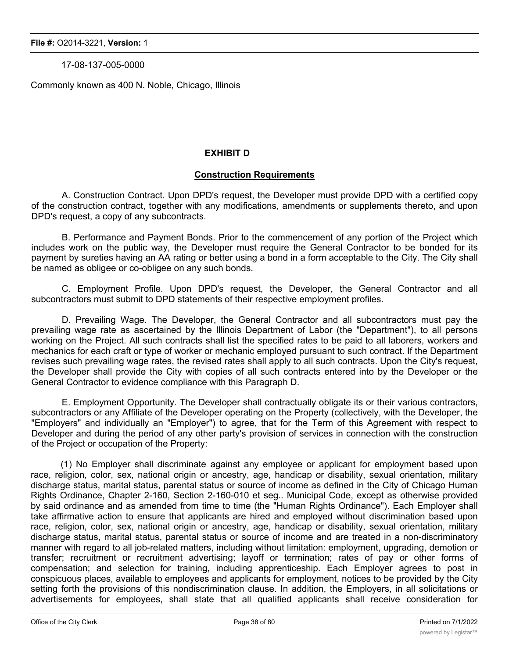17-08-137-005-0000

Commonly known as 400 N. Noble, Chicago, Illinois

### **EXHIBIT D**

### **Construction Requirements**

A. Construction Contract. Upon DPD's request, the Developer must provide DPD with a certified copy of the construction contract, together with any modifications, amendments or supplements thereto, and upon DPD's request, a copy of any subcontracts.

B. Performance and Payment Bonds. Prior to the commencement of any portion of the Project which includes work on the public way, the Developer must require the General Contractor to be bonded for its payment by sureties having an AA rating or better using a bond in a form acceptable to the City. The City shall be named as obligee or co-obligee on any such bonds.

C. Employment Profile. Upon DPD's request, the Developer, the General Contractor and all subcontractors must submit to DPD statements of their respective employment profiles.

D. Prevailing Wage. The Developer, the General Contractor and all subcontractors must pay the prevailing wage rate as ascertained by the Illinois Department of Labor (the "Department"), to all persons working on the Project. All such contracts shall list the specified rates to be paid to all laborers, workers and mechanics for each craft or type of worker or mechanic employed pursuant to such contract. If the Department revises such prevailing wage rates, the revised rates shall apply to all such contracts. Upon the City's request, the Developer shall provide the City with copies of all such contracts entered into by the Developer or the General Contractor to evidence compliance with this Paragraph D.

E. Employment Opportunity. The Developer shall contractually obligate its or their various contractors, subcontractors or any Affiliate of the Developer operating on the Property (collectively, with the Developer, the "Employers" and individually an "Employer") to agree, that for the Term of this Agreement with respect to Developer and during the period of any other party's provision of services in connection with the construction of the Project or occupation of the Property:

(1) No Employer shall discriminate against any employee or applicant for employment based upon race, religion, color, sex, national origin or ancestry, age, handicap or disability, sexual orientation, military discharge status, marital status, parental status or source of income as defined in the City of Chicago Human Rights Ordinance, Chapter 2-160, Section 2-160-010 et seg.. Municipal Code, except as otherwise provided by said ordinance and as amended from time to time (the "Human Rights Ordinance"). Each Employer shall take affirmative action to ensure that applicants are hired and employed without discrimination based upon race, religion, color, sex, national origin or ancestry, age, handicap or disability, sexual orientation, military discharge status, marital status, parental status or source of income and are treated in a non-discriminatory manner with regard to all job-related matters, including without limitation: employment, upgrading, demotion or transfer; recruitment or recruitment advertising; layoff or termination; rates of pay or other forms of compensation; and selection for training, including apprenticeship. Each Employer agrees to post in conspicuous places, available to employees and applicants for employment, notices to be provided by the City setting forth the provisions of this nondiscrimination clause. In addition, the Employers, in all solicitations or advertisements for employees, shall state that all qualified applicants shall receive consideration for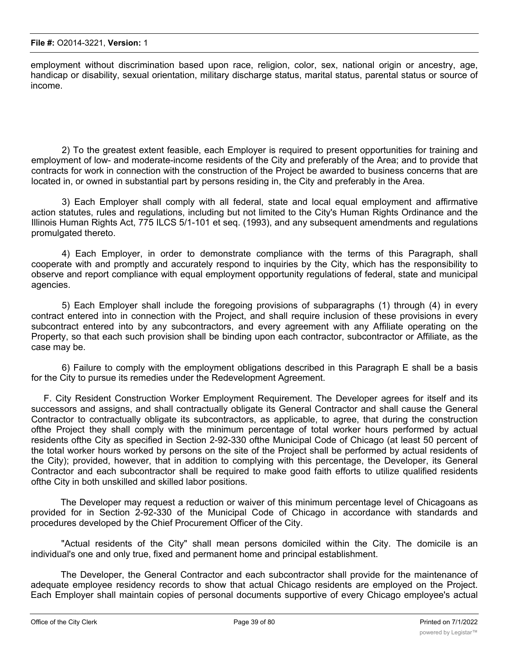employment without discrimination based upon race, religion, color, sex, national origin or ancestry, age, handicap or disability, sexual orientation, military discharge status, marital status, parental status or source of income.

2) To the greatest extent feasible, each Employer is required to present opportunities for training and employment of low- and moderate-income residents of the City and preferably of the Area; and to provide that contracts for work in connection with the construction of the Project be awarded to business concerns that are located in, or owned in substantial part by persons residing in, the City and preferably in the Area.

3) Each Employer shall comply with all federal, state and local equal employment and affirmative action statutes, rules and regulations, including but not limited to the City's Human Rights Ordinance and the Illinois Human Rights Act, 775 ILCS 5/1-101 et seq. (1993), and any subsequent amendments and regulations promulgated thereto.

4) Each Employer, in order to demonstrate compliance with the terms of this Paragraph, shall cooperate with and promptly and accurately respond to inquiries by the City, which has the responsibility to observe and report compliance with equal employment opportunity regulations of federal, state and municipal agencies.

5) Each Employer shall include the foregoing provisions of subparagraphs (1) through (4) in every contract entered into in connection with the Project, and shall require inclusion of these provisions in every subcontract entered into by any subcontractors, and every agreement with any Affiliate operating on the Property, so that each such provision shall be binding upon each contractor, subcontractor or Affiliate, as the case may be.

6) Failure to comply with the employment obligations described in this Paragraph E shall be a basis for the City to pursue its remedies under the Redevelopment Agreement.

F. City Resident Construction Worker Employment Requirement. The Developer agrees for itself and its successors and assigns, and shall contractually obligate its General Contractor and shall cause the General Contractor to contractually obligate its subcontractors, as applicable, to agree, that during the construction ofthe Project they shall comply with the minimum percentage of total worker hours performed by actual residents ofthe City as specified in Section 2-92-330 ofthe Municipal Code of Chicago (at least 50 percent of the total worker hours worked by persons on the site of the Project shall be performed by actual residents of the City); provided, however, that in addition to complying with this percentage, the Developer, its General Contractor and each subcontractor shall be required to make good faith efforts to utilize qualified residents ofthe City in both unskilled and skilled labor positions.

The Developer may request a reduction or waiver of this minimum percentage level of Chicagoans as provided for in Section 2-92-330 of the Municipal Code of Chicago in accordance with standards and procedures developed by the Chief Procurement Officer of the City.

"Actual residents of the City" shall mean persons domiciled within the City. The domicile is an individual's one and only true, fixed and permanent home and principal establishment.

The Developer, the General Contractor and each subcontractor shall provide for the maintenance of adequate employee residency records to show that actual Chicago residents are employed on the Project. Each Employer shall maintain copies of personal documents supportive of every Chicago employee's actual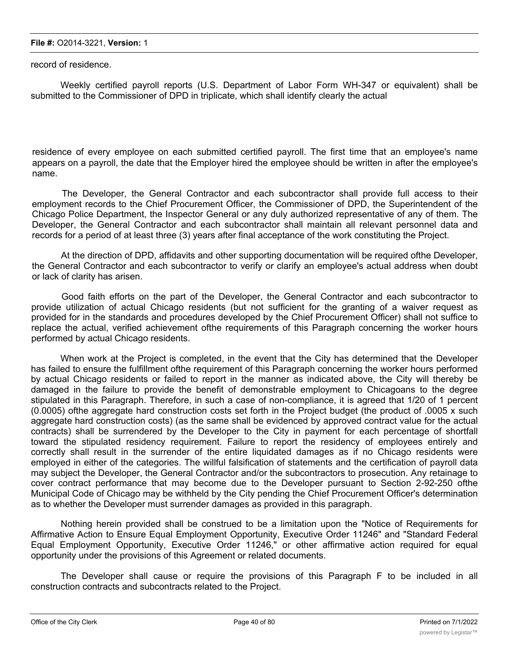record of residence.

Weekly certified payroll reports (U.S. Department of Labor Form WH-347 or equivalent) shall be submitted to the Commissioner of DPD in triplicate, which shall identify clearly the actual

residence of every employee on each submitted certified payroll. The first time that an employee's name appears on a payroll, the date that the Employer hired the employee should be written in after the employee's name.

The Developer, the General Contractor and each subcontractor shall provide full access to their employment records to the Chief Procurement Officer, the Commissioner of DPD, the Superintendent of the Chicago Police Department, the Inspector General or any duly authorized representative of any of them. The Developer, the General Contractor and each subcontractor shall maintain all relevant personnel data and records for a period of at least three (3) years after final acceptance of the work constituting the Project.

At the direction of DPD, affidavits and other supporting documentation will be required ofthe Developer, the General Contractor and each subcontractor to verify or clarify an employee's actual address when doubt or lack of clarity has arisen.

Good faith efforts on the part of the Developer, the General Contractor and each subcontractor to provide utilization of actual Chicago residents (but not sufficient for the granting of a waiver request as provided for in the standards and procedures developed by the Chief Procurement Officer) shall not suffice to replace the actual, verified achievement ofthe requirements of this Paragraph concerning the worker hours performed by actual Chicago residents.

When work at the Project is completed, in the event that the City has determined that the Developer has failed to ensure the fulfillment ofthe requirement of this Paragraph concerning the worker hours performed by actual Chicago residents or failed to report in the manner as indicated above, the City will thereby be damaged in the failure to provide the benefit of demonstrable employment to Chicagoans to the degree stipulated in this Paragraph. Therefore, in such a case of non-compliance, it is agreed that 1/20 of 1 percent (0.0005) ofthe aggregate hard construction costs set forth in the Project budget (the product of .0005 x such aggregate hard construction costs) (as the same shall be evidenced by approved contract value for the actual contracts) shall be surrendered by the Developer to the City in payment for each percentage of shortfall toward the stipulated residency requirement. Failure to report the residency of employees entirely and correctly shall result in the surrender of the entire liquidated damages as if no Chicago residents were employed in either of the categories. The willful falsification of statements and the certification of payroll data may subject the Developer, the General Contractor and/or the subcontractors to prosecution. Any retainage to cover contract performance that may become due to the Developer pursuant to Section 2-92-250 ofthe Municipal Code of Chicago may be withheld by the City pending the Chief Procurement Officer's determination as to whether the Developer must surrender damages as provided in this paragraph.

Nothing herein provided shall be construed to be a limitation upon the "Notice of Requirements for Affirmative Action to Ensure Equal Employment Opportunity, Executive Order 11246" and "Standard Federal Equal Employment Opportunity, Executive Order 11246," or other affirmative action required for equal opportunity under the provisions of this Agreement or related documents.

The Developer shall cause or require the provisions of this Paragraph F to be included in all construction contracts and subcontracts related to the Project.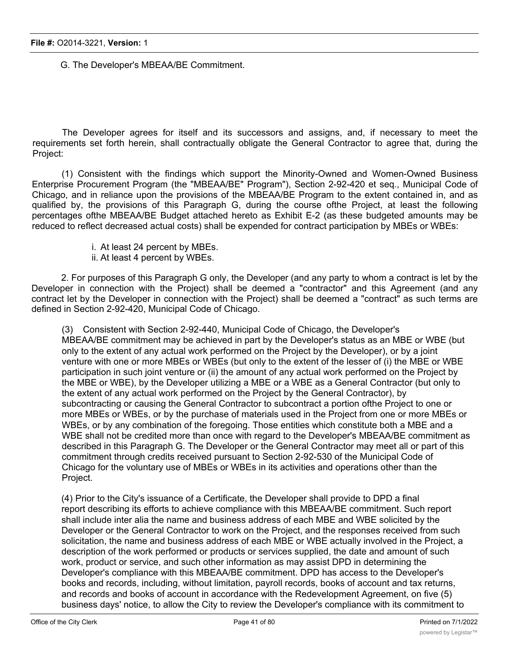G. The Developer's MBEAA/BE Commitment.

The Developer agrees for itself and its successors and assigns, and, if necessary to meet the requirements set forth herein, shall contractually obligate the General Contractor to agree that, during the Project:

(1) Consistent with the findings which support the Minority-Owned and Women-Owned Business Enterprise Procurement Program (the "MBEAA/BE" Program"), Section 2-92-420 et seq., Municipal Code of Chicago, and in reliance upon the provisions of the MBEAA/BE Program to the extent contained in, and as qualified by, the provisions of this Paragraph G, during the course ofthe Project, at least the following percentages ofthe MBEAA/BE Budget attached hereto as Exhibit E-2 (as these budgeted amounts may be reduced to reflect decreased actual costs) shall be expended for contract participation by MBEs or WBEs:

- i. At least 24 percent by MBEs.
- ii. At least 4 percent by WBEs.

2. For purposes of this Paragraph G only, the Developer (and any party to whom a contract is let by the Developer in connection with the Project) shall be deemed a "contractor" and this Agreement (and any contract let by the Developer in connection with the Project) shall be deemed a "contract" as such terms are defined in Section 2-92-420, Municipal Code of Chicago.

(3) Consistent with Section 2-92-440, Municipal Code of Chicago, the Developer's MBEAA/BE commitment may be achieved in part by the Developer's status as an MBE or WBE (but only to the extent of any actual work performed on the Project by the Developer), or by a joint venture with one or more MBEs or WBEs (but only to the extent of the lesser of (i) the MBE or WBE participation in such joint venture or (ii) the amount of any actual work performed on the Project by the MBE or WBE), by the Developer utilizing a MBE or a WBE as a General Contractor (but only to the extent of any actual work performed on the Project by the General Contractor), by subcontracting or causing the General Contractor to subcontract a portion ofthe Project to one or more MBEs or WBEs, or by the purchase of materials used in the Project from one or more MBEs or WBEs, or by any combination of the foregoing. Those entities which constitute both a MBE and a WBE shall not be credited more than once with regard to the Developer's MBEAA/BE commitment as described in this Paragraph G. The Developer or the General Contractor may meet all or part of this commitment through credits received pursuant to Section 2-92-530 of the Municipal Code of Chicago for the voluntary use of MBEs or WBEs in its activities and operations other than the Project.

(4) Prior to the City's issuance of a Certificate, the Developer shall provide to DPD a final report describing its efforts to achieve compliance with this MBEAA/BE commitment. Such report shall include inter alia the name and business address of each MBE and WBE solicited by the Developer or the General Contractor to work on the Project, and the responses received from such solicitation, the name and business address of each MBE or WBE actually involved in the Project, a description of the work performed or products or services supplied, the date and amount of such work, product or service, and such other information as may assist DPD in determining the Developer's compliance with this MBEAA/BE commitment. DPD has access to the Developer's books and records, including, without limitation, payroll records, books of account and tax returns, and records and books of account in accordance with the Redevelopment Agreement, on five (5) business days' notice, to allow the City to review the Developer's compliance with its commitment to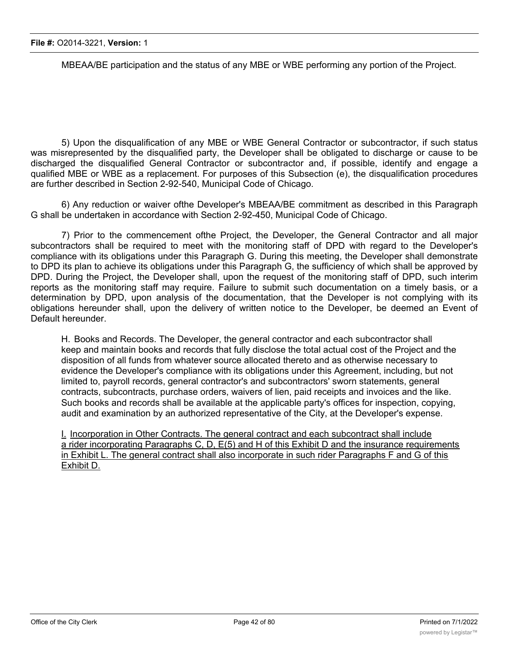MBEAA/BE participation and the status of any MBE or WBE performing any portion of the Project.

5) Upon the disqualification of any MBE or WBE General Contractor or subcontractor, if such status was misrepresented by the disqualified party, the Developer shall be obligated to discharge or cause to be discharged the disqualified General Contractor or subcontractor and, if possible, identify and engage a qualified MBE or WBE as a replacement. For purposes of this Subsection (e), the disqualification procedures are further described in Section 2-92-540, Municipal Code of Chicago.

6) Any reduction or waiver ofthe Developer's MBEAA/BE commitment as described in this Paragraph G shall be undertaken in accordance with Section 2-92-450, Municipal Code of Chicago.

7) Prior to the commencement ofthe Project, the Developer, the General Contractor and all major subcontractors shall be required to meet with the monitoring staff of DPD with regard to the Developer's compliance with its obligations under this Paragraph G. During this meeting, the Developer shall demonstrate to DPD its plan to achieve its obligations under this Paragraph G, the sufficiency of which shall be approved by DPD. During the Project, the Developer shall, upon the request of the monitoring staff of DPD, such interim reports as the monitoring staff may require. Failure to submit such documentation on a timely basis, or a determination by DPD, upon analysis of the documentation, that the Developer is not complying with its obligations hereunder shall, upon the delivery of written notice to the Developer, be deemed an Event of Default hereunder.

H. Books and Records. The Developer, the general contractor and each subcontractor shall keep and maintain books and records that fully disclose the total actual cost of the Project and the disposition of all funds from whatever source allocated thereto and as otherwise necessary to evidence the Developer's compliance with its obligations under this Agreement, including, but not limited to, payroll records, general contractor's and subcontractors' sworn statements, general contracts, subcontracts, purchase orders, waivers of lien, paid receipts and invoices and the like. Such books and records shall be available at the applicable party's offices for inspection, copying, audit and examination by an authorized representative of the City, at the Developer's expense.

I. Incorporation in Other Contracts. The general contract and each subcontract shall include a rider incorporating Paragraphs C, D, E(5) and H of this Exhibit D and the insurance requirements in Exhibit L. The general contract shall also incorporate in such rider Paragraphs F and G of this Exhibit D.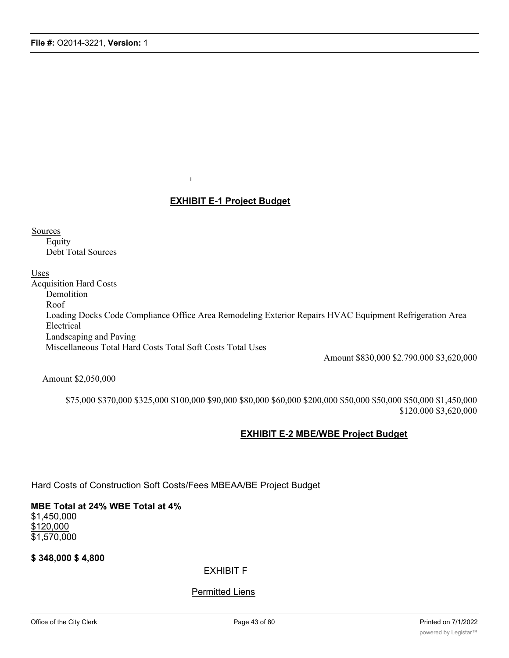i

### **EXHIBIT E-1 Project Budget**

**Sources** 

Equity Debt Total Sources

Uses

Acquisition Hard Costs Demolition Roof Loading Docks Code Compliance Office Area Remodeling Exterior Repairs HVAC Equipment Refrigeration Area Electrical Landscaping and Paving Miscellaneous Total Hard Costs Total Soft Costs Total Uses

Amount \$830,000 \$2.790.000 \$3,620,000

Amount \$2,050,000

\$75,000 \$370,000 \$325,000 \$100,000 \$90,000 \$80,000 \$60,000 \$200,000 \$50,000 \$50,000 \$50,000 \$1,450,000 \$120.000 \$3,620,000

### **EXHIBIT E-2 MBE/WBE Project Budget**

Hard Costs of Construction Soft Costs/Fees MBEAA/BE Project Budget

### **MBE Total at 24% WBE Total at 4%** \$1,450,000 \$120,000 \$1,570,000

**\$ 348,000 \$ 4,800**

EXHIBIT F

### **Permitted Liens**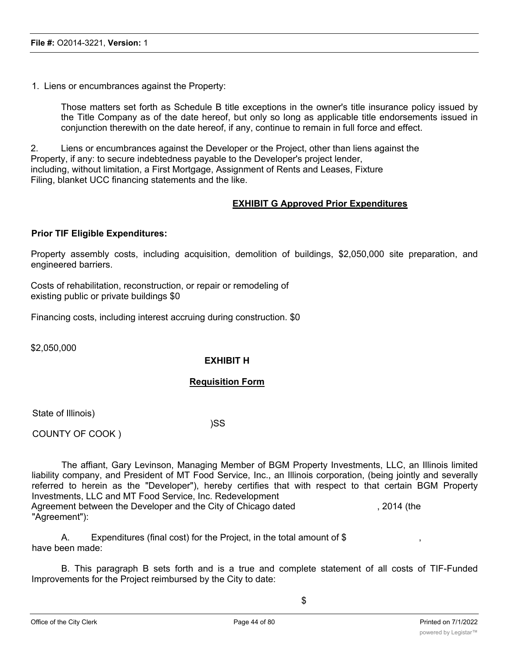1. Liens or encumbrances against the Property:

Those matters set forth as Schedule B title exceptions in the owner's title insurance policy issued by the Title Company as of the date hereof, but only so long as applicable title endorsements issued in conjunction therewith on the date hereof, if any, continue to remain in full force and effect.

2. Liens or encumbrances against the Developer or the Project, other than liens against the Property, if any: to secure indebtedness payable to the Developer's project lender, including, without limitation, a First Mortgage, Assignment of Rents and Leases, Fixture Filing, blanket UCC financing statements and the like.

### **EXHIBIT G Approved Prior Expenditures**

### **Prior TIF Eligible Expenditures:**

Property assembly costs, including acquisition, demolition of buildings, \$2,050,000 site preparation, and engineered barriers.

Costs of rehabilitation, reconstruction, or repair or remodeling of existing public or private buildings \$0

Financing costs, including interest accruing during construction. \$0

\$2,050,000

### **EXHIBIT H**

### **Requisition Form**

State of Illinois)

)SS

COUNTY OF COOK )

The affiant, Gary Levinson, Managing Member of BGM Property Investments, LLC, an Illinois limited liability company, and President of MT Food Service, Inc., an Illinois corporation, (being jointly and severally referred to herein as the "Developer"), hereby certifies that with respect to that certain BGM Property Investments, LLC and MT Food Service, Inc. Redevelopment Agreement between the Developer and the City of Chicago dated , 2014 (the "Agreement"):

A. Expenditures (final cost) for the Project, in the total amount of  $\$$  , , have been made:

B. This paragraph B sets forth and is a true and complete statement of all costs of TIF-Funded Improvements for the Project reimbursed by the City to date: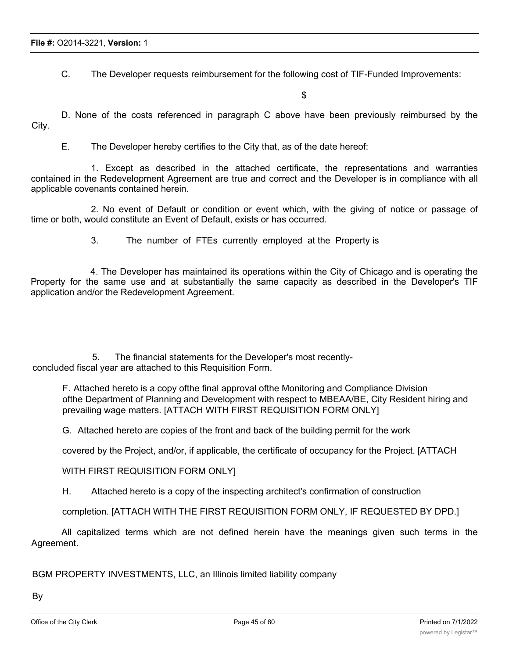C. The Developer requests reimbursement for the following cost of TIF-Funded Improvements:

\$

D. None of the costs referenced in paragraph C above have been previously reimbursed by the City.

E. The Developer hereby certifies to the City that, as of the date hereof:

1. Except as described in the attached certificate, the representations and warranties contained in the Redevelopment Agreement are true and correct and the Developer is in compliance with all applicable covenants contained herein.

2. No event of Default or condition or event which, with the giving of notice or passage of time or both, would constitute an Event of Default, exists or has occurred.

3. The number of FTEs currently employed at the Property is

4. The Developer has maintained its operations within the City of Chicago and is operating the Property for the same use and at substantially the same capacity as described in the Developer's TIF application and/or the Redevelopment Agreement.

5. The financial statements for the Developer's most recentlyconcluded fiscal year are attached to this Requisition Form.

F. Attached hereto is a copy ofthe final approval ofthe Monitoring and Compliance Division ofthe Department of Planning and Development with respect to MBEAA/BE, City Resident hiring and prevailing wage matters. [ATTACH WITH FIRST REQUISITION FORM ONLY]

G. Attached hereto are copies of the front and back of the building permit for the work

covered by the Project, and/or, if applicable, the certificate of occupancy for the Project. [ATTACH

WITH FIRST REQUISITION FORM ONLY]

H. Attached hereto is a copy of the inspecting architect's confirmation of construction

completion. [ATTACH WITH THE FIRST REQUISITION FORM ONLY, IF REQUESTED BY DPD.]

All capitalized terms which are not defined herein have the meanings given such terms in the Agreement.

BGM PROPERTY INVESTMENTS, LLC, an Illinois limited liability company

By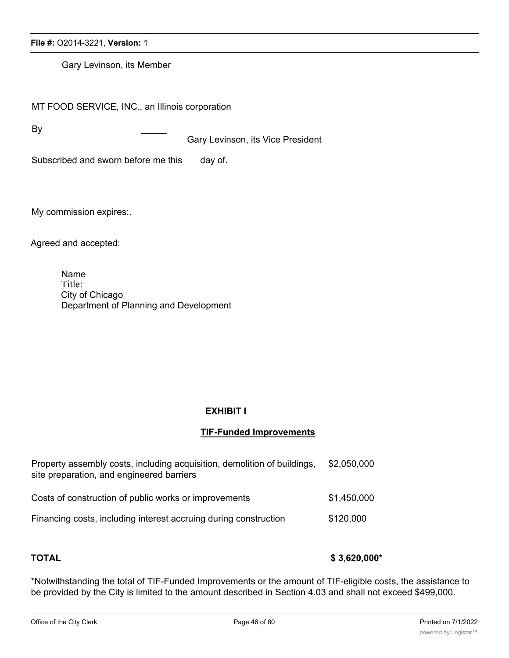Gary Levinson, its Member

MT FOOD SERVICE, INC., an Illinois corporation

By \_\_\_\_\_

Gary Levinson, its Vice President

Subscribed and sworn before me this day of.

My commission expires:.

Agreed and accepted:

Name Title: City of Chicago Department of Planning and Development

### **EXHIBIT I**

### **TIF-Funded Improvements**

| Property assembly costs, including acquisition, demolition of buildings,<br>site preparation, and engineered barriers | \$2,050,000 |
|-----------------------------------------------------------------------------------------------------------------------|-------------|
| Costs of construction of public works or improvements                                                                 | \$1,450,000 |
| Financing costs, including interest accruing during construction                                                      | \$120,000   |

## **TOTAL \$ 3,620,000\***

\*Notwithstanding the total of TIF-Funded Improvements or the amount of TIF-eligible costs, the assistance to be provided by the City is limited to the amount described in Section 4.03 and shall not exceed \$499,000.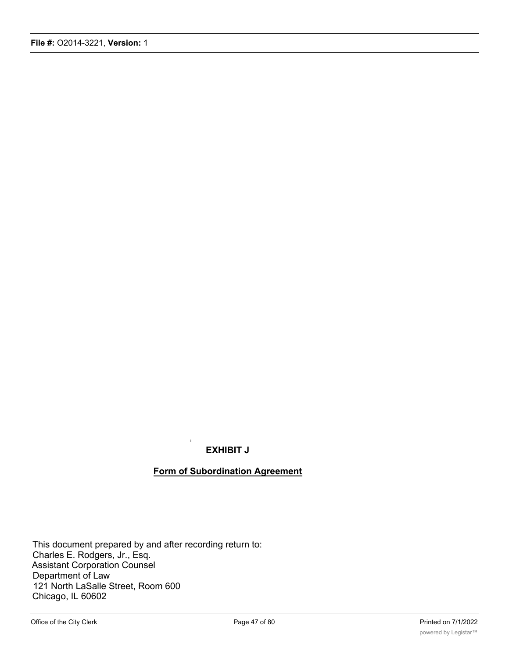## **EXHIBIT J**

i

### **Form of Subordination Agreement**

This document prepared by and after recording return to: Charles E. Rodgers, Jr., Esq. Assistant Corporation Counsel Department of Law 121 North LaSalle Street, Room 600 Chicago, IL 60602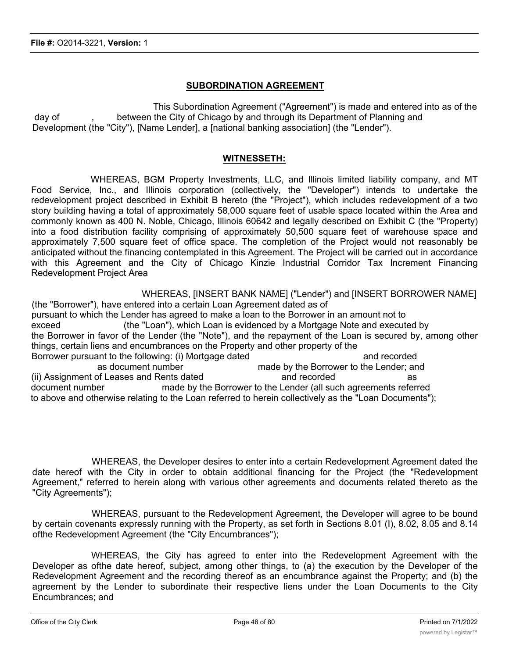### **SUBORDINATION AGREEMENT**

This Subordination Agreement ("Agreement") is made and entered into as of the day of figure of the City of Chicago by and through its Department of Planning and Development (the "City"), [Name Lender], a [national banking association] (the "Lender").

### **WITNESSETH:**

WHEREAS, BGM Property Investments, LLC, and Illinois limited liability company, and MT Food Service, Inc., and Illinois corporation (collectively, the "Developer") intends to undertake the redevelopment project described in Exhibit B hereto (the "Project"), which includes redevelopment of a two story building having a total of approximately 58,000 square feet of usable space located within the Area and commonly known as 400 N. Noble, Chicago, Illinois 60642 and legally described on Exhibit C (the "Property) into a food distribution facility comprising of approximately 50,500 square feet of warehouse space and approximately 7,500 square feet of office space. The completion of the Project would not reasonably be anticipated without the financing contemplated in this Agreement. The Project will be carried out in accordance with this Agreement and the City of Chicago Kinzie Industrial Corridor Tax Increment Financing Redevelopment Project Area

WHEREAS, [INSERT BANK NAME] ("Lender") and [INSERT BORROWER NAME] (the "Borrower"), have entered into a certain Loan Agreement dated as of pursuant to which the Lender has agreed to make a loan to the Borrower in an amount not to exceed (the "Loan"), which Loan is evidenced by a Mortgage Note and executed by the Borrower in favor of the Lender (the "Note"), and the repayment of the Loan is secured by, among other things, certain liens and encumbrances on the Property and other property of the Borrower pursuant to the following: (i) Mortgage dated and recorded and recorded as document number made by the Borrower to the Lender; and (ii) Assignment of Leases and Rents dated and recorded and recorded as document number made by the Borrower to the Lender (all such agreements referred to above and otherwise relating to the Loan referred to herein collectively as the "Loan Documents");

WHEREAS, the Developer desires to enter into a certain Redevelopment Agreement dated the date hereof with the City in order to obtain additional financing for the Project (the "Redevelopment Agreement," referred to herein along with various other agreements and documents related thereto as the "City Agreements");

WHEREAS, pursuant to the Redevelopment Agreement, the Developer will agree to be bound by certain covenants expressly running with the Property, as set forth in Sections 8.01 (I), 8.02, 8.05 and 8.14 ofthe Redevelopment Agreement (the "City Encumbrances");

WHEREAS, the City has agreed to enter into the Redevelopment Agreement with the Developer as ofthe date hereof, subject, among other things, to (a) the execution by the Developer of the Redevelopment Agreement and the recording thereof as an encumbrance against the Property; and (b) the agreement by the Lender to subordinate their respective liens under the Loan Documents to the City Encumbrances; and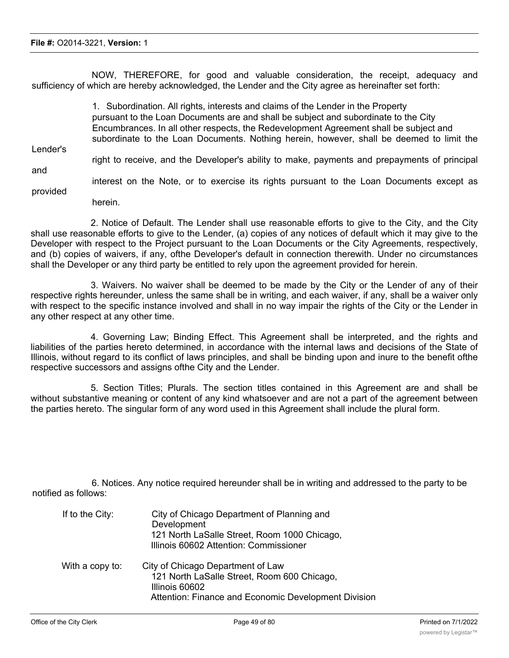NOW, THEREFORE, for good and valuable consideration, the receipt, adequacy and sufficiency of which are hereby acknowledged, the Lender and the City agree as hereinafter set forth:

1. Subordination. All rights, interests and claims of the Lender in the Property pursuant to the Loan Documents are and shall be subject and subordinate to the City Encumbrances. In all other respects, the Redevelopment Agreement shall be subject and subordinate to the Loan Documents. Nothing herein, however, shall be deemed to limit the Lender's right to receive, and the Developer's ability to make, payments and prepayments of principal and interest on the Note, or to exercise its rights pursuant to the Loan Documents except as provided herein.

2. Notice of Default. The Lender shall use reasonable efforts to give to the City, and the City shall use reasonable efforts to give to the Lender, (a) copies of any notices of default which it may give to the Developer with respect to the Project pursuant to the Loan Documents or the City Agreements, respectively, and (b) copies of waivers, if any, ofthe Developer's default in connection therewith. Under no circumstances shall the Developer or any third party be entitled to rely upon the agreement provided for herein.

3. Waivers. No waiver shall be deemed to be made by the City or the Lender of any of their respective rights hereunder, unless the same shall be in writing, and each waiver, if any, shall be a waiver only with respect to the specific instance involved and shall in no way impair the rights of the City or the Lender in any other respect at any other time.

4. Governing Law; Binding Effect. This Agreement shall be interpreted, and the rights and liabilities of the parties hereto determined, in accordance with the internal laws and decisions of the State of Illinois, without regard to its conflict of laws principles, and shall be binding upon and inure to the benefit ofthe respective successors and assigns ofthe City and the Lender.

5. Section Titles; Plurals. The section titles contained in this Agreement are and shall be without substantive meaning or content of any kind whatsoever and are not a part of the agreement between the parties hereto. The singular form of any word used in this Agreement shall include the plural form.

6. Notices. Any notice required hereunder shall be in writing and addressed to the party to be notified as follows:

| If to the City: | City of Chicago Department of Planning and<br>Development<br>121 North LaSalle Street, Room 1000 Chicago,<br>Illinois 60602 Attention: Commissioner        |
|-----------------|------------------------------------------------------------------------------------------------------------------------------------------------------------|
| With a copy to: | City of Chicago Department of Law<br>121 North LaSalle Street, Room 600 Chicago,<br>Illinois 60602<br>Attention: Finance and Economic Development Division |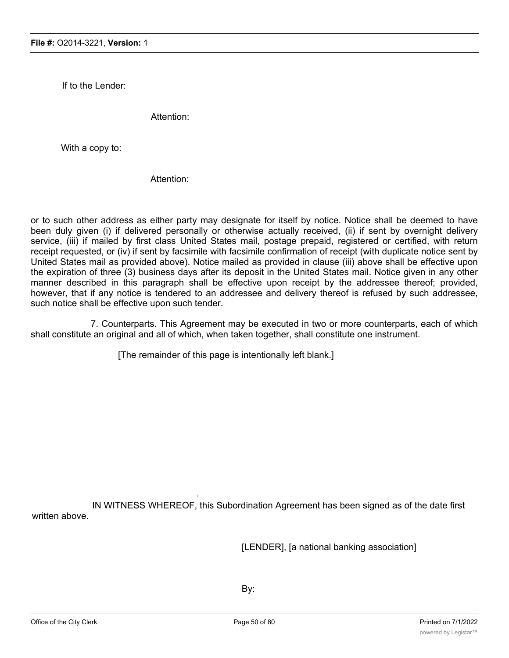If to the Lender:

Attention:

With a copy to:

Attention:

or to such other address as either party may designate for itself by notice. Notice shall be deemed to have been duly given (i) if delivered personally or otherwise actually received, (ii) if sent by overnight delivery service, (iii) if mailed by first class United States mail, postage prepaid, registered or certified, with return receipt requested, or (iv) if sent by facsimile with facsimile confirmation of receipt (with duplicate notice sent by United States mail as provided above). Notice mailed as provided in clause (iii) above shall be effective upon the expiration of three (3) business days after its deposit in the United States mail. Notice given in any other manner described in this paragraph shall be effective upon receipt by the addressee thereof; provided, however, that if any notice is tendered to an addressee and delivery thereof is refused by such addressee, such notice shall be effective upon such tender.

7. Counterparts. This Agreement may be executed in two or more counterparts, each of which shall constitute an original and all of which, when taken together, shall constitute one instrument.

[The remainder of this page is intentionally left blank.]

IN WITNESS WHEREOF, this Subordination Agreement has been signed as of the date first written above.

i

[LENDER], [a national banking association]

By: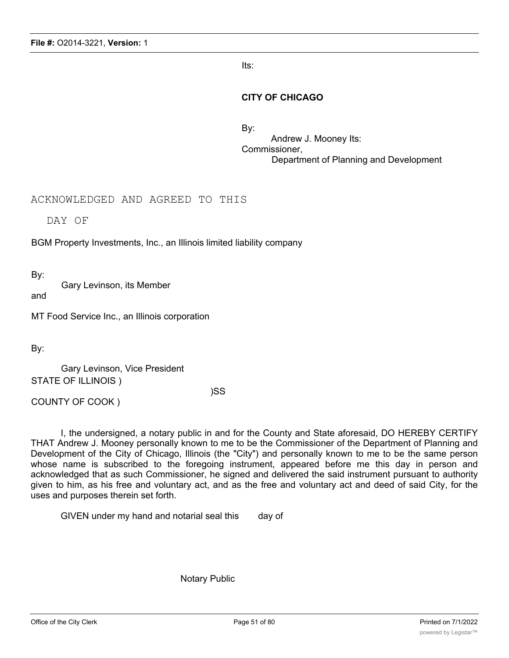Its:

### **CITY OF CHICAGO**

By: Andrew J. Mooney Its: Commissioner, Department of Planning and Development

ACKNOWLEDGED AND AGREED TO THIS

DAY OF

BGM Property Investments, Inc., an Illinois limited liability company

By:

Gary Levinson, its Member

and

MT Food Service Inc., an Illinois corporation

By:

Gary Levinson, Vice President STATE OF ILLINOIS )

)SS

COUNTY OF COOK )

I, the undersigned, a notary public in and for the County and State aforesaid, DO HEREBY CERTIFY THAT Andrew J. Mooney personally known to me to be the Commissioner of the Department of Planning and Development of the City of Chicago, Illinois (the "City") and personally known to me to be the same person whose name is subscribed to the foregoing instrument, appeared before me this day in person and acknowledged that as such Commissioner, he signed and delivered the said instrument pursuant to authority given to him, as his free and voluntary act, and as the free and voluntary act and deed of said City, for the uses and purposes therein set forth.

GIVEN under my hand and notarial seal this day of

Notary Public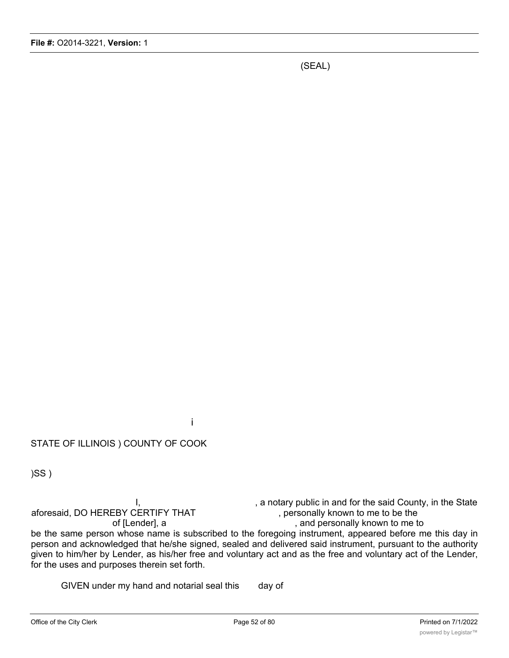(SEAL)

STATE OF ILLINOIS ) COUNTY OF COOK

)SS )

I, <br>ERTIFY THAT , a notary public in and for the said County, in the State<br>personally known to me to be the aforesaid, DO HEREBY CERTIFY THAT of [Lender], a strategies of [Lender], a strategies of [Lender], and personally known to me to be the same person whose name is subscribed to the foregoing instrument, appeared before me this day in person and acknowledged that he/she signed, sealed and delivered said instrument, pursuant to the authority given to him/her by Lender, as his/her free and voluntary act and as the free and voluntary act of the Lender, for the uses and purposes therein set forth.

GIVEN under my hand and notarial seal this day of

i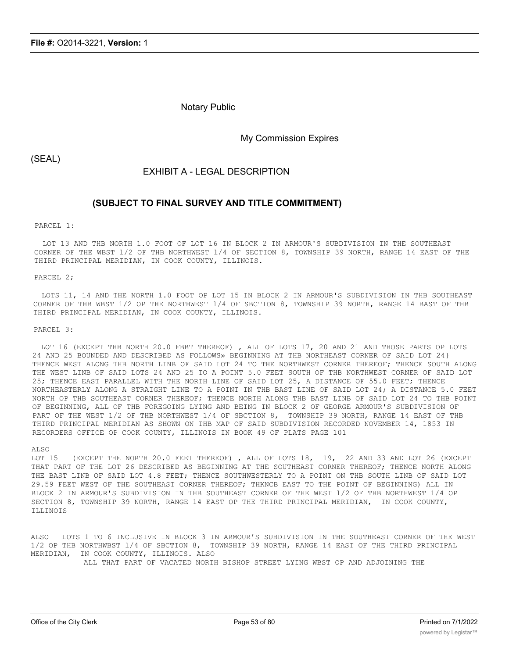Notary Public

My Commission Expires

(SEAL)

EXHIBIT A - LEGAL DESCRIPTION

### **(SUBJECT TO FINAL SURVEY AND TITLE COMMITMENT)**

#### PARCEL 1:

LOT 13 AND THB NORTH 1.0 FOOT OF LOT 16 IN BLOCK 2 IN ARMOUR'S SUBDIVISION IN THE SOUTHEAST CORNER OF THE WBST l/2 OF THB NORTHWEST l/4 OF SECTION 8, TOWNSHIP 39 NORTH, RANGE 14 EAST OF THE THIRD PRINCIPAL MERIDIAN, IN COOK COUNTY, ILLINOIS.

#### PARCEL 2;

LOTS 11, 14 AND THE NORTH 1.0 FOOT OP LOT 15 IN BLOCK 2 IN ARMOUR'S SUBDIVISION IN THB SOUTHEAST CORNER OF THB WBST 1/2 OP THE NORTHWEST l/4 OF SBCTION 8, TOWNSHIP 39 NORTH, RANGE 14 BAST OF THB THIRD PRINCIPAL MERIDIAN, IN COOK COUNTY, ILLINOIS.

PARCEL 3:

LOT 16 (EXCEPT THB NORTH 20.0 FBBT THEREOF) , ALL OF LOTS 17, 20 AND 21 AND THOSE PARTS OP LOTS 24 AND 25 BOUNDED AND DESCRIBED AS FOLLOWS» BEGINNING AT THB NORTHEAST CORNER OF SAID LOT 24} THENCE WEST ALONG THB NORTH LINB OF SAID LOT 24 TO THE NORTHWEST CORNER THEREOF; THENCE SOUTH ALONG THE WEST LINB OF SAID LOTS 24 AND 25 TO A POINT 5.0 FEET SOUTH OF THB NORTHWEST CORNER OF SAID LOT 25; THENCE EAST PARALLEL WITH THE NORTH LINE OF SAID LOT 25, A DISTANCE OF 55.0 FEET; THENCE NORTHEASTERLY ALONG A STRAIGHT LINE TO A POINT IN THB BAST LINE OF SAID LOT 24; A DISTANCE 5.0 FEET NORTH OP THB SOUTHEAST CORNER THEREOF; THENCE NORTH ALONG THB BAST LINB OF SAID LOT 24 TO THB POINT OF BEGINNING, ALL OF THB FOREGOING LYING AND BEING IN BLOCK 2 OF GEORGE ARMOUR'S SUBDIVISION OF PART OF THE WEST 1/2 OF THB NORTHWEST 1/4 OF SBCTION 8, TOWNSHIP 39 NORTH, RANGE 14 EAST OF THB THIRD PRINCIPAL MERIDIAN AS SHOWN ON THB MAP OF SAID SUBDIVISION RECORDED NOVEMBER 14, 1853 IN RECORDERS OFFICE OP COOK COUNTY, ILLINOIS IN BOOK 49 OF PLATS PAGE 101

#### ALSO

LOT 15 (EXCEPT THE NORTH 20.0 FEET THEREOF), ALL OF LOTS 18, 19, 22 AND 33 AND LOT 26 (EXCEPT THAT PART OF THE LOT 26 DESCRIBED AS BEGINNING AT THE SOUTHEAST CORNER THEREOF; THENCE NORTH ALONG THE BAST LINB OF SAID LOT 4.8 FEET; THENCE SOUTHWESTERLY TO A POINT ON THB SOUTH LINB OF SAID LOT 29.59 FEET WEST OF THE SOUTHEAST CORNER THEREOF; THKNCB EAST TO THE POINT OF BEGINNING) ALL IN BLOCK 2 IN ARMOUR'S SUBDIVISION IN THB SOUTHEAST CORNER OF THE WEST l/2 OF THB NORTHWEST 1/4 OP SECTION 8, TOWNSHIP 39 NORTH, RANGE 14 EAST OP THE THIRD PRINCIPAL MERIDIAN, IN COOK COUNTY, ILLINOIS

ALSO LOTS 1 TO 6 INCLUSIVE IN BLOCK 3 IN ARMOUR'S SUBDIVISION IN THE SOUTHEAST CORNER OF THE WEST 1/2 OP THB NORTHWBST l/4 OF SBCTION 8, TOWNSHIP 39 NORTH, RANGE 14 EAST OF THE THIRD PRINCIPAL MERIDIAN, IN COOK COUNTY, ILLINOIS. ALSO

ALL THAT PART OF VACATED NORTH BISHOP STREET LYING WBST OP AND ADJOINING THE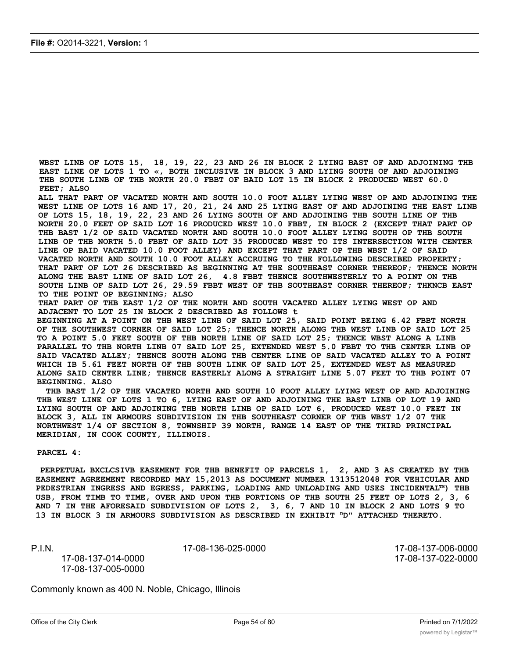**WBST LINB OF LOTS 15, 18, 19, 22, 23 AND 26 IN BLOCK 2 LYING BAST OF AND ADJOINING THB EAST LINE OF LOTS 1 TO «, BOTH INCLUSIVE IN BLOCK 3 AND LYING SOUTH OF AND ADJOINING THB SOUTH LINB OF THB NORTH 20.0 FBBT OF BAID LOT 15 IN BLOCK 2 PRODUCED WEST 60.0 FEET; ALSO**

**ALL THAT PART OF VACATED NORTH AND SOUTH 10.0 FOOT ALLEY LYING WEST OP AND ADJOINING THE WEST LINE OP LOTS 16 AND 17, 20, 21, 24 AND 25 LYING EAST OF AND ADJOINING THE EAST LINB OF LOTS 15, 18, 19, 22, 23 AND 26 LYING SOUTH OF AND ADJOINING THB SOUTH LINE OF THB NORTH 20.0 FEET OP SAID LOT 16 PRODUCED WEST 10.0 FBBT, IN BLOCK 2 (EXCEPT THAT PART OP THB BAST 1/2 OP SAID VACATED NORTH AND SOUTH 10.0 FOOT ALLEY LYING SOUTH OP THB SOUTH LINB OP THB NORTH 5.0 FBBT OF SAID LOT 35 PRODUCED WEST TO ITS INTERSECTION WITH CENTER LINE OP BAID VACATED 10.0 FOOT ALLEY) AND EXCEPT THAT PART OP THB WBST 1/2 OF SAID VACATED NORTH AND SOUTH 10.0 FOOT ALLEY ACCRUING TO THE FOLLOWING DESCRIBED PROPERTY; THAT PART OF LOT 26 DESCRIBED AS BEGINNING AT THE SOUTHEAST CORNER THEREOF; THENCE NORTH ALONG THE BAST LINE OF SAID LOT 26, 4.8 FBBT THENCE SOUTHWESTERLY TO A POINT ON THB SOUTH LINB OF SAID LOT 26, 29.59 FBBT WEST OF THB SOUTHEAST CORNER THEREOF; THKNCB EAST TO THE POINT OP BEGINNING; ALSO**

**THAT PART OF THB EAST 1/2 OF THE NORTH AND SOUTH VACATED ALLEY LYING WEST OP AND ADJACENT TO LOT 25 IN BLOCK 2 DESCRIBED AS FOLLOWS t**

**BEGINNING AT A POINT ON THB WEST LINB OF SAID LOT 25, SAID POINT BEING 6.42 FBBT NORTH OF THE SOUTHWEST CORNER OF SAID LOT 25; THENCE NORTH ALONG THB WEST LINB OP SAID LOT 25 TO A POINT 5.0 FEET SOUTH OF THB NORTH LINE OF SAID LOT 25; THENCE WBST ALONG A LINB PARALLEL TO THB NORTH LINB 07 SAID LOT 25, EXTENDED WEST 5.0 FBBT TO THB CENTER LINB OP SAID VACATED ALLEY; THENCE SOUTH ALONG THB CENTER LINE OP SAID VACATED ALLEY TO A POINT WHICH IB 5.61 FEET NORTH OF THB SOUTH LINK OF SAID LOT 25, EXTENDED WEST AS MEASURED ALONG SAID CENTER LINE; THENCE EASTERLY ALONG A STRAIGHT LINE 5.07 FEET TO THB POINT 07 BEGINNING. ALSO**

**THB BAST 1/2 OP THE VACATED NORTH AND SOUTH 10 FOOT ALLEY LYING WEST OP AND ADJOINING THB WEST LINE OF LOTS 1 TO 6, LYING EAST OF AND ADJOINING THE BAST LINB OP LOT 19 AND LYING SOUTH OP AND ADJOINING THB NORTH LINB OP SAID LOT 6, PRODUCED WEST 10.0 FEET IN BLOCK 3, ALL IN ARMOURS SUBDIVISION IN THB SOUTHEAST CORNER OF THB WBST 1/2 07 THE NORTHWEST 1/4 OF SECTION 8, TOWNSHIP 39 NORTH, RANGE 14 EAST OP THE THIRD PRINCIPAL MERIDIAN, IN COOK COUNTY, ILLINOIS.**

**PARCEL 4:**

**PERPETUAL BXCLCSIVB EASEMENT FOR THB BENEFIT OP PARCELS 1, 2, AND 3 AS CREATED BY THB EASEMENT AGREEMENT RECORDED MAY 15,2013 AS DOCUMENT NUMBER 1313512048 FOR VEHICULAR AND PEDESTRIAN INGRESS AND EGRESS, PARKING, LOADING AND UNLOADING AND USES INCIDENTAL™) THB USB, FROM TIMB TO TIME, OVER AND UPON THB PORTIONS OP THB SOUTH 25 FEET OP LOTS 2, 3, 6 AND 7 IN THE AFORESAID SUBDIVISION OF LOTS 2, 3, 6, 7 AND 10 IN BLOCK 2 AND LOTS 9 TO 13 IN BLOCK 3 IN ARMOURS SUBDIVISION AS DESCRIBED IN EXHIBIT nD" ATTACHED THERETO.**

17-08-137-014-0000 17-08-137-022-0000 17-08-137-005-0000

P.I.N. 17-08-136-025-0000 17-08-137-006-0000

Commonly known as 400 N. Noble, Chicago, Illinois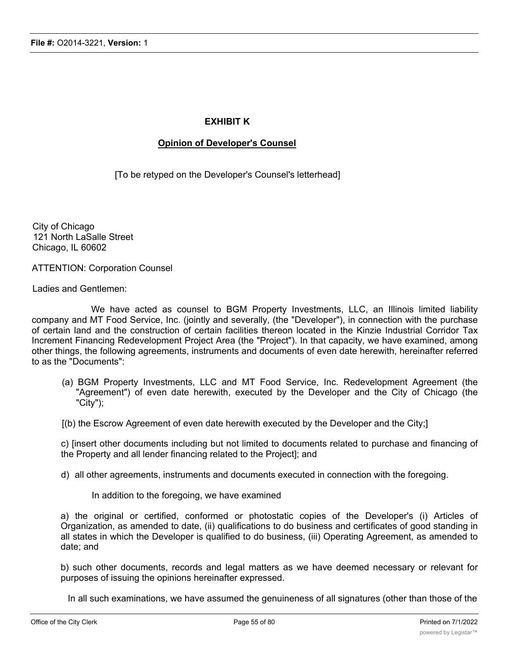### **EXHIBIT K**

### **Opinion of Developer's Counsel**

[To be retyped on the Developer's Counsel's letterhead]

City of Chicago 121 North LaSalle Street Chicago, IL 60602

ATTENTION: Corporation Counsel

Ladies and Gentlemen:

We have acted as counsel to BGM Property Investments, LLC, an Illinois limited liability company and MT Food Service, Inc. (jointly and severally, (the "Developer"), in connection with the purchase of certain land and the construction of certain facilities thereon located in the Kinzie Industrial Corridor Tax Increment Financing Redevelopment Project Area (the "Project"). In that capacity, we have examined, among other things, the following agreements, instruments and documents of even date herewith, hereinafter referred to as the "Documents":

- (a) BGM Property Investments, LLC and MT Food Service, Inc. Redevelopment Agreement (the "Agreement") of even date herewith, executed by the Developer and the City of Chicago (the "City");
- [(b) the Escrow Agreement of even date herewith executed by the Developer and the City;]

c) [insert other documents including but not limited to documents related to purchase and financing of the Property and all lender financing related to the Project]; and

- d) all other agreements, instruments and documents executed in connection with the foregoing.
	- In addition to the foregoing, we have examined

a) the original or certified, conformed or photostatic copies of the Developer's (i) Articles of Organization, as amended to date, (ii) qualifications to do business and certificates of good standing in all states in which the Developer is qualified to do business, (iii) Operating Agreement, as amended to date; and

b) such other documents, records and legal matters as we have deemed necessary or relevant for purposes of issuing the opinions hereinafter expressed.

In all such examinations, we have assumed the genuineness of all signatures (other than those of the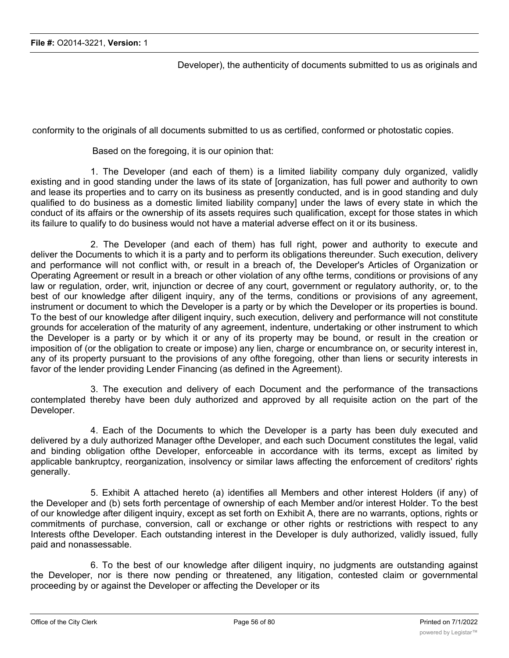Developer), the authenticity of documents submitted to us as originals and

conformity to the originals of all documents submitted to us as certified, conformed or photostatic copies.

Based on the foregoing, it is our opinion that:

1. The Developer (and each of them) is a limited liability company duly organized, validly existing and in good standing under the laws of its state of [organization, has full power and authority to own and lease its properties and to carry on its business as presently conducted, and is in good standing and duly qualified to do business as a domestic limited liability company] under the laws of every state in which the conduct of its affairs or the ownership of its assets requires such qualification, except for those states in which its failure to qualify to do business would not have a material adverse effect on it or its business.

2. The Developer (and each of them) has full right, power and authority to execute and deliver the Documents to which it is a party and to perform its obligations thereunder. Such execution, delivery and performance will not conflict with, or result in a breach of, the Developer's Articles of Organization or Operating Agreement or result in a breach or other violation of any ofthe terms, conditions or provisions of any law or regulation, order, writ, injunction or decree of any court, government or regulatory authority, or, to the best of our knowledge after diligent inquiry, any of the terms, conditions or provisions of any agreement, instrument or document to which the Developer is a party or by which the Developer or its properties is bound. To the best of our knowledge after diligent inquiry, such execution, delivery and performance will not constitute grounds for acceleration of the maturity of any agreement, indenture, undertaking or other instrument to which the Developer is a party or by which it or any of its property may be bound, or result in the creation or imposition of (or the obligation to create or impose) any lien, charge or encumbrance on, or security interest in, any of its property pursuant to the provisions of any ofthe foregoing, other than liens or security interests in favor of the lender providing Lender Financing (as defined in the Agreement).

3. The execution and delivery of each Document and the performance of the transactions contemplated thereby have been duly authorized and approved by all requisite action on the part of the Developer.

4. Each of the Documents to which the Developer is a party has been duly executed and delivered by a duly authorized Manager ofthe Developer, and each such Document constitutes the legal, valid and binding obligation ofthe Developer, enforceable in accordance with its terms, except as limited by applicable bankruptcy, reorganization, insolvency or similar laws affecting the enforcement of creditors' rights generally.

5. Exhibit A attached hereto (a) identifies all Members and other interest Holders (if any) of the Developer and (b) sets forth percentage of ownership of each Member and/or interest Holder. To the best of our knowledge after diligent inquiry, except as set forth on Exhibit A, there are no warrants, options, rights or commitments of purchase, conversion, call or exchange or other rights or restrictions with respect to any Interests ofthe Developer. Each outstanding interest in the Developer is duly authorized, validly issued, fully paid and nonassessable.

6. To the best of our knowledge after diligent inquiry, no judgments are outstanding against the Developer, nor is there now pending or threatened, any litigation, contested claim or governmental proceeding by or against the Developer or affecting the Developer or its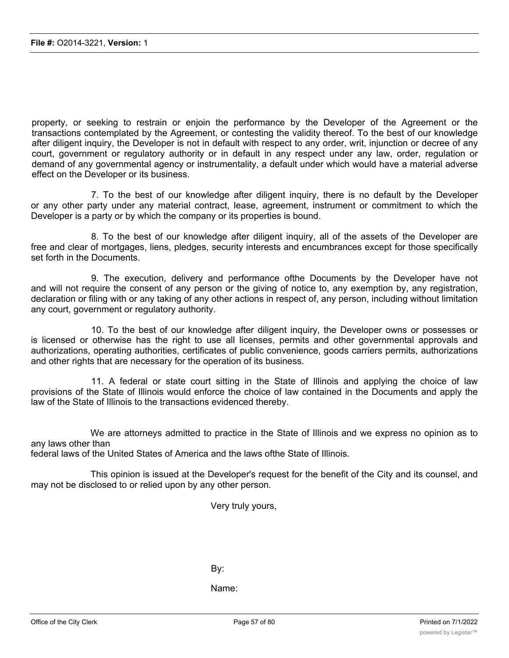property, or seeking to restrain or enjoin the performance by the Developer of the Agreement or the transactions contemplated by the Agreement, or contesting the validity thereof. To the best of our knowledge after diligent inquiry, the Developer is not in default with respect to any order, writ, injunction or decree of any court, government or regulatory authority or in default in any respect under any law, order, regulation or demand of any governmental agency or instrumentality, a default under which would have a material adverse effect on the Developer or its business.

7. To the best of our knowledge after diligent inquiry, there is no default by the Developer or any other party under any material contract, lease, agreement, instrument or commitment to which the Developer is a party or by which the company or its properties is bound.

8. To the best of our knowledge after diligent inquiry, all of the assets of the Developer are free and clear of mortgages, liens, pledges, security interests and encumbrances except for those specifically set forth in the Documents.

9. The execution, delivery and performance ofthe Documents by the Developer have not and will not require the consent of any person or the giving of notice to, any exemption by, any registration, declaration or filing with or any taking of any other actions in respect of, any person, including without limitation any court, government or regulatory authority.

10. To the best of our knowledge after diligent inquiry, the Developer owns or possesses or is licensed or otherwise has the right to use all licenses, permits and other governmental approvals and authorizations, operating authorities, certificates of public convenience, goods carriers permits, authorizations and other rights that are necessary for the operation of its business.

11. A federal or state court sitting in the State of Illinois and applying the choice of law provisions of the State of Illinois would enforce the choice of law contained in the Documents and apply the law of the State of Illinois to the transactions evidenced thereby.

We are attorneys admitted to practice in the State of Illinois and we express no opinion as to any laws other than

federal laws of the United States of America and the laws ofthe State of Illinois.

This opinion is issued at the Developer's request for the benefit of the City and its counsel, and may not be disclosed to or relied upon by any other person.

Very truly yours,

By:

Name: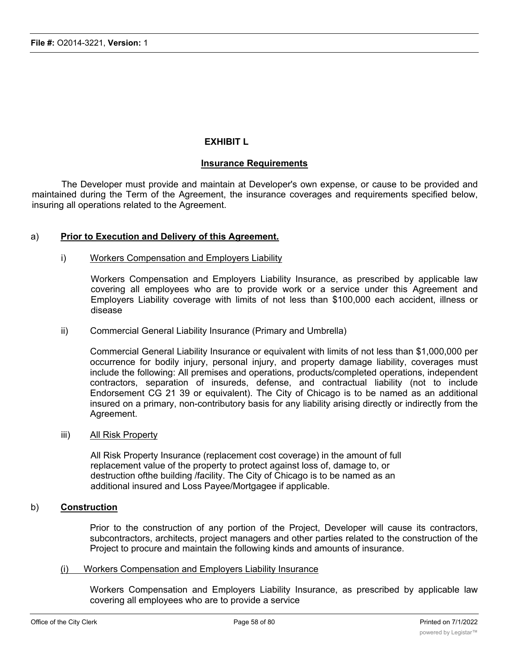### **EXHIBIT L**

### **Insurance Requirements**

The Developer must provide and maintain at Developer's own expense, or cause to be provided and maintained during the Term of the Agreement, the insurance coverages and requirements specified below, insuring all operations related to the Agreement.

### a) **Prior to Execution and Delivery of this Agreement.**

### i) Workers Compensation and Employers Liability

Workers Compensation and Employers Liability Insurance, as prescribed by applicable law covering all employees who are to provide work or a service under this Agreement and Employers Liability coverage with limits of not less than \$100,000 each accident, illness or disease

ii) Commercial General Liability Insurance (Primary and Umbrella)

Commercial General Liability Insurance or equivalent with limits of not less than \$1,000,000 per occurrence for bodily injury, personal injury, and property damage liability, coverages must include the following: All premises and operations, products/completed operations, independent contractors, separation of insureds, defense, and contractual liability (not to include Endorsement CG 21 39 or equivalent). The City of Chicago is to be named as an additional insured on a primary, non-contributory basis for any liability arising directly or indirectly from the Agreement.

### iii) All Risk Property

All Risk Property Insurance (replacement cost coverage) in the amount of full replacement value of the property to protect against loss of, damage to, or destruction ofthe building /facility. The City of Chicago is to be named as an additional insured and Loss Payee/Mortgagee if applicable.

### b) **Construction**

Prior to the construction of any portion of the Project, Developer will cause its contractors, subcontractors, architects, project managers and other parties related to the construction of the Project to procure and maintain the following kinds and amounts of insurance.

### (i) Workers Compensation and Employers Liability Insurance

Workers Compensation and Employers Liability Insurance, as prescribed by applicable law covering all employees who are to provide a service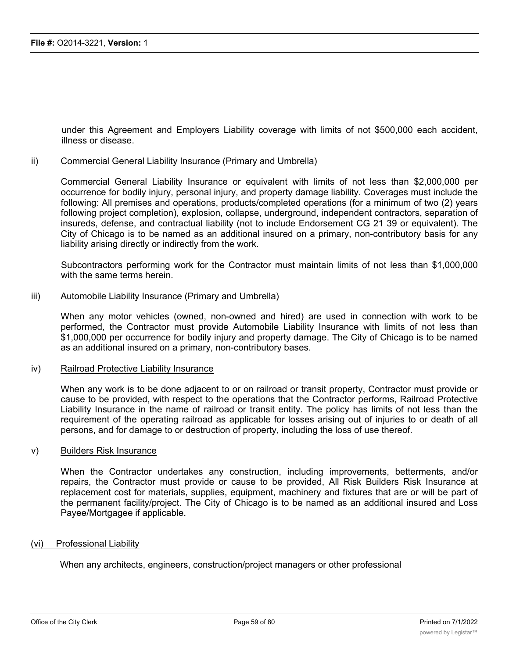under this Agreement and Employers Liability coverage with limits of not \$500,000 each accident, illness or disease.

#### ii) Commercial General Liability Insurance (Primary and Umbrella)

Commercial General Liability Insurance or equivalent with limits of not less than \$2,000,000 per occurrence for bodily injury, personal injury, and property damage liability. Coverages must include the following: All premises and operations, products/completed operations (for a minimum of two (2) years following project completion), explosion, collapse, underground, independent contractors, separation of insureds, defense, and contractual liability (not to include Endorsement CG 21 39 or equivalent). The City of Chicago is to be named as an additional insured on a primary, non-contributory basis for any liability arising directly or indirectly from the work.

Subcontractors performing work for the Contractor must maintain limits of not less than \$1,000,000 with the same terms herein.

#### iii) Automobile Liability Insurance (Primary and Umbrella)

When any motor vehicles (owned, non-owned and hired) are used in connection with work to be performed, the Contractor must provide Automobile Liability Insurance with limits of not less than \$1,000,000 per occurrence for bodily injury and property damage. The City of Chicago is to be named as an additional insured on a primary, non-contributory bases.

#### iv) Railroad Protective Liability Insurance

When any work is to be done adjacent to or on railroad or transit property, Contractor must provide or cause to be provided, with respect to the operations that the Contractor performs, Railroad Protective Liability Insurance in the name of railroad or transit entity. The policy has limits of not less than the requirement of the operating railroad as applicable for losses arising out of injuries to or death of all persons, and for damage to or destruction of property, including the loss of use thereof.

#### v) Builders Risk Insurance

When the Contractor undertakes any construction, including improvements, betterments, and/or repairs, the Contractor must provide or cause to be provided, All Risk Builders Risk Insurance at replacement cost for materials, supplies, equipment, machinery and fixtures that are or will be part of the permanent facility/project. The City of Chicago is to be named as an additional insured and Loss Payee/Mortgagee if applicable.

#### (vi) Professional Liability

When any architects, engineers, construction/project managers or other professional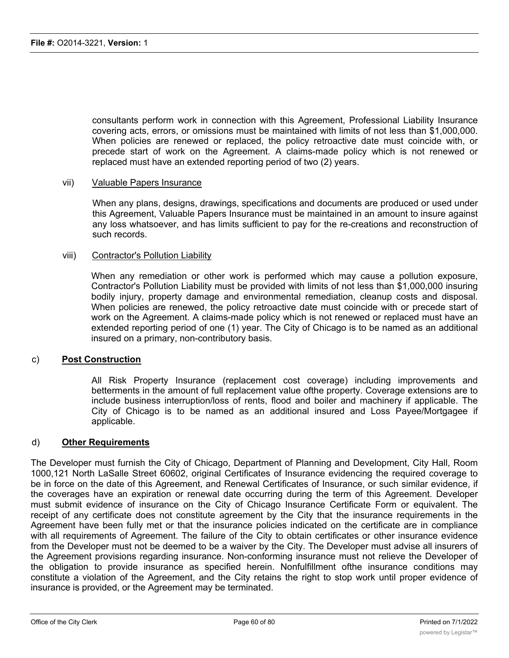consultants perform work in connection with this Agreement, Professional Liability Insurance covering acts, errors, or omissions must be maintained with limits of not less than \$1,000,000. When policies are renewed or replaced, the policy retroactive date must coincide with, or precede start of work on the Agreement. A claims-made policy which is not renewed or replaced must have an extended reporting period of two (2) years.

### vii) Valuable Papers Insurance

When any plans, designs, drawings, specifications and documents are produced or used under this Agreement, Valuable Papers Insurance must be maintained in an amount to insure against any loss whatsoever, and has limits sufficient to pay for the re-creations and reconstruction of such records.

#### viii) Contractor's Pollution Liability

When any remediation or other work is performed which may cause a pollution exposure, Contractor's Pollution Liability must be provided with limits of not less than \$1,000,000 insuring bodily injury, property damage and environmental remediation, cleanup costs and disposal. When policies are renewed, the policy retroactive date must coincide with or precede start of work on the Agreement. A claims-made policy which is not renewed or replaced must have an extended reporting period of one (1) year. The City of Chicago is to be named as an additional insured on a primary, non-contributory basis.

### c) **Post Construction**

All Risk Property Insurance (replacement cost coverage) including improvements and betterments in the amount of full replacement value ofthe property. Coverage extensions are to include business interruption/loss of rents, flood and boiler and machinery if applicable. The City of Chicago is to be named as an additional insured and Loss Payee/Mortgagee if applicable.

### d) **Other Requirements**

The Developer must furnish the City of Chicago, Department of Planning and Development, City Hall, Room 1000,121 North LaSalle Street 60602, original Certificates of Insurance evidencing the required coverage to be in force on the date of this Agreement, and Renewal Certificates of Insurance, or such similar evidence, if the coverages have an expiration or renewal date occurring during the term of this Agreement. Developer must submit evidence of insurance on the City of Chicago Insurance Certificate Form or equivalent. The receipt of any certificate does not constitute agreement by the City that the insurance requirements in the Agreement have been fully met or that the insurance policies indicated on the certificate are in compliance with all requirements of Agreement. The failure of the City to obtain certificates or other insurance evidence from the Developer must not be deemed to be a waiver by the City. The Developer must advise all insurers of the Agreement provisions regarding insurance. Non-conforming insurance must not relieve the Developer of the obligation to provide insurance as specified herein. Nonfulfillment ofthe insurance conditions may constitute a violation of the Agreement, and the City retains the right to stop work until proper evidence of insurance is provided, or the Agreement may be terminated.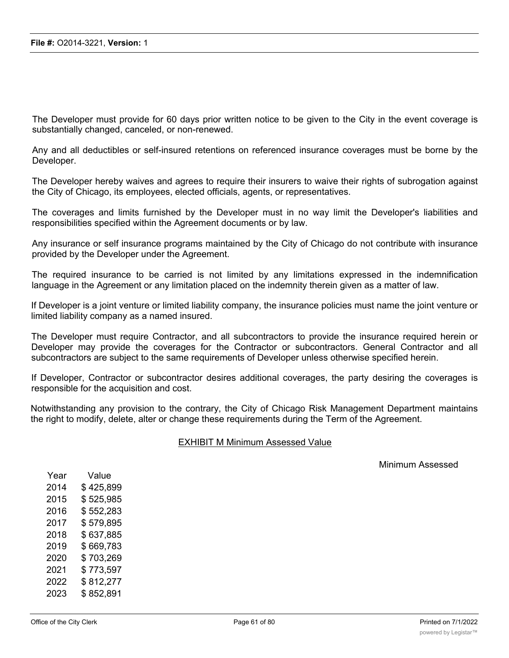The Developer must provide for 60 days prior written notice to be given to the City in the event coverage is substantially changed, canceled, or non-renewed.

Any and all deductibles or self-insured retentions on referenced insurance coverages must be borne by the Developer.

The Developer hereby waives and agrees to require their insurers to waive their rights of subrogation against the City of Chicago, its employees, elected officials, agents, or representatives.

The coverages and limits furnished by the Developer must in no way limit the Developer's liabilities and responsibilities specified within the Agreement documents or by law.

Any insurance or self insurance programs maintained by the City of Chicago do not contribute with insurance provided by the Developer under the Agreement.

The required insurance to be carried is not limited by any limitations expressed in the indemnification language in the Agreement or any limitation placed on the indemnity therein given as a matter of law.

If Developer is a joint venture or limited liability company, the insurance policies must name the joint venture or limited liability company as a named insured.

The Developer must require Contractor, and all subcontractors to provide the insurance required herein or Developer may provide the coverages for the Contractor or subcontractors. General Contractor and all subcontractors are subject to the same requirements of Developer unless otherwise specified herein.

If Developer, Contractor or subcontractor desires additional coverages, the party desiring the coverages is responsible for the acquisition and cost.

Notwithstanding any provision to the contrary, the City of Chicago Risk Management Department maintains the right to modify, delete, alter or change these requirements during the Term of the Agreement.

### EXHIBIT M Minimum Assessed Value

Minimum Assessed

| Year | Value     |
|------|-----------|
| 2014 | \$425,899 |
| 2015 | \$525,985 |
| 2016 | \$552,283 |
| 2017 | \$579,895 |
| 2018 | \$637,885 |
| 2019 | \$669,783 |
| 2020 | \$703,269 |
| 2021 | \$773,597 |
| 2022 | \$812,277 |
| 2023 | \$852,891 |
|      |           |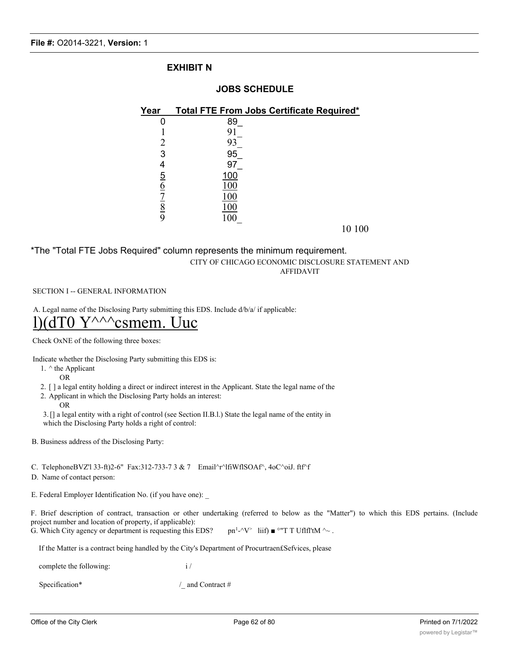### **EXHIBIT N**

### **JOBS SCHEDULE**

| Year          | <b>Total FTE From Jobs Certificate Required*</b> |
|---------------|--------------------------------------------------|
|               | 89                                               |
|               | 9                                                |
|               | 93                                               |
| 3             | 95                                               |
| 4             | 97                                               |
|               | 100                                              |
| $\frac{5}{6}$ | 100                                              |
|               | 100                                              |
| $\frac{8}{9}$ | 100                                              |
|               | 100                                              |
|               | 10 100                                           |

#### \*The "Total FTE Jobs Required" column represents the minimum requirement. CITY OF CHICAGO ECONOMIC DISCLOSURE STATEMENT AND AFFIDAVIT

#### SECTION I -- GENERAL INFORMATION

A. Legal name of the Disclosing Party submitting this EDS. Include d/b/a/ if applicable:

## $Y^{\wedge\wedge\wedge}$ csmem. Uuc

Check OxNE of the following three boxes:

Indicate whether the Disclosing Party submitting this EDS is:

- 1. ^ the Applicant
	- OR

2. [ ] a legal entity holding a direct or indirect interest in the Applicant. State the legal name of the

- 2. Applicant in which the Disclosing Party holds an interest:
	- OR

3.[] a legal entity with a right of control (see Section II.B.l.) State the legal name of the entity in which the Disclosing Party holds a right of control:

B. Business address of the Disclosing Party:

C. TelephoneBVZ'l 33-ft)2-6" Fax:312-733-7 3 & 7 Email^r^lfiWflSOAf^, 4oC^oiJ. ftf^f

D. Name of contact person:

E. Federal Employer Identification No. (if you have one):

F. Brief description of contract, transaction or other undertaking (referred to below as the "Matter") to which this EDS pertains. (Include project number and location of property, if applicable): G. Which City agency or department is requesting this EDS?  $\text{pn}^1-\gamma^*$  liif)  $\blacksquare$  °"T T Uflfl'tM  $\sim$ .

If the Matter is a contract being handled by the City's Department of Procurtraen£Sefvices, please

complete the following: i /

Specification\* / and Contract #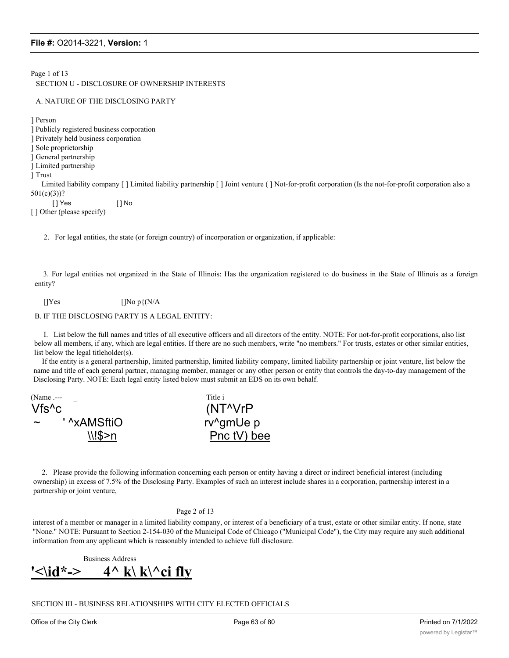Page 1 of 13 SECTION U - DISCLOSURE OF OWNERSHIP INTERESTS

#### A. NATURE OF THE DISCLOSING PARTY

] Person

] Publicly registered business corporation ] Privately held business corporation ] Sole proprietorship ] General partnership ] Limited partnership ] Trust Limited liability company [ ] Limited liability partnership [ ] Joint venture ( ] Not-for-profit corporation (Is the not-for-profit corporation also a 501(c)(3))? [ ] Yes [ ] No [ ] Other (please specify)

2. For legal entities, the state (or foreign country) of incorporation or organization, if applicable:

3. For legal entities not organized in the State of Illinois: Has the organization registered to do business in the State of Illinois as a foreign entity?

[] $Yes$  [] $No p\{N/A\}$ 

#### B. IF THE DISCLOSING PARTY IS A LEGAL ENTITY:

I. List below the full names and titles of all executive officers and all directors of the entity. NOTE: For not-for-profit corporations, also list below all members, if any, which are legal entities. If there are no such members, write "no members." For trusts, estates or other similar entities, list below the legal titleholder(s).

If the entity is a general partnership, limited partnership, limited liability company, limited liability partnership or joint venture, list below the name and title of each general partner, managing member, manager or any other person or entity that controls the day-to-day management of the Disclosing Party. NOTE: Each legal entity listed below must submit an EDS on its own behalf.

(Name .--- Title i Vfs^c (NT^VrP ~ ' ^xAMSftiO rv^gmUe p  $\setminus$ ! $\$>n$  Pnc tV) bee

2. Please provide the following information concerning each person or entity having a direct or indirect beneficial interest (including ownership) in excess of 7.5% of the Disclosing Party. Examples of such an interest include shares in a corporation, partnership interest in a partnership or joint venture,

#### Page 2 of 13

interest of a member or manager in a limited liability company, or interest of a beneficiary of a trust, estate or other similar entity. If none, state "None." NOTE: Pursuant to Section 2-154-030 of the Municipal Code of Chicago ("Municipal Code"), the City may require any such additional information from any applicant which is reasonably intended to achieve full disclosure.

Business Address **'<\id\*-> 4^ k\ k\^ci fly**

SECTION III - BUSINESS RELATIONSHIPS WITH CITY ELECTED OFFICIALS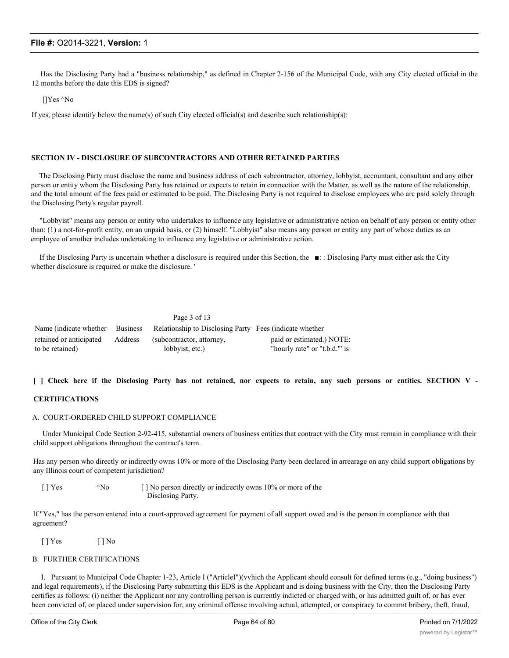Has the Disclosing Party had a "business relationship," as defined in Chapter 2-156 of the Municipal Code, with any City elected official in the 12 months before the date this EDS is signed?

[]Yes ^No

If yes, please identify below the name(s) of such City elected official(s) and describe such relationship(s):

#### **SECTION IV - DISCLOSURE OF SUBCONTRACTORS AND OTHER RETAINED PARTIES**

The Disclosing Party must disclose the name and business address of each subcontractor, attorney, lobbyist, accountant, consultant and any other person or entity whom the Disclosing Party has retained or expects to retain in connection with the Matter, as well as the nature of the relationship, and the total amount of the fees paid or estimated to be paid. The Disclosing Party is not required to disclose employees who arc paid solely through the Disclosing Party's regular payroll.

"Lobbyist" means any person or entity who undertakes to influence any legislative or administrative action on behalf of any person or entity other than: (1) a not-for-profit entity, on an unpaid basis, or (2) himself. "Lobbyist" also means any person or entity any part of whose duties as an employee of another includes undertaking to influence any legislative or administrative action.

If the Disclosing Party is uncertain whether a disclosure is required under this Section, the ■: : Disclosing Party must either ask the City whether disclosure is required or make the disclosure. '

|                         | Name (indicate whether Business Relationship to Disclosing Party Fees (indicate whether |                              |
|-------------------------|-----------------------------------------------------------------------------------------|------------------------------|
| retained or anticipated | Address (subcontractor, attorney,                                                       | paid or estimated.) NOTE:    |
| to be retained)         | lobbyist, etc.)                                                                         | "hourly rate" or "t.b.d." is |

#### [ ] Check here if the Disclosing Party has not retained, nor expects to retain, any such persons or entities. SECTION V -

#### **CERTIFICATIONS**

#### A. COURT-ORDERED CHILD SUPPORT COMPLIANCE

Under Municipal Code Section 2-92-415, substantial owners of business entities that contract with the City must remain in compliance with their child support obligations throughout the contract's term.

Has any person who directly or indirectly owns 10% or more of the Disclosing Party been declared in arrearage on any child support obligations by any Illinois court of competent jurisdiction?

[ ] Yes ^No [ ] No person directly or indirectly owns 10% or more of the Disclosing Party.

If "Yes," has the person entered into a court-approved agreement for payment of all support owed and is the person in compliance with that agreement?

[ ] Yes [ ] No

#### B. FURTHER CERTIFICATIONS

I. Pursuant to Municipal Code Chapter 1-23, Article I ("ArticleI")(vvhich the Applicant should consult for defined terms (e.g., "doing business") and legal requirements), if the Disclosing Party submitting this EDS is the Applicant and is doing business with the City, then the Disclosing Party certifies as follows: (i) neither the Applicant nor any controlling person is currently indicted or charged with, or has admitted guilt of, or has ever been convicted of, or placed under supervision for, any criminal offense involving actual, attempted, or conspiracy to commit bribery, theft, fraud,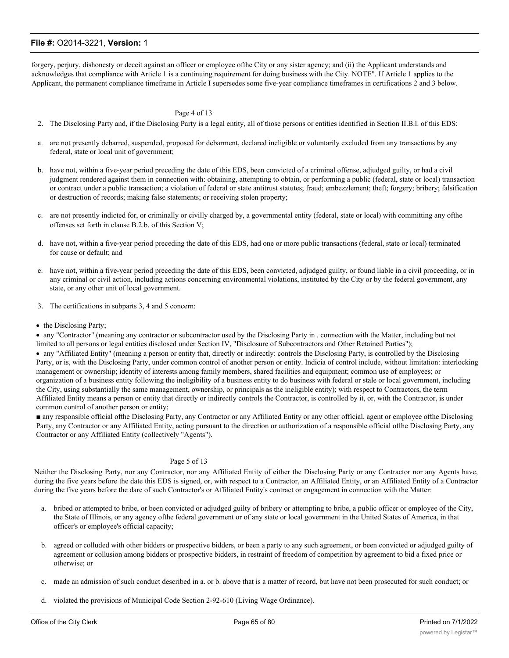forgery, perjury, dishonesty or deceit against an officer or employee ofthe City or any sister agency; and (ii) the Applicant understands and acknowledges that compliance with Article 1 is a continuing requirement for doing business with the City. NOTE". If Article 1 applies to the Applicant, the permanent compliance timeframe in Article I supersedes some five-year compliance timeframes in certifications 2 and 3 below.

#### Page 4 of 13

- 2. The Disclosing Party and, if the Disclosing Party is a legal entity, all of those persons or entities identified in Section II.B.l. of this EDS:
- a. are not presently debarred, suspended, proposed for debarment, declared ineligible or voluntarily excluded from any transactions by any federal, state or local unit of government;
- b. have not, within a five-year period preceding the date of this EDS, been convicted of a criminal offense, adjudged guilty, or had a civil judgment rendered against them in connection with: obtaining, attempting to obtain, or performing a public (federal, state or local) transaction or contract under a public transaction; a violation of federal or state antitrust statutes; fraud; embezzlement; theft; forgery; bribery; falsification or destruction of records; making false statements; or receiving stolen property;
- c. are not presently indicted for, or criminally or civilly charged by, a governmental entity (federal, state or local) with committing any ofthe offenses set forth in clause B.2.b. of this Section V;
- d. have not, within a five-year period preceding the date of this EDS, had one or more public transactions (federal, state or local) terminated for cause or default; and
- e. have not, within a five-year period preceding the date of this EDS, been convicted, adjudged guilty, or found liable in a civil proceeding, or in any criminal or civil action, including actions concerning environmental violations, instituted by the City or by the federal government, any state, or any other unit of local government.
- 3. The certifications in subparts 3, 4 and 5 concern:
- the Disclosing Party;

· any "Contractor" (meaning any contractor or subcontractor used by the Disclosing Party in . connection with the Matter, including but not limited to all persons or legal entities disclosed under Section IV, "Disclosure of Subcontractors and Other Retained Parties"); · any "Affiliated Entity" (meaning a person or entity that, directly or indirectly: controls the Disclosing Party, is controlled by the Disclosing Party, or is, with the Disclosing Party, under common control of another person or entity. Indicia of control include, without limitation: interlocking management or ownership; identity of interests among family members, shared facilities and equipment; common use of employees; or organization of a business entity following the ineligibility of a business entity to do business with federal or stale or local government, including the City, using substantially the same management, ownership, or principals as the ineligible entity); with respect to Contractors, the term Affiliated Entity means a person or entity that directly or indirectly controls the Contractor, is controlled by it, or, with the Contractor, is under common control of another person or entity;

■ any responsible official ofthe Disclosing Party, any Contractor or any Affiliated Entity or any other official, agent or employee ofthe Disclosing Party, any Contractor or any Affiliated Entity, acting pursuant to the direction or authorization of a responsible official ofthe Disclosing Party, any Contractor or any Affiliated Entity (collectively "Agents").

#### Page 5 of 13

Neither the Disclosing Party, nor any Contractor, nor any Affiliated Entity of either the Disclosing Party or any Contractor nor any Agents have, during the five years before the date this EDS is signed, or, with respect to a Contractor, an Affiliated Entity, or an Affiliated Entity of a Contractor during the five years before the dare of such Contractor's or Affiliated Entity's contract or engagement in connection with the Matter:

- a. bribed or attempted to bribe, or been convicted or adjudged guilty of bribery or attempting to bribe, a public officer or employee of the City, the State of Illinois, or any agency ofthe federal government or of any state or local government in the United States of America, in that officer's or employee's official capacity;
- b. agreed or colluded with other bidders or prospective bidders, or been a party to any such agreement, or been convicted or adjudged guilty of agreement or collusion among bidders or prospective bidders, in restraint of freedom of competition by agreement to bid a fixed price or otherwise; or
- c. made an admission of such conduct described in a. or b. above that is a matter of record, but have not been prosecuted for such conduct; or
- d. violated the provisions of Municipal Code Section 2-92-610 (Living Wage Ordinance).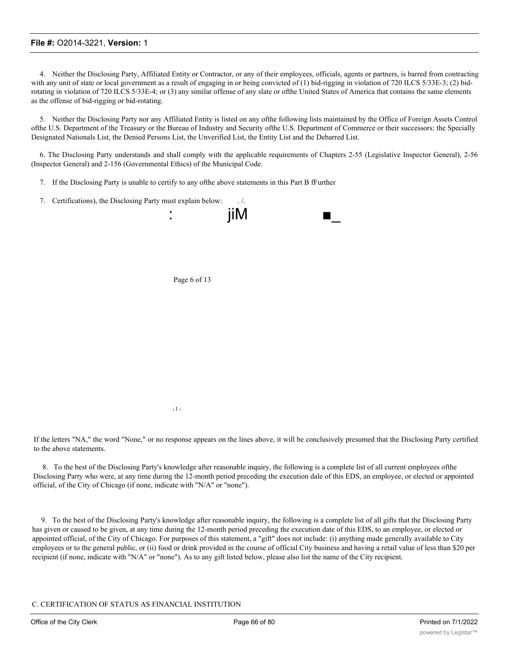4. Neither the Disclosing Party, Affiliated Entity or Contractor, or any of their employees, officials, agents or partners, is barred from contracting with any unit of state or local government as a result of engaging in or being convicted of (1) bid-rigging in violation of 720 ILCS 5/33E-3; (2) bidrotating in violation of 720 ILCS 5/33E-4; or (3) any similar offense of any slate or ofthe United States of America that contains the same elements as the offense of bid-rigging or bid-rotating.

5. Neither the Disclosing Party nor any Affiliated Entity is listed on any ofthe following lists maintained by the Office of Foreign Assets Control ofthe U.S. Department of the Treasury or the Bureau of Industry and Security ofthe U.S. Department of Commerce or their successors: the Specially Designated Nationals List, the Denied Persons List, the Unverified List, the Entity List and the Debarred List.

6. The Disclosing Party understands and shall comply with the applicable requirements of Chapters 2-55 (Legislative Inspector General), 2-56 (Inspector General) and 2-156 (Governmental Ethics) of the Municipal Code.

- 7. If the Disclosing Party is unable to certify to any ofthe above statements in this Part B fFurther
- 7. Certifications), the Disclosing Party must explain below: ...



i 1 i

If the letters "NA," the word "None," or no response appears on the lines above, it will be conclusively presumed that the Disclosing Party certified to the above statements.

8. To the best of the Disclosing Party's knowledge after reasonable inquiry, the following is a complete list of all current employees ofthe Disclosing Party who were, at any time during the 12-month period preceding the execution dale of this EDS, an employee, or elected or appointed official, of the City of Chicago (if none, indicate with "N/A" or "none").

9. To the best of the Disclosing Party's knowledge after reasonable inquiry, the following is a complete list of all gifts that the Disclosing Party has given or caused to be given, at any time during the 12-month period preceding the execution date of this EDS, to an employee, or elected or appointed official, of the City of Chicago. For purposes of this statement, a "gift" does not include: (i) anything made generally available to City employees or to the general public, or (ii) food or drink provided in the course of official City business and having a retail value of less than \$20 per recipient (if none, indicate with "N/A" or "none"). As to any gift listed below, please also list the name of the City recipient.

C. CERTIFICATION OF STATUS AS FINANCIAL INSTITUTION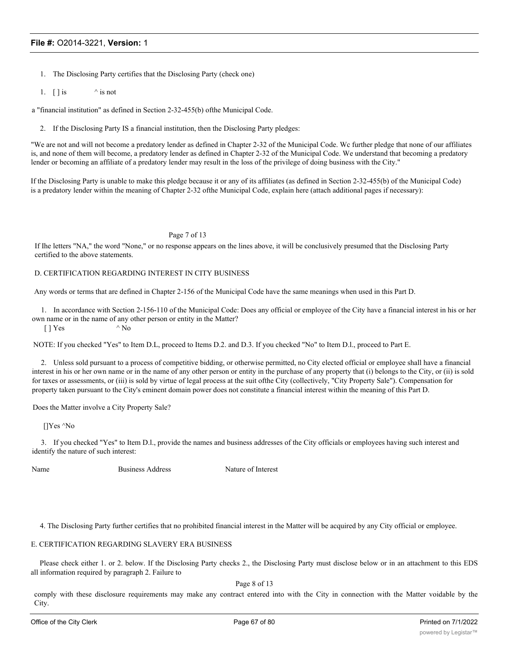- 1. The Disclosing Party certifies that the Disclosing Party (check one)
- 1.  $\left[\right]$  is  $\qquad \qquad$  is not

a "financial institution" as defined in Section 2-32-455(b) ofthe Municipal Code.

2. If the Disclosing Party IS a financial institution, then the Disclosing Party pledges:

"We are not and will not become a predatory lender as defined in Chapter 2-32 of the Municipal Code. Wc further pledge that none of our affiliates is, and none of them will become, a predatory lender as defined in Chapter 2-32 of the Municipal Code. We understand that becoming a predatory lender or becoming an affiliate of a predatory lender may result in the loss of the privilege of doing business with the City."

If the Disclosing Party is unable to make this pledge because it or any of its affiliates (as defined in Section 2-32-455(b) of the Municipal Code) is a predatory lender within the meaning of Chapter 2-32 ofthe Municipal Code, explain here (attach additional pages if necessary):

#### Page 7 of 13

If Ihe letters "NA," the word "None," or no response appears on the lines above, it will be conclusively presumed that the Disclosing Party certified to the above statements.

#### D. CERTIFICATION REGARDING INTEREST IN CITY BUSINESS

Any words or terms that are defined in Chapter 2-156 of the Municipal Code have the same meanings when used in this Part D.

1. In accordance with Section 2-156-110 of the Municipal Code: Does any official or employee of the City have a financial interest in his or her own name or in the name of any other person or entity in the Matter?

 $[$  | Yes  $^{\wedge}$  No

NOTE: If you checked "Yes" to Item D.L, proceed to Items D.2. and D.3. If you checked "No" to Item D.l., proceed to Part E.

2. Unless sold pursuant to a process of competitive bidding, or otherwise permitted, no City elected official or employee shall have a financial interest in his or her own name or in the name of any other person or entity in the purchase of any property that (i) belongs to the City, or (ii) is sold for taxes or assessments, or (iii) is sold by virtue of legal process at the suit ofthe City (collectively, "City Property Sale"). Compensation for property taken pursuant to the City's eminent domain power does not constitute a financial interest within the meaning of this Part D.

Does the Matter involve a City Property Sale?

[]Yes ^No

3. If you checked "Yes" to Item D.l., provide the names and business addresses of the City officials or employees having such interest and identify the nature of such interest:

Name Business Address Nature of Interest

4. The Disclosing Party further certifies that no prohibited financial interest in the Matter will be acquired by any City official or employee.

#### E. CERTIFICATION REGARDING SLAVERY ERA BUSINESS

Please check either 1. or 2. below. If the Disclosing Party checks 2., the Disclosing Party must disclose below or in an attachment to this EDS all information required by paragraph 2. Failure to

Page 8 of 13

comply with these disclosure requirements may make any contract entered into with the City in connection with the Matter voidable by the City.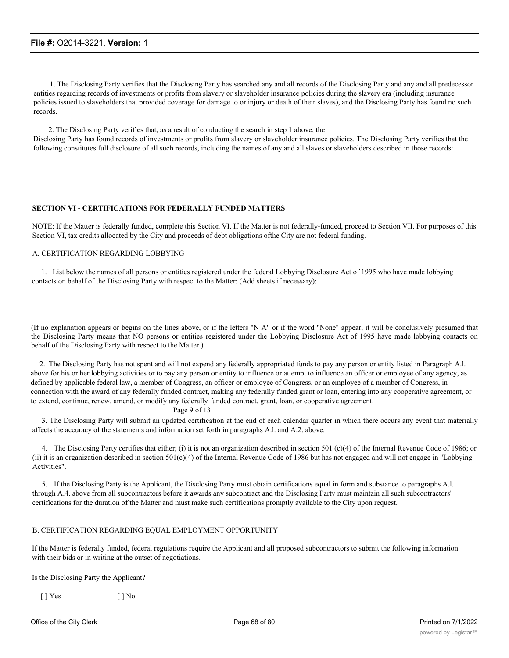1. The Disclosing Party verifies that the Disclosing Party has searched any and all records of the Disclosing Party and any and all predecessor entities regarding records of investments or profits from slavery or slaveholder insurance policies during the slavery era (including insurance policies issued to slaveholders that provided coverage for damage to or injury or death of their slaves), and the Disclosing Party has found no such records.

2. The Disclosing Party verifies that, as a result of conducting the search in step 1 above, the Disclosing Party has found records of investments or profits from slavery or slaveholder insurance policies. The Disclosing Party verifies that the following constitutes full disclosure of all such records, including the names of any and all slaves or slaveholders described in those records:

#### **SECTION VI - CERTIFICATIONS FOR FEDERALLY FUNDED MATTERS**

NOTE: If the Matter is federally funded, complete this Section VI. If the Matter is not federally-funded, proceed to Section VII. For purposes of this Section VI, tax credits allocated by the City and proceeds of debt obligations ofthe City are not federal funding.

#### A. CERTIFICATION REGARDING LOBBYING

1. List below the names of all persons or entities registered under the federal Lobbying Disclosure Act of 1995 who have made lobbying contacts on behalf of the Disclosing Party with respect to the Matter: (Add sheets if necessary):

(If no explanation appears or begins on the lines above, or if the letters "N A" or if the word "None" appear, it will be conclusively presumed that the Disclosing Party means that NO persons or entities registered under the Lobbying Disclosure Act of 1995 have made lobbying contacts on behalf of the Disclosing Party with respect to the Matter.)

2. The Disclosing Party has not spent and will not expend any federally appropriated funds to pay any person or entity listed in Paragraph A.l. above for his or her lobbying activities or to pay any person or entity to influence or attempt to influence an officer or employee of any agency, as defined by applicable federal law, a member of Congress, an officer or employee of Congress, or an employee of a member of Congress, in connection with the award of any federally funded contract, making any federally funded grant or loan, entering into any cooperative agreement, or to extend, continue, renew, amend, or modify any federally funded contract, grant, loan, or cooperative agreement.

Page 9 of 13

3. The Disclosing Party will submit an updated certification at the end of each calendar quarter in which there occurs any event that materially affects the accuracy of the statements and information set forth in paragraphs A.l. and A.2. above.

4. The Disclosing Party certifies that either; (i) it is not an organization described in section 501 (c)(4) of the Internal Revenue Code of 1986; or (ii) it is an organization described in section 501(c)(4) of the Internal Revenue Code of 1986 but has not engaged and will not engage in "Lobbying Activities".

5. If the Disclosing Party is the Applicant, the Disclosing Party must obtain certifications equal in form and substance to paragraphs A.l. through A.4. above from all subcontractors before it awards any subcontract and the Disclosing Party must maintain all such subcontractors' certifications for the duration of the Matter and must make such certifications promptly available to the City upon request.

#### B. CERTIFICATION REGARDING EQUAL EMPLOYMENT OPPORTUNITY

If the Matter is federally funded, federal regulations require the Applicant and all proposed subcontractors to submit the following information with their bids or in writing at the outset of negotiations.

Is the Disclosing Party the Applicant?

 $[ ]$  Yes  $[ ]$  No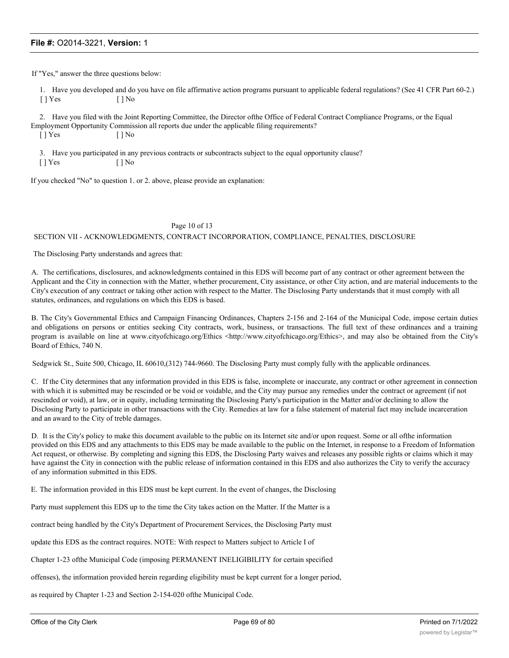If "Yes," answer the three questions below:

1. Have you developed and do you have on file affirmative action programs pursuant to applicable federal regulations? (See 41 CFR Part 60-2.)  $[ ]$  Yes  $[ ]$  No

2. Have you filed with the Joint Reporting Committee, the Director ofthe Office of Federal Contract Compliance Programs, or the Equal Employment Opportunity Commission all reports due under the applicable filing requirements?

 $[ ]$  Yes  $[ ]$  No

3. Have you participated in any previous contracts or subcontracts subject to the equal opportunity clause?

 $[ ]$  Yes  $[ ]$  No

If you checked "No" to question 1. or 2. above, please provide an explanation:

#### Page 10 of 13

#### SECTION VII - ACKNOWLEDGMENTS, CONTRACT INCORPORATION, COMPLIANCE, PENALTIES, DISCLOSURE

The Disclosing Party understands and agrees that:

A. The certifications, disclosures, and acknowledgments contained in this EDS will become part of any contract or other agreement between the Applicant and the City in connection with the Matter, whether procurement, City assistance, or other City action, and are material inducements to the City's execution of any contract or taking other action with respect to the Matter. The Disclosing Party understands that it must comply with all statutes, ordinances, and regulations on which this EDS is based.

B. The City's Governmental Ethics and Campaign Financing Ordinances, Chapters 2-156 and 2-164 of the Municipal Code, impose certain duties and obligations on persons or entities seeking City contracts, work, business, or transactions. The full text of these ordinances and a training program is available on line at www.cityofchicago.org/Ethics <http://www.cityofchicago.org/Ethics>, and may also be obtained from the City's Board of Ethics, 740 N.

Sedgwick St., Suite 500, Chicago, IL 60610,(312) 744-9660. The Disclosing Party must comply fully with the applicable ordinances.

C. If the City determines that any information provided in this EDS is false, incomplete or inaccurate, any contract or other agreement in connection with which it is submitted may be rescinded or be void or voidable, and the City may pursue any remedies under the contract or agreement (if not rescinded or void), at law, or in equity, including terminating the Disclosing Party's participation in the Matter and/or declining to allow the Disclosing Party to participate in other transactions with the City. Remedies at law for a false statement of material fact may include incarceration and an award to the City of treble damages.

D. It is the City's policy to make this document available to the public on its Internet site and/or upon request. Some or all ofthe information provided on this EDS and any attachments to this EDS may be made available to the public on the Internet, in response to a Freedom of Information Act request, or otherwise. By completing and signing this EDS, the Disclosing Party waives and releases any possible rights or claims which it may have against the City in connection with the public release of information contained in this EDS and also authorizes the City to verify the accuracy of any information submitted in this EDS.

E. The information provided in this EDS must be kept current. In the event of changes, the Disclosing

Party must supplement this EDS up to the time the City takes action on the Matter. If the Matter is a

contract being handled by the City's Department of Procurement Services, the Disclosing Party must

update this EDS as the contract requires. NOTE: With respect to Matters subject to Article I of

Chapter 1-23 ofthe Municipal Code (imposing PERMANENT INELIGIBILITY for certain specified

offenses), the information provided herein regarding eligibility must be kept current for a longer period,

as required by Chapter 1-23 and Section 2-154-020 ofthe Municipal Code.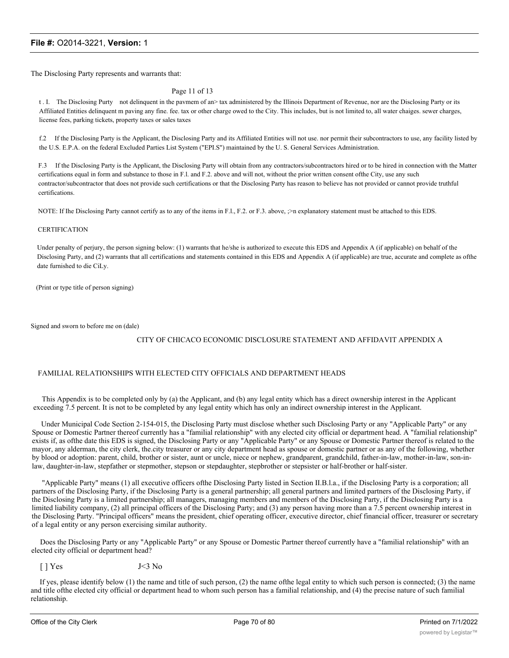The Disclosing Party represents and warrants that:

#### Page 11 of 13

t . I. The Disclosing Purty not delinquent in the pavmem of an> tax administered by the Illinois Department of Revenue, nor are the Disclosing Party or its Affiliated Entities delinquent m paving any fine. fee. tax or other charge owed to the City. This includes, but is not limited to, all water chaiges. sewer charges, license fees, parking tickets, property taxes or sales taxes

f.2 If the Disclosing Party is the Applicant, the Disclosing Party and its Affiliated Entities will not use. nor permit their subcontractors to use, any facility listed by the U.S. E.P.A. on the federal Excluded Parties List System ("EPI.S") maintained by the U. S. General Services Administration.

F.3 If the Disclosing Party is the Applicant, the Disclosing Party will obtain from any contractors/subcontractors hired or to be hired in connection with the Matter certifications equal in form and substance to those in F.l. and F.2. above and will not, without the prior written consent ofthe City, use any such contractor/subcontractor that does not provide such certifications or that the Disclosing Party has reason to believe has not provided or cannot provide truthful certifications.

NOTE: If Ihe Disclosing Party cannot certify as to any of the items in F.l., F.2. or F.3. above,  $\geq$ n explanatory statement must be attached to this EDS.

#### **CERTIFICATION**

Under penalty of perjury, the person signing below: (1) warrants that he/she is authorized to execute this EDS and Appendix A (if applicable) on behalf of the Disclosing Party, and (2) warrants that all certifications and statements contained in this EDS and Appendix A (if applicable) are true, accurate and complete as ofthe date furnished to die CiLy.

(Print or type title of person signing)

Signed and sworn to before me on (dale)

#### CITY OF CHICACO ECONOMIC DISCLOSURE STATEMENT AND AFFIDAVIT APPENDIX A

#### FAMILIAL RELATIONSHIPS WITH ELECTED CITY OFFICIALS AND DEPARTMENT HEADS

This Appendix is to be completed only by (a) the Applicant, and (b) any legal entity which has a direct ownership interest in the Applicant exceeding 7.5 percent. It is not to be completed by any legal entity which has only an indirect ownership interest in the Applicant.

Under Municipal Code Section 2-154-015, the Disclosing Party must disclose whether such Disclosing Party or any "Applicable Party" or any Spouse or Domestic Partner thereof currently has a "familial relationship" with any elected city official or department head. A "familial relationship" exists if, as ofthe date this EDS is signed, the Disclosing Party or any "Applicable Party" or any Spouse or Domestic Partner thereof is related to the mayor, any alderman, the city clerk, the.city treasurer or any city department head as spouse or domestic partner or as any of the following, whether by blood or adoption: parent, child, brother or sister, aunt or uncle, niece or nephew, grandparent, grandchild, father-in-law, mother-in-law, son-inlaw, daughter-in-law, stepfather or stepmother, stepson or stepdaughter, stepbrother or stepsister or half-brother or half-sister.

"Applicable Party" means (1) all executive officers ofthe Disclosing Party listed in Section II.B.l.a., if the Disclosing Party is a corporation; all partners of the Disclosing Party, if the Disclosing Party is a general partnership; all general partners and limited partners of the Disclosing Party, if the Disclosing Party is a limited partnership; all managers, managing members and members of the Disclosing Party, if the Disclosing Party is a limited liability company, (2) all principal officers of the Disclosing Party; and (3) any person having more than a 7.5 percent ownership interest in the Disclosing Party. "Principal officers" means the president, chief operating officer, executive director, chief financial officer, treasurer or secretary of a legal entity or any person exercising similar authority.

Does the Disclosing Party or any "Applicable Party" or any Spouse or Domestic Partner thereof currently have a "familial relationship" with an elected city official or department head?

 $[$   $]$  Yes J<3 No

If yes, please identify below  $(1)$  the name and title of such person,  $(2)$  the name of the legal entity to which such person is connected;  $(3)$  the name and title ofthe elected city official or department head to whom such person has a familial relationship, and (4) the precise nature of such familial relationship.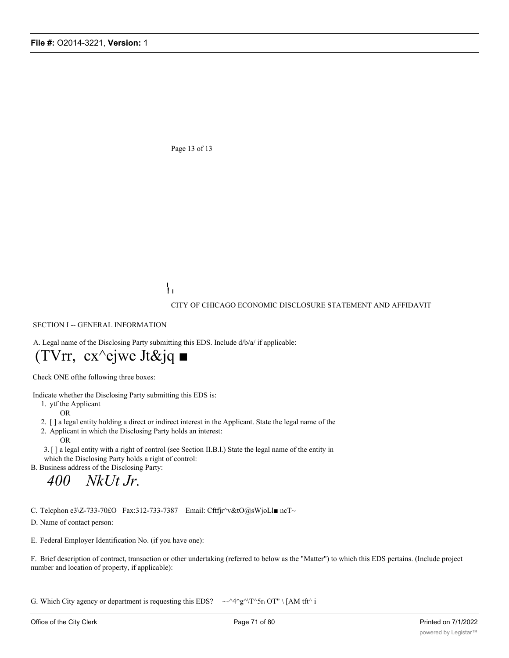Page 13 of 13

**I ! I**

CITY OF CHICAGO ECONOMIC DISCLOSURE STATEMENT AND AFFIDAVIT

SECTION I -- GENERAL INFORMATION

A. Legal name of the Disclosing Party submitting this EDS. Include d/b/a/ if applicable:

# (TVrr, cx^ejwe Jt&jq ■

Check ONE ofthe following three boxes:

Indicate whether the Disclosing Party submitting this EDS is:

1. ytf the Applicant

OR

- 2. [ ] a legal entity holding a direct or indirect interest in the Applicant. State the legal name of the
- 2. Applicant in which the Disclosing Party holds an interest:

OR

3. [ ] a legal entity with a right of control (see Section II.B.l.) State the legal name of the entity in which the Disclosing Party holds a right of control:

B. Business address of the Disclosing Party:

*400 NkUt Jr.*

C. Telcphon e3\Z-733-70£O Fax:312-733-7387 Email: Cftfjr^v&tO@sWjoLl■ ncT~

D. Name of contact person:

E. Federal Employer Identification No. (if you have one):

F. Brief description of contract, transaction or other undertaking (referred to below as the "Matter") to which this EDS pertains. (Include project number and location of property, if applicable):

G. Which City agency or department is requesting this EDS?  $\sim$  -^4^g^\T^5r<sub>t</sub> OT" \ [AM tft^ i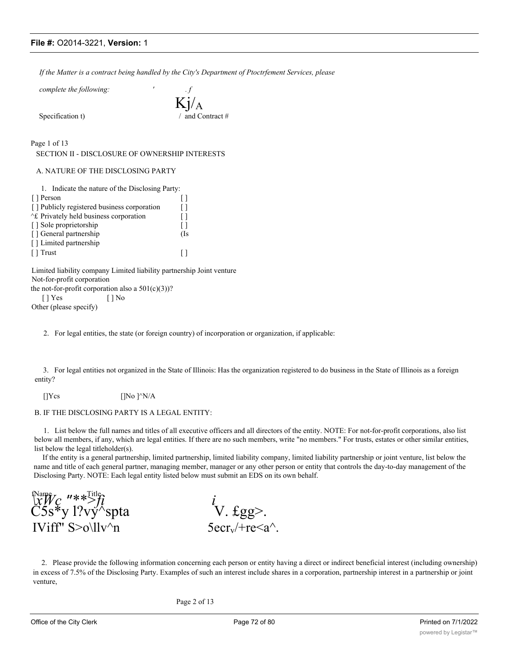*If the Matter is a contract being handled by the City's Department of Ptoctrfement Services, please*

*complete the following: ' . f*

Specification t)

Kj/A

Page 1 of 13

SECTION II - DISCLOSURE OF OWNERSHIP INTERESTS

A. NATURE OF THE DISCLOSING PARTY

| 1. Indicate the nature of the Disclosing Party: |     |
|-------------------------------------------------|-----|
| [ ] Person                                      |     |
| [] Publicly registered business corporation     | ΙI  |
| At Privately held business corporation          | ΙI  |
| [] Sole proprietorship                          |     |
| [] General partnership                          | (Is |
| [] Limited partnership                          |     |
| Trust                                           |     |

Limited liability company Limited liability partnership Joint venture Not-for-profit corporation the not-for-profit corporation also a  $501(c)(3)$ ?

[ ] Yes [ ] No

Other (please specify)

2. For legal entities, the state (or foreign country) of incorporation or organization, if applicable:

3. For legal entities not organized in the State of Illinois: Has the organization registered to do business in the State of Illinois as a foreign entity?

[] $Ycs$  [] $No$ ] $^N/A$ 

B. IF THE DISCLOSING PARTY IS A LEGAL ENTITY:

1. List below the full names and titles of all executive officers and all directors of the entity. NOTE: For not-for-profit corporations, also list below all members, if any, which are legal entities. If there are no such members, write "no members." For trusts, estates or other similar entities, list below the legal titleholder(s).

If the entity is a general partnership, limited partnership, limited liability company, limited liability partnership or joint venture, list below the name and title of each general partner, managing member, manager or any other person or entity that controls the day-to-day management of the Disclosing Party. NOTE: Each legal entity listed below must submit an EDS on its own behalf.

 $\lim_{x \to \infty} \frac{f(\text{Name})}{x}$   $\lim_{x \to \infty} \frac{f(\text{Name})}{x}$  *i*  $\check{C} \check{5} \check{s}^*$ y l?vý $\check{B}$ spta  $V. \text{Egg}$ .  $(XW\mathcal{C} \longrightarrow \mathcal{C})$ <br>
C5s\*y l?vy^spta  $\qquad \qquad \text{V. fgg>}.$ <br>
IViff" S>o\llv^n 5ecr<sub>v</sub>/+re<a^.

2. Please provide the following information concerning each person or entity having a direct or indirect beneficial interest (including ownership) in excess of 7.5% of the Disclosing Party. Examples of such an interest include shares in a corporation, partnership interest in a partnership or joint venture,

Page 2 of 13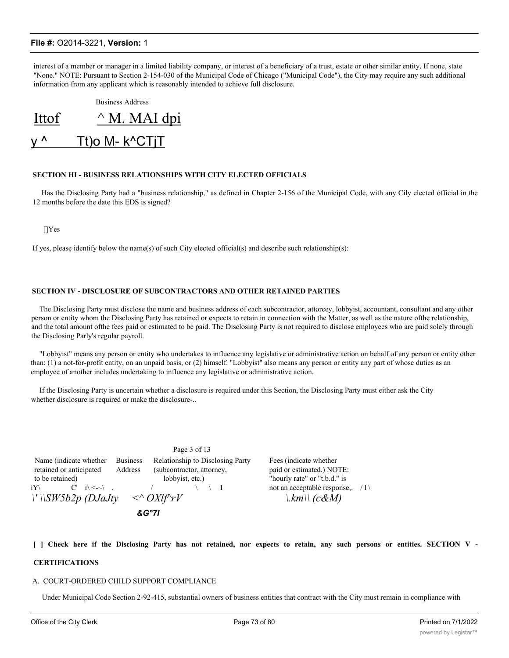interest of a member or manager in a limited liability company, or interest of a beneficiary of a trust, estate or other similar entity. If none, state "None." NOTE: Pursuant to Section 2-154-030 of the Municipal Code of Chicago ("Municipal Code"), the City may require any such additional information from any applicant which is reasonably intended to achieve full disclosure.

Business Address Ittof  $\wedge$  M. MAI dpi y ^ Tt)o M- k^CTjT

### **SECTION HI - BUSINESS RELATIONSHIPS WITH CITY ELECTED OFFICIALS**

Has the Disclosing Party had a "business relationship," as defined in Chapter 2-156 of the Municipal Code, with any Cily elected official in the 12 months before the date this EDS is signed?

[]Yes

If yes, please identify below the name(s) of such City elected official(s) and describe such relationship(s):

### **SECTION IV - DISCLOSURE OF SUBCONTRACTORS AND OTHER RETAINED PARTIES**

The Disclosing Party must disclose the name and business address of each subcontractor, attorcey, lobbyist, accountant, consultant and any other person or entity whom the Disclosing Party has retained or expects to retain in connection with the Matter, as well as the nature ofthe relationship, and the total amount ofthe fees paid or estimated to be paid. The Disclosing Party is not required to disclose employees who are paid solely through the Disclosing Parly's regular payroll.

"Lobbyist" means any person or entity who undertakes to influence any legislative or administrative action on behalf of any person or entity other than: (1) a not-for-profit entity, on an unpaid basis, or (2) himself. "Lobbyist" also means any person or entity any part of whose duties as an employee of another includes undertaking to influence any legislative or administrative action.

If the Disclosing Party is uncertain whether a disclosure is required under this Section, the Disclosing Party must either ask the City whether disclosure is required or make the disclosure-..

|                                                                      |                            | Page 3 of 13                                                                     |                                                                                      |  |
|----------------------------------------------------------------------|----------------------------|----------------------------------------------------------------------------------|--------------------------------------------------------------------------------------|--|
| Name (indicate whether<br>retained or anticipated<br>to be retained) | <b>Business</b><br>Address | Relationship to Disclosing Party<br>(subcontractor, attorney,<br>lobbyist, etc.) | Fees (indicate whether)<br>paid or estimated.) NOTE:<br>"hourly rate" or "t.b.d." is |  |
| $C'$ $r' \leq r'$<br>iY∖-<br>$\lvert$ ' $\lvert$ SW5b2p (DJaJty      |                            | $\langle \sim O X l f \gamma r V$                                                | not an acceptable response,. $/1$<br>$\vert k m \vert \vert (c \& M)$                |  |
|                                                                      |                            |                                                                                  |                                                                                      |  |

#### [ ] Check here if the Disclosing Party has not retained, nor expects to retain, any such persons or entities. SECTION V -

## **CERTIFICATIONS**

### A. COURT-ORDERED CHILD SUPPORT COMPLIANCE

Under Municipal Code Section 2-92-415, substantial owners of business entities that contract with the City must remain in compliance with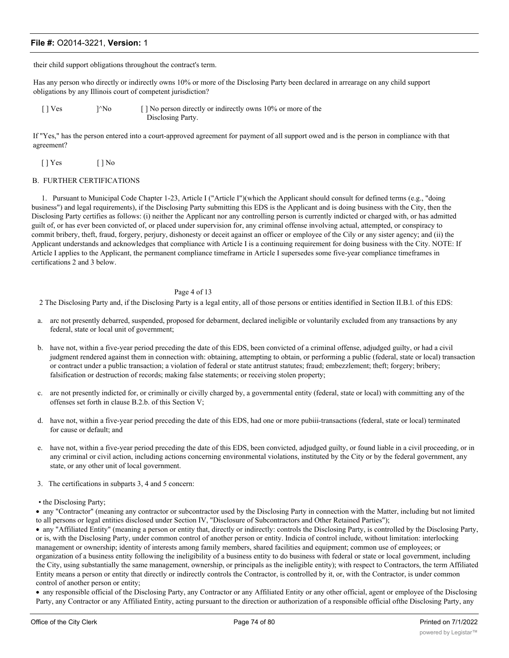their child support obligations throughout the contract's term.

Has any person who directly or indirectly owns 10% or more of the Disclosing Party been declared in arrearage on any child support obligations by any Illinois court of competent jurisdiction?

[ ] Ves ]^No [ ] No person directly or indirectly owns 10% or more of the Disclosing Party.

If "Yes," has the person entered into a court-approved agreement for payment of all support owed and is the person in compliance with that agreement?

[ ] Yes [ ] No

### B. FURTHER CERTIFICATIONS

1. Pursuant to Municipal Code Chapter 1-23, Article I ("Article I")(which the Applicant should consult for defined terms (e.g., "doing business") and legal requirements), if the Disclosing Party submitting this EDS is the Applicant and is doing business with the City, then the Disclosing Party certifies as follows: (i) neither the Applicant nor any controlling person is currently indicted or charged with, or has admitted guilt of, or has ever been convicted of, or placed under supervision for, any criminal offense involving actual, attempted, or conspiracy to commit bribery, theft, fraud, forgery, perjury, dishonesty or deceit against an officer or employee of the Cily or any sister agency; and (ii) the Applicant understands and acknowledges that compliance with Article I is a continuing requirement for doing business with the City. NOTE: If Article I applies to the Applicant, the permanent compliance timeframe in Article I supersedes some five-year compliance timeframes in certifications 2 and 3 below.

# Page 4 of 13

2 The Disclosing Party and, if the Disclosing Party is a legal entity, all of those persons or entities identified in Section II.B.l. of this EDS:

- a. arc not presently debarred, suspended, proposed for debarment, declared ineligible or voluntarily excluded from any transactions by any federal, state or local unit of government;
- b. have not, within a five-year period preceding the date of this EDS, been convicted of a criminal offense, adjudged guilty, or had a civil judgment rendered against them in connection with: obtaining, attempting to obtain, or performing a public (federal, state or local) transaction or contract under a public transaction; a violation of federal or state antitrust statutes; fraud; embezzlement; theft; forgery; bribery; falsification or destruction of records; making false statements; or receiving stolen property;
- c. are not presently indicted for, or criminally or civilly charged by, a governmental entity (federal, state or local) with committing any of the offenses set forth in clause B.2.b. of this Section V;
- d. have not, within a five-year period preceding the date of this EDS, had one or more pubiii-transactions (federal, state or local) terminated for cause or default; and
- e. have not, within a five-year period preceding the date of this EDS, been convicted, adjudged guilty, or found liable in a civil proceeding, or in any criminal or civil action, including actions concerning environmental violations, instituted by the City or by the federal government, any state, or any other unit of local government.
- 3. The certifications in subparts 3, 4 and 5 concern:
- the Disclosing Party;

· any "Contractor" (meaning any contractor or subcontractor used by the Disclosing Party in connection with the Matter, including but not limited to all persons or legal entities disclosed under Section IV, "Disclosure of Subcontractors and Other Retained Parties");

· any "Affiliated Entity" (meaning a person or entity that, directly or indirectly: controls the Disclosing Party, is controlled by the Disclosing Party, or is, with the Disclosing Party, under common control of another person or entity. Indicia of control include, without limitation: interlocking management or ownership; identity of interests among family members, shared facilities and equipment; common use of employees; or organization of a business entity following the ineligibility of a business entity to do business with federal or state or local government, including the City, using substantially the same management, ownership, or principals as the ineligible entity); with respect to Contractors, the term Affiliated Entity means a person or entity that directly or indirectly controls the Contractor, is controlled by it, or, with the Contractor, is under common control of another person or entity;

· any responsible official of the Disclosing Party, any Contractor or any Affiliated Entity or any other official, agent or employee of the Disclosing Party, any Contractor or any Affiliated Entity, acting pursuant to the direction or authorization of a responsible official ofthe Disclosing Party, any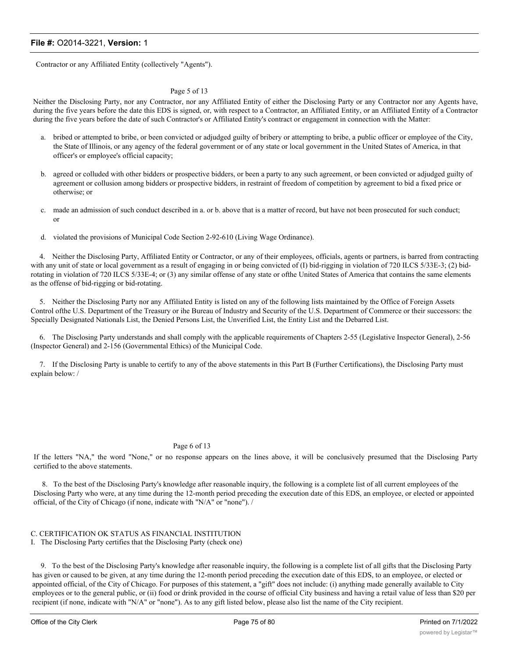Contractor or any Affiliated Entity (collectively "Agents").

### Page 5 of 13

Neither the Disclosing Party, nor any Contractor, nor any Affiliated Entity of either the Disclosing Party or any Contractor nor any Agents have, during the five years before the date this EDS is signed, or, with respect to a Contractor, an Affiliated Entity, or an Affiliated Entity of a Contractor during the five years before the date of such Contractor's or Affiliated Entity's contract or engagement in connection with the Matter:

- a. bribed or attempted to bribe, or been convicted or adjudged guilty of bribery or attempting to bribe, a public officer or employee of the City, the State of Illinois, or any agency of the federal government or of any state or local government in the United States of America, in that officer's or employee's official capacity;
- b. agreed or colluded with other bidders or prospective bidders, or been a party to any such agreement, or been convicted or adjudged guilty of agreement or collusion among bidders or prospective bidders, in restraint of freedom of competition by agreement to bid a fixed price or otherwise; or
- c. made an admission of such conduct described in a. or b. above that is a matter of record, but have not been prosecuted for such conduct; or
- d. violated the provisions of Municipal Code Section 2-92-610 (Living Wage Ordinance).

4. Neither the Disclosing Party, Affiliated Entity or Contractor, or any of their employees, officials, agents or partners, is barred from contracting with any unit of state or local government as a result of engaging in or being convicted of (I) bid-rigging in violation of 720 ILCS 5/33E-3; (2) bidrotating in violation of 720 ILCS 5/33E-4; or (3) any similar offense of any state or ofthe United States of America that contains the same elements as the offense of bid-rigging or bid-rotating.

5. Neither the Disclosing Party nor any Affiliated Entity is listed on any of the following lists maintained by the Office of Foreign Assets Control ofthe U.S. Department of the Treasury or ihe Bureau of Industry and Security of the U.S. Department of Commerce or their successors: the Specially Designated Nationals List, the Denied Persons List, the Unverified List, the Entity List and the Debarred List.

6. The Disclosing Party understands and shall comply with the applicable requirements of Chapters 2-55 (Legislative Inspector General), 2-56 (Inspector General) and 2-156 (Governmental Ethics) of the Municipal Code.

7. If the Disclosing Party is unable to certify to any of the above statements in this Part B (Further Certifications), the Disclosing Party must explain below: /

## Page 6 of 13

If the letters "NA," the word "None," or no response appears on the lines above, it will be conclusively presumed that the Disclosing Party certified to the above statements.

8. To the best of the Disclosing Party's knowledge after reasonable inquiry, the following is a complete list of all current employees of the Disclosing Party who were, at any time during the 12-month period preceding the execution date of this EDS, an employee, or elected or appointed official, of the City of Chicago (if none, indicate with "N/A" or "none"). /

### C. CERTIFICATION OK STATUS AS FINANCIAL INSTITUTION I. The Disclosing Party certifies that the Disclosing Party (check one)

9. To the best of the Disclosing Party's knowledge after reasonable inquiry, the following is a complete list of all gifts that the Disclosing Party has given or caused to be given, at any time during the 12-month period preceding the execution date of this EDS, to an employee, or elected or appointed official, of the City of Chicago. For purposes of this statement, a "gift" does not include: (i) anything made generally available to City employees or to the general public, or (ii) food or drink provided in the course of official City business and having a retail value of less than \$20 per recipient (if none, indicate with "N/A" or "none"). As to any gift listed below, please also list the name of the City recipient.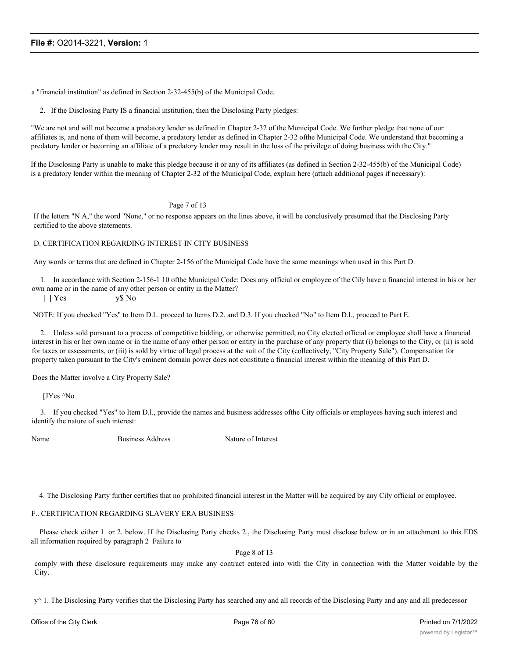a "financial institution" as defined in Section 2-32-455(b) of the Municipal Code.

2. If the Disclosing Party IS a financial institution, then the Disclosing Party pledges:

"Wc are not and will not become a predatory lender as defined in Chapter 2-32 of the Municipal Code. We further pledge that none of our affiliates is, and none of them will become, a predatory lender as defined in Chapter 2-32 ofthe Municipal Code. We understand that becoming a predatory lender or becoming an affiliate of a predatory lender may result in the loss of the privilege of doing business with the City."

If the Disclosing Party is unable to make this pledge because it or any of its affiliates (as defined in Section 2-32-455(b) of the Municipal Code) is a predatory lender within the meaning of Chapter 2-32 of the Municipal Code, explain here (attach additional pages if necessary):

Page 7 of 13

If the letters "N A," the word "None," or no response appears on the lines above, it will be conclusively presumed that the Disclosing Party certified to the above statements.

### D. CERTIFICATION REGARDING INTEREST IN CITY BUSINESS

Any words or terms that are defined in Chapter 2-156 of the Municipal Code have the same meanings when used in this Part D.

1. In accordance with Section 2-156-1 10 ofthe Municipal Code: Does any official or employee of the Cily have a financial interest in his or her own name or in the name of any other person or entity in the Matter?

[ ] Yes y\$ No

NOTE: If you checked "Yes" to Item D.l.. proceed to Items D.2. and D.3. If you checked "No" to Item D.l., proceed to Part E.

2. Unless sold pursuant to a process of competitive bidding, or otherwise permitted, no City elected official or employee shall have a financial interest in his or her own name or in the name of any other person or entity in the purchase of any property that (i) belongs to the City, or (ii) is sold for taxes or assessments, or (iii) is sold by virtue of legal process at the suit of the City (collectively, "City Property Sale"). Compensation for property taken pursuant to the City's eminent domain power does not constitute a financial interest within the meaning of this Part D.

Does the Matter involve a City Property Sale?

[JYes ^No

3. If you checked "Yes" to Item D.l., provide the names and business addresses ofthe City officials or employees having such interest and identify the nature of such interest:

Name Business Address Nature of Interest

4. The Disclosing Party further certifies that no prohibited financial interest in the Matter will be acquired by any Cily official or employee.

#### F.. CERTIFICATION REGARDING SLAVERY ERA BUSINESS

Please check either 1. or 2. below. If the Disclosing Party checks 2., the Disclosing Party must disclose below or in an attachment to this EDS all information required by paragraph 2 Failure to

Page 8 of 13

comply with these disclosure requirements may make any contract entered into with the City in connection with the Matter voidable by the City.

 $y^{\wedge}$  1. The Disclosing Party verifies that the Disclosing Party has searched any and all records of the Disclosing Party and any and all predecessor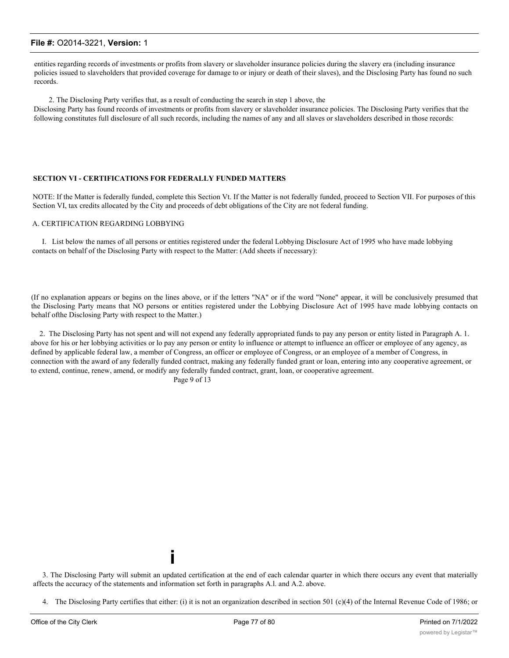entities regarding records of investments or profits from slavery or slaveholder insurance policies during the slavery era (including insurance policies issued to slaveholders that provided coverage for damage to or injury or death of their slaves), and the Disclosing Party has found no such records.

2. The Disclosing Party verifies that, as a result of conducting the search in step 1 above, the Disclosing Party has found records of investments or profits from slavery or slaveholder insurance policies. The Disclosing Party verifies that the following constitutes full disclosure of all such records, including the names of any and all slaves or slaveholders described in those records:

#### **SECTION VI - CERTIFICATIONS FOR FEDERALLY FUNDED MATTERS**

NOTE: If the Matter is federally funded, complete this Section Vt. If the Matter is not federally funded, proceed to Section VII. For purposes of this Section VI, tax credits allocated by the City and proceeds of debt obligations of the City are not federal funding.

### A. CERTIFICATION REGARDING LOBBYING

I. List below the names of all persons or entities registered under the federal Lobbying Disclosure Act of 1995 who have made lobbying contacts on behalf of the Disclosing Party with respect to the Matter: (Add sheets if necessary):

(If no explanation appears or begins on the lines above, or if the letters "NA" or if the word "None" appear, it will be conclusively presumed that the Disclosing Party means that NO persons or entities registered under the Lobbying Disclosure Act of 1995 have made lobbying contacts on behalf ofthe Disclosing Party with respect to the Matter.)

2. The Disclosing Party has not spent and will not expend any federally appropriated funds to pay any person or entity listed in Paragraph A. 1. above for his or her lobbying activities or lo pay any person or entity lo influence or attempt to influence an officer or employee of any agency, as defined by applicable federal law, a member of Congress, an officer or employee of Congress, or an employee of a member of Congress, in connection with the award of any federally funded contract, making any federally funded grant or loan, entering into any cooperative agreement, or to extend, continue, renew, amend, or modify any federally funded contract, grant, loan, or cooperative agreement.

Page 9 of 13

**i**

3. The Disclosing Party will submit an updated certification at the end of each calendar quarter in which there occurs any event that materially affects the accuracy of the statements and information set forth in paragraphs A.l. and A.2. above.

4. The Disclosing Party certifies that either: (i) it is not an organization described in section 501 (c)(4) of the Internal Revenue Code of 1986; or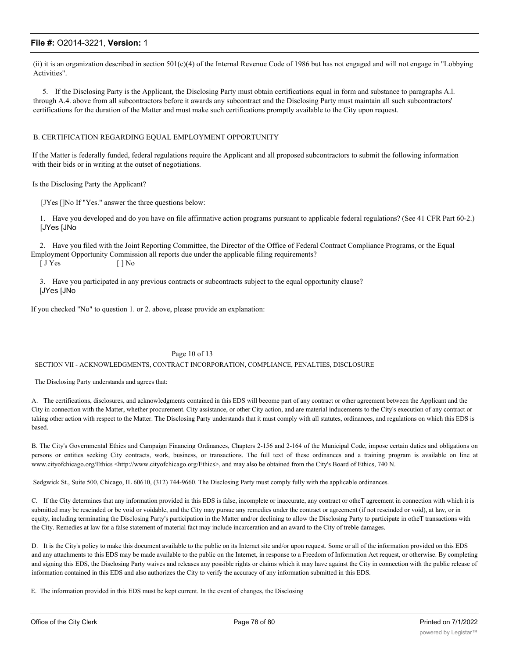(ii) it is an organization described in section 501(c)(4) of the Internal Revenue Code of 1986 but has not engaged and will not engage in "Lobbying Activities".

5. If the Disclosing Party is the Applicant, the Disclosing Party must obtain certifications equal in form and substance to paragraphs A.l. through A.4. above from all subcontractors before it awards any subcontract and the Disclosing Party must maintain all such subcontractors' certifications for the duration of the Matter and must make such certifications promptly available to the City upon request.

### B. CERTIFICATION REGARDING EQUAL EMPLOYMENT OPPORTUNITY

If the Matter is federally funded, federal regulations require the Applicant and all proposed subcontractors to submit the following information with their bids or in writing at the outset of negotiations.

Is the Disclosing Party the Applicant?

[JYes []No If "Yes." answer the three questions below:

1. Have you developed and do you have on file affirmative action programs pursuant to applicable federal regulations? (See 41 CFR Part 60-2.) [JYes [JNo

2. Have you filed with the Joint Reporting Committee, the Director of the Office of Federal Contract Compliance Programs, or the Equal Employment Opportunity Commission all reports due under the applicable filing requirements?

 $[JYes$   $[ ] No$ 

3. Have you participated in any previous contracts or subcontracts subject to the equal opportunity clause? [JYes [JNo

If you checked "No" to question 1. or 2. above, please provide an explanation:

#### Page 10 of 13

#### SECTION VII - ACKNOWLEDGMENTS, CONTRACT INCORPORATION, COMPLIANCE, PENALTIES, DISCLOSURE

The Disclosing Party understands and agrees that:

A. The certifications, disclosures, and acknowledgments contained in this EDS will become part of any contract or other agreement between the Applicant and the City in connection with the Matter, whether procurement. City assistance, or other City action, and are material inducements to the City's execution of any contract or taking other action with respect to the Matter. The Disclosing Party understands that it must comply with all statutes, ordinances, and regulations on which this EDS is based.

B. The City's Governmental Ethics and Campaign Financing Ordinances, Chapters 2-156 and 2-164 of the Municipal Code, impose certain duties and obligations on persons or entities seeking City contracts, work, business, or transactions. The full text of these ordinances and a training program is available on line at www.cityofchicago.org/Ethics <http://www.cityofchicago.org/Ethics>, and may also be obtained from the City's Board of Ethics, 740 N.

Sedgwick St., Suite 500, Chicago, IL 60610, (312) 744-9660. The Disclosing Party must comply fully with the applicable ordinances.

C. If the City determines that any information provided in this EDS is false, incomplete or inaccurate, any contract or otheT agreement in connection with which it is submitted may be rescinded or be void or voidable, and the City may pursue any remedies under the contract or agreement (if not rescinded or void), at law, or in equity, including terminating the Disclosing Party's participation in the Matter and/or declining to allow the Disclosing Party to participate in otheT transactions with the City. Remedies at law for a false statement of material fact may include incarceration and an award to the City of treble damages.

D. It is the City's policy to make this document available to the public on its Internet site and/or upon request. Some or all of the information provided on this EDS and any attachments to this EDS may be made available to the public on the Internet, in response to a Freedom of Information Act request, or otherwise. By completing and signing this EDS, the Disclosing Party waives and releases any possible rights or claims which it may have against the City in connection with the public release of information contained in this EDS and also authorizes the City to verify the accuracy of any information submitted in this EDS.

E. The information provided in this EDS must be kept current. In the event of changes, the Disclosing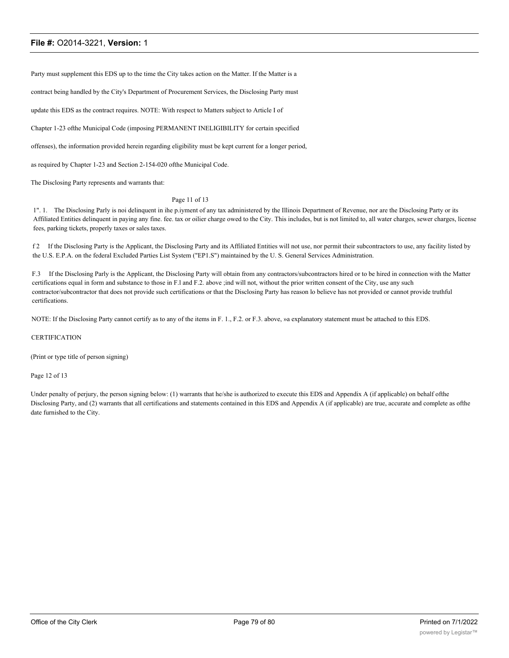Party must supplement this EDS up to the time the City takes action on the Matter. If the Matter is a

contract being handled by the City's Department of Procurement Services, the Disclosing Party must

update this EDS as the contract requires. NOTE: With respect to Matters subject to Article I of

Chapter 1-23 ofthe Municipal Code (imposing PERMANENT INELIGIBILITY for certain specified

offenses), the information provided herein regarding eligibility must be kept current for a longer period,

as required by Chapter 1-23 and Section 2-154-020 ofthe Municipal Code.

The Disclosing Party represents and warrants that:

#### Page 11 of 13

1". 1. The Disclosing Parly is noi delinquent in ihe p.iyment of any tax administered by the Illinois Department of Revenue, nor are the Disclosing Party or its Affiliated Entities delinquent in paying any fine. fee. tax or oilier charge owed to the City. This includes, but is not limited to, all water charges, sewer charges, license fees, parking tickets, properly taxes or sales taxes.

f 2 If the Disclosing Party is the Applicant, the Disclosing Party and its Affiliated Entities will not use, nor permit their subcontractors to use, any facility listed by the U.S. E.P.A. on the federal Excluded Parties List System ("EP1.S") maintained by the U. S. General Services Administration.

F.3 If the Disclosing Parly is the Applicant, the Disclosing Party will obtain from any contractors/subcontractors hired or to be hired in connection with the Matter certifications equal in form and substance to those in F.l and F.2. above ;ind will not, without the prior written consent of the City, use any such contractor/subcontractor that does not provide such certifications or that the Disclosing Party has reason lo believe has not provided or cannot provide truthful certifications.

NOTE: If the Disclosing Party cannot certify as to any of the items in F. 1., F.2. or F.3. above, »a explanatory statement must be attached to this EDS.

#### **CERTIFICATION**

(Print or type title of person signing)

#### Page 12 of 13

Under penalty of perjury, the person signing below: (1) warrants that he/she is authorized to execute this EDS and Appendix A (if applicable) on behalf ofthe Disclosing Party, and (2) warrants that all certifications and statements contained in this EDS and Appendix A (if applicable) are true, accurate and complete as ofthe date furnished to the City.

**CITY OF CHICAGO ECONOMIC DISCLOSURE STATEMENT AND AFFIDAVIT APPENDIX A**